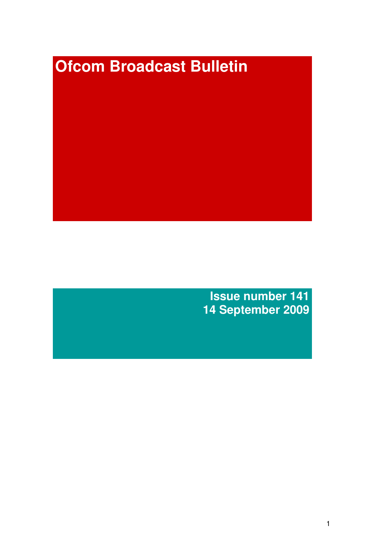# **Ofcom Broadcast Bulletin**

**Issue number 141 14 September 2009**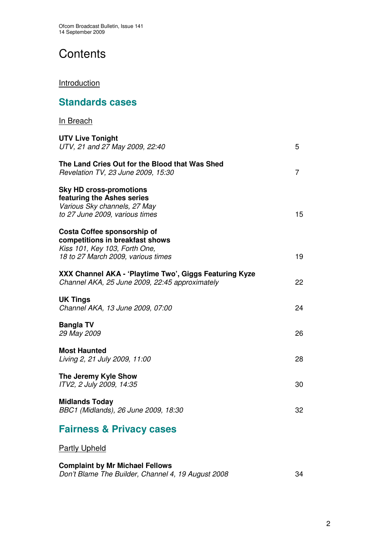**Standards cases**

# **Contents**

### **Introduction**

| In Breach                                                                                                                             |                |
|---------------------------------------------------------------------------------------------------------------------------------------|----------------|
| <b>UTV Live Tonight</b><br>UTV, 21 and 27 May 2009, 22:40                                                                             | 5              |
| The Land Cries Out for the Blood that Was Shed<br>Revelation TV, 23 June 2009, 15:30                                                  | $\overline{7}$ |
| <b>Sky HD cross-promotions</b><br>featuring the Ashes series<br>Various Sky channels, 27 May<br>to 27 June 2009, various times        | 15             |
| Costa Coffee sponsorship of<br>competitions in breakfast shows<br>Kiss 101, Key 103, Forth One,<br>18 to 27 March 2009, various times | 19             |
| XXX Channel AKA - 'Playtime Two', Giggs Featuring Kyze<br>Channel AKA, 25 June 2009, 22:45 approximately                              | 22             |
| <b>UK Tings</b><br>Channel AKA, 13 June 2009, 07:00                                                                                   | 24             |
| <b>Bangla TV</b><br>29 May 2009                                                                                                       | 26             |
| <b>Most Haunted</b><br>Living 2, 21 July 2009, 11:00                                                                                  | 28             |
| The Jeremy Kyle Show<br>ITV2, 2 July 2009, 14:35                                                                                      | 30             |
| <b>Midlands Today</b><br>BBC1 (Midlands), 26 June 2009, 18:30                                                                         | 32             |
| <b>Fairness &amp; Privacy cases</b>                                                                                                   |                |

**Partly Upheld** 

### **Complaint by Mr Michael Fellows**

|  | Don't Blame The Builder, Channel 4, 19 August 2008 |  |
|--|----------------------------------------------------|--|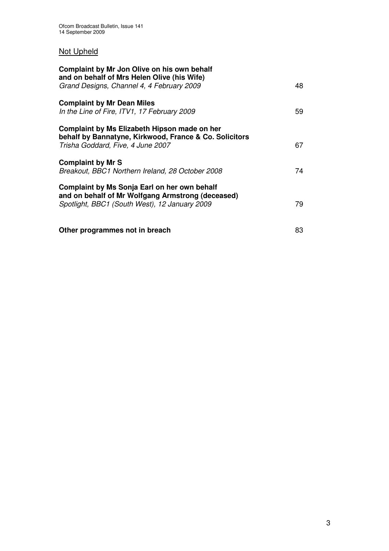# Not Upheld

| Complaint by Mr Jon Olive on his own behalf<br>and on behalf of Mrs Helen Olive (his Wife)<br>Grand Designs, Channel 4, 4 February 2009            | 48 |
|----------------------------------------------------------------------------------------------------------------------------------------------------|----|
|                                                                                                                                                    |    |
| <b>Complaint by Mr Dean Miles</b><br>In the Line of Fire, ITV1, 17 February 2009                                                                   | 59 |
| Complaint by Ms Elizabeth Hipson made on her<br>behalf by Bannatyne, Kirkwood, France & Co. Solicitors<br>Trisha Goddard, Five, 4 June 2007        | 67 |
| <b>Complaint by Mr S</b><br>Breakout, BBC1 Northern Ireland, 28 October 2008                                                                       | 74 |
| Complaint by Ms Sonja Earl on her own behalf<br>and on behalf of Mr Wolfgang Armstrong (deceased)<br>Spotlight, BBC1 (South West), 12 January 2009 | 79 |
| Other programmes not in breach                                                                                                                     | 83 |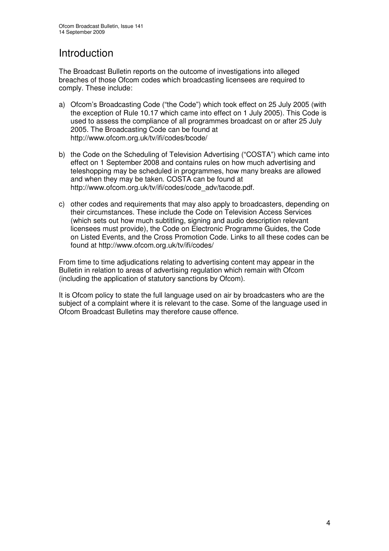# Introduction

The Broadcast Bulletin reports on the outcome of investigations into alleged breaches of those Ofcom codes which broadcasting licensees are required to comply. These include:

- a) Ofcom's Broadcasting Code ("the Code") which took effect on 25 July 2005 (with the exception of Rule 10.17 which came into effect on 1 July 2005). This Code is used to assess the compliance of all programmes broadcast on or after 25 July 2005. The Broadcasting Code can be found at http://www.ofcom.org.uk/tv/ifi/codes/bcode/
- b) the Code on the Scheduling of Television Advertising ("COSTA") which came into effect on 1 September 2008 and contains rules on how much advertising and teleshopping may be scheduled in programmes, how many breaks are allowed and when they may be taken. COSTA can be found at http://www.ofcom.org.uk/tv/ifi/codes/code\_adv/tacode.pdf.
- c) other codes and requirements that may also apply to broadcasters, depending on their circumstances. These include the Code on Television Access Services (which sets out how much subtitling, signing and audio description relevant licensees must provide), the Code on Electronic Programme Guides, the Code on Listed Events, and the Cross Promotion Code. Links to all these codes can be found at http://www.ofcom.org.uk/tv/ifi/codes/

From time to time adjudications relating to advertising content may appear in the Bulletin in relation to areas of advertising regulation which remain with Ofcom (including the application of statutory sanctions by Ofcom).

It is Ofcom policy to state the full language used on air by broadcasters who are the subject of a complaint where it is relevant to the case. Some of the language used in Ofcom Broadcast Bulletins may therefore cause offence.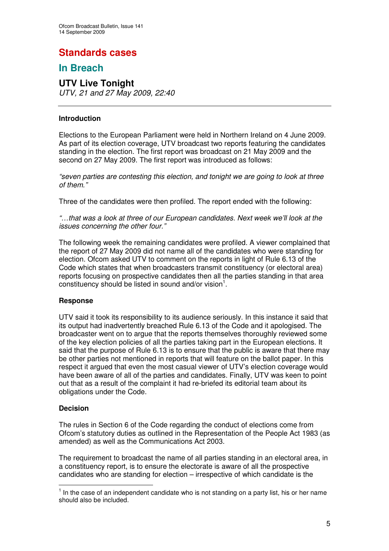# **Standards cases**

# **In Breach**

### **UTV Live Tonight** *UTV, 21 and 27 May 2009, 22:40*

### **Introduction**

Elections to the European Parliament were held in Northern Ireland on 4 June 2009. As part of its election coverage, UTV broadcast two reports featuring the candidates standing in the election. The first report was broadcast on 21 May 2009 and the second on 27 May 2009. The first report was introduced as follows:

*"seven parties are contesting this election, and tonight we are going to look at three of them."*

Three of the candidates were then profiled. The report ended with the following:

*"…that was a look at three of our European candidates. Next week we'll look at the issues concerning the other four."*

The following week the remaining candidates were profiled. A viewer complained that the report of 27 May 2009 did not name all of the candidates who were standing for election. Ofcom asked UTV to comment on the reports in light of Rule 6.13 of the Code which states that when broadcasters transmit constituency (or electoral area) reports focusing on prospective candidates then all the parties standing in that area constituency should be listed in sound and/or vision $^1$ .

### **Response**

UTV said it took its responsibility to its audience seriously. In this instance it said that its output had inadvertently breached Rule 6.13 of the Code and it apologised. The broadcaster went on to argue that the reports themselves thoroughly reviewed some of the key election policies of all the parties taking part in the European elections. It said that the purpose of Rule 6.13 is to ensure that the public is aware that there may be other parties not mentioned in reports that will feature on the ballot paper. In this respect it argued that even the most casual viewer of UTV's election coverage would have been aware of all of the parties and candidates. Finally, UTV was keen to point out that as a result of the complaint it had re-briefed its editorial team about its obligations under the Code.

### **Decision**

The rules in Section 6 of the Code regarding the conduct of elections come from Ofcom's statutory duties as outlined in the Representation of the People Act 1983 (as amended) as well as the Communications Act 2003.

The requirement to broadcast the name of all parties standing in an electoral area, in a constituency report, is to ensure the electorate is aware of all the prospective candidates who are standing for election – irrespective of which candidate is the

 $<sup>1</sup>$  In the case of an independent candidate who is not standing on a party list, his or her name</sup> should also be included.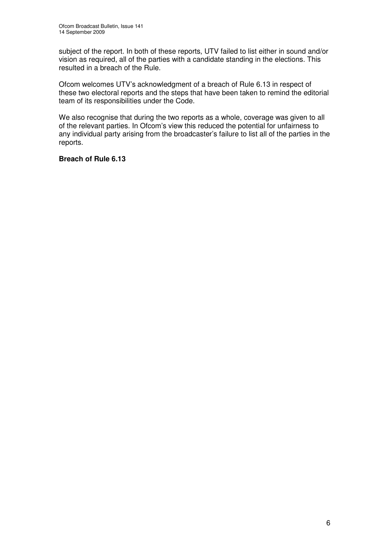subject of the report. In both of these reports, UTV failed to list either in sound and/or vision as required, all of the parties with a candidate standing in the elections. This resulted in a breach of the Rule.

Ofcom welcomes UTV's acknowledgment of a breach of Rule 6.13 in respect of these two electoral reports and the steps that have been taken to remind the editorial team of its responsibilities under the Code.

We also recognise that during the two reports as a whole, coverage was given to all of the relevant parties. In Ofcom's view this reduced the potential for unfairness to any individual party arising from the broadcaster's failure to list all of the parties in the reports.

### **Breach of Rule 6.13**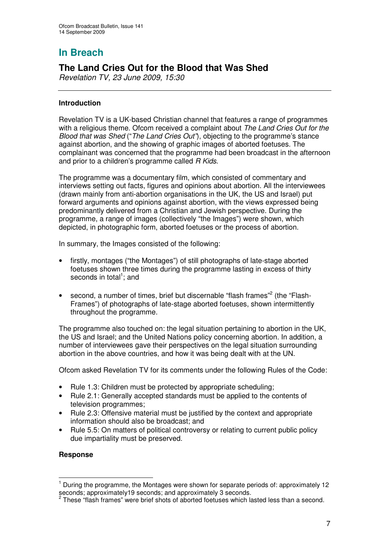# **The Land Cries Out for the Blood that Was Shed**

*Revelation TV, 23 June 2009, 15:30*

### **Introduction**

Revelation TV is a UK-based Christian channel that features a range of programmes with a religious theme. Ofcom received a complaint about *The Land Cries Out for the Blood that was Shed* ("*The Land Cries Out"*), objecting to the programme's stance against abortion, and the showing of graphic images of aborted foetuses. The complainant was concerned that the programme had been broadcast in the afternoon and prior to a children's programme called *R Kids*.

The programme was a documentary film, which consisted of commentary and interviews setting out facts, figures and opinions about abortion. All the interviewees (drawn mainly from anti-abortion organisations in the UK, the US and Israel) put forward arguments and opinions against abortion, with the views expressed being predominantly delivered from a Christian and Jewish perspective. During the programme, a range of images (collectively "the Images") were shown, which depicted, in photographic form, aborted foetuses or the process of abortion.

In summary, the Images consisted of the following:

- firstly, montages ("the Montages") of still photographs of late-stage aborted foetuses shown three times during the programme lasting in excess of thirty seconds in total<sup>1</sup>; and
- second, a number of times, brief but discernable "flash frames"<sup>2</sup> (the "Flash-Frames") of photographs of late-stage aborted foetuses, shown intermittently throughout the programme.

The programme also touched on: the legal situation pertaining to abortion in the UK, the US and Israel; and the United Nations policy concerning abortion. In addition, a number of interviewees gave their perspectives on the legal situation surrounding abortion in the above countries, and how it was being dealt with at the UN.

Ofcom asked Revelation TV for its comments under the following Rules of the Code:

- Rule 1.3: Children must be protected by appropriate scheduling;
- Rule 2.1: Generally accepted standards must be applied to the contents of television programmes;
- Rule 2.3: Offensive material must be justified by the context and appropriate information should also be broadcast; and
- Rule 5.5: On matters of political controversy or relating to current public policy due impartiality must be preserved.

### **Response**

 $<sup>1</sup>$  During the programme, the Montages were shown for separate periods of: approximately 12</sup>

seconds; approximately19 seconds; and approximately 3 seconds.<br><sup>2</sup> These "flash frames" were brief shots of aborted foetuses which lasted less than a second.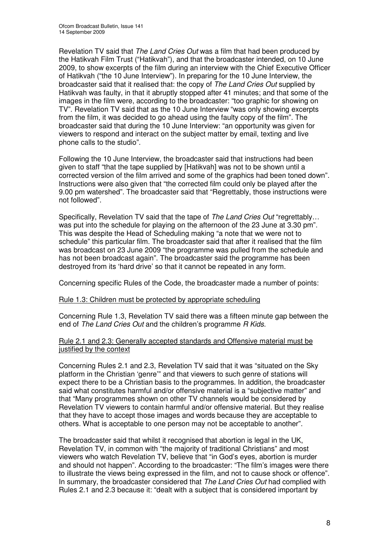Revelation TV said that *The Land Cries Out* was a film that had been produced by the Hatikvah Film Trust ("Hatikvah"), and that the broadcaster intended, on 10 June 2009, to show excerpts of the film during an interview with the Chief Executive Officer of Hatikvah ("the 10 June Interview"). In preparing for the 10 June Interview, the broadcaster said that it realised that: the copy of *The Land Cries Out* supplied by Hatikvah was faulty, in that it abruptly stopped after 41 minutes; and that some of the images in the film were, according to the broadcaster: "too graphic for showing on TV". Revelation TV said that as the 10 June Interview "was only showing excerpts from the film, it was decided to go ahead using the faulty copy of the film". The broadcaster said that during the 10 June Interview: "an opportunity was given for viewers to respond and interact on the subject matter by email, texting and live phone calls to the studio".

Following the 10 June Interview, the broadcaster said that instructions had been given to staff "that the tape supplied by [Hatikvah] was not to be shown until a corrected version of the film arrived and some of the graphics had been toned down". Instructions were also given that "the corrected film could only be played after the 9.00 pm watershed". The broadcaster said that "Regrettably, those instructions were not followed".

Specifically, Revelation TV said that the tape of *The Land Cries Out* "regrettably… was put into the schedule for playing on the afternoon of the 23 June at 3.30 pm". This was despite the Head of Scheduling making "a note that we were not to schedule" this particular film. The broadcaster said that after it realised that the film was broadcast on 23 June 2009 "the programme was pulled from the schedule and has not been broadcast again". The broadcaster said the programme has been destroyed from its 'hard drive' so that it cannot be repeated in any form.

Concerning specific Rules of the Code, the broadcaster made a number of points:

### Rule 1.3: Children must be protected by appropriate scheduling

Concerning Rule 1.3, Revelation TV said there was a fifteen minute gap between the end of *The Land Cries Out* and the children's programme *R Kids.*

### Rule 2.1 and 2.3: Generally accepted standards and Offensive material must be justified by the context

Concerning Rules 2.1 and 2.3, Revelation TV said that it was "situated on the Sky platform in the Christian 'genre'" and that viewers to such genre of stations will expect there to be a Christian basis to the programmes. In addition, the broadcaster said what constitutes harmful and/or offensive material is a "subjective matter" and that "Many programmes shown on other TV channels would be considered by Revelation TV viewers to contain harmful and/or offensive material. But they realise that they have to accept those images and words because they are acceptable to others. What is acceptable to one person may not be acceptable to another".

The broadcaster said that whilst it recognised that abortion is legal in the UK, Revelation TV, in common with "the majority of traditional Christians" and most viewers who watch Revelation TV, believe that "in God's eyes, abortion is murder and should not happen". According to the broadcaster: "The film's images were there to illustrate the views being expressed in the film, and not to cause shock or offence". In summary, the broadcaster considered that *The Land Cries Out* had complied with Rules 2.1 and 2.3 because it: "dealt with a subject that is considered important by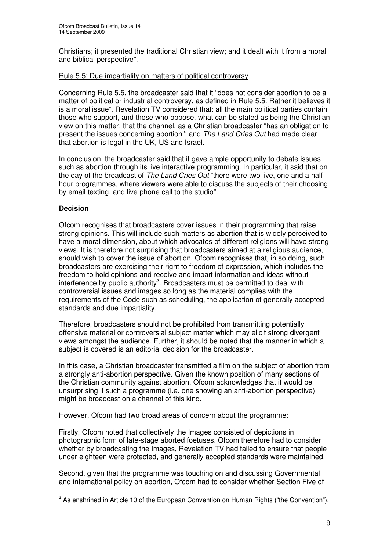Christians; it presented the traditional Christian view; and it dealt with it from a moral and biblical perspective".

### Rule 5.5: Due impartiality on matters of political controversy

Concerning Rule 5.5, the broadcaster said that it "does not consider abortion to be a matter of political or industrial controversy, as defined in Rule 5.5. Rather it believes it is a moral issue". Revelation TV considered that: all the main political parties contain those who support, and those who oppose, what can be stated as being the Christian view on this matter; that the channel, as a Christian broadcaster "has an obligation to present the issues concerning abortion"; and *The Land Cries Out* had made clear that abortion is legal in the UK, US and Israel.

In conclusion, the broadcaster said that it gave ample opportunity to debate issues such as abortion through its live interactive programming. In particular, it said that on the day of the broadcast of *The Land Cries Out* "there were two live, one and a half hour programmes, where viewers were able to discuss the subjects of their choosing by email texting, and live phone call to the studio".

### **Decision**

Ofcom recognises that broadcasters cover issues in their programming that raise strong opinions. This will include such matters as abortion that is widely perceived to have a moral dimension, about which advocates of different religions will have strong views. It is therefore not surprising that broadcasters aimed at a religious audience, should wish to cover the issue of abortion. Ofcom recognises that, in so doing, such broadcasters are exercising their right to freedom of expression, which includes the freedom to hold opinions and receive and impart information and ideas without interference by public authority<sup>3</sup>. Broadcasters must be permitted to deal with controversial issues and images so long as the material complies with the requirements of the Code such as scheduling, the application of generally accepted standards and due impartiality.

Therefore, broadcasters should not be prohibited from transmitting potentially offensive material or controversial subject matter which may elicit strong divergent views amongst the audience. Further, it should be noted that the manner in which a subject is covered is an editorial decision for the broadcaster.

In this case, a Christian broadcaster transmitted a film on the subject of abortion from a strongly anti-abortion perspective. Given the known position of many sections of the Christian community against abortion, Ofcom acknowledges that it would be unsurprising if such a programme (i.e. one showing an anti-abortion perspective) might be broadcast on a channel of this kind.

However, Ofcom had two broad areas of concern about the programme:

Firstly, Ofcom noted that collectively the Images consisted of depictions in photographic form of late-stage aborted foetuses. Ofcom therefore had to consider whether by broadcasting the Images, Revelation TV had failed to ensure that people under eighteen were protected, and generally accepted standards were maintained.

Second, given that the programme was touching on and discussing Governmental and international policy on abortion, Ofcom had to consider whether Section Five of

 $3$  As enshrined in Article 10 of the European Convention on Human Rights ("the Convention").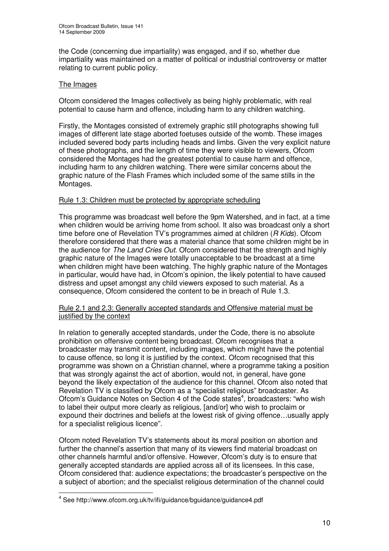the Code (concerning due impartiality) was engaged, and if so, whether due impartiality was maintained on a matter of political or industrial controversy or matter relating to current public policy.

### The Images

Ofcom considered the Images collectively as being highly problematic, with real potential to cause harm and offence, including harm to any children watching.

Firstly, the Montages consisted of extremely graphic still photographs showing full images of different late stage aborted foetuses outside of the womb. These images included severed body parts including heads and limbs. Given the very explicit nature of these photographs, and the length of time they were visible to viewers, Ofcom considered the Montages had the greatest potential to cause harm and offence, including harm to any children watching. There were similar concerns about the graphic nature of the Flash Frames which included some of the same stills in the Montages.

### Rule 1.3: Children must be protected by appropriate scheduling

This programme was broadcast well before the 9pm Watershed, and in fact, at a time when children would be arriving home from school. It also was broadcast only a short time before one of Revelation TV's programmes aimed at children (*R Kids*). Ofcom therefore considered that there was a material chance that some children might be in the audience for *The Land Cries Out.* Ofcom considered that the strength and highly graphic nature of the Images were totally unacceptable to be broadcast at a time when children might have been watching. The highly graphic nature of the Montages in particular, would have had, in Ofcom's opinion, the likely potential to have caused distress and upset amongst any child viewers exposed to such material. As a consequence, Ofcom considered the content to be in breach of Rule 1.3.

### Rule 2.1 and 2.3: Generally accepted standards and Offensive material must be justified by the context

In relation to generally accepted standards, under the Code, there is no absolute prohibition on offensive content being broadcast. Ofcom recognises that a broadcaster may transmit content, including images, which might have the potential to cause offence, so long it is justified by the context. Ofcom recognised that this programme was shown on a Christian channel, where a programme taking a position that was strongly against the act of abortion, would not, in general, have gone beyond the likely expectation of the audience for this channel. Ofcom also noted that Revelation TV is classified by Ofcom as a "specialist religious" broadcaster. As Ofcom's Guidance Notes on Section 4 of the Code states 4 , broadcasters: "who wish to label their output more clearly as religious, [and/or] who wish to proclaim or expound their doctrines and beliefs at the lowest risk of giving offence…usually apply for a specialist religious licence".

Ofcom noted Revelation TV's statements about its moral position on abortion and further the channel's assertion that many of its viewers find material broadcast on other channels harmful and/or offensive. However, Ofcom's duty is to ensure that generally accepted standards are applied across all of its licensees. In this case, Ofcom considered that: audience expectations; the broadcaster's perspective on the a subject of abortion; and the specialist religious determination of the channel could

<sup>4</sup> See http://www.ofcom.org.uk/tv/ifi/guidance/bguidance/guidance4.pdf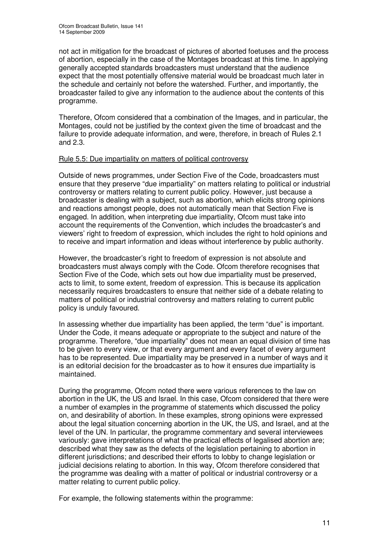not act in mitigation for the broadcast of pictures of aborted foetuses and the process of abortion, especially in the case of the Montages broadcast at this time. In applying generally accepted standards broadcasters must understand that the audience expect that the most potentially offensive material would be broadcast much later in the schedule and certainly not before the watershed. Further, and importantly, the broadcaster failed to give any information to the audience about the contents of this programme.

Therefore, Ofcom considered that a combination of the Images, and in particular, the Montages, could not be justified by the context given the time of broadcast and the failure to provide adequate information, and were, therefore, in breach of Rules 2.1 and 2.3.

### Rule 5.5: Due impartiality on matters of political controversy

Outside of news programmes, under Section Five of the Code, broadcasters must ensure that they preserve "due impartiality" on matters relating to political or industrial controversy or matters relating to current public policy. However, just because a broadcaster is dealing with a subject, such as abortion, which elicits strong opinions and reactions amongst people, does not automatically mean that Section Five is engaged. In addition, when interpreting due impartiality, Ofcom must take into account the requirements of the Convention, which includes the broadcaster's and viewers' right to freedom of expression, which includes the right to hold opinions and to receive and impart information and ideas without interference by public authority.

However, the broadcaster's right to freedom of expression is not absolute and broadcasters must always comply with the Code. Ofcom therefore recognises that Section Five of the Code, which sets out how due impartiality must be preserved, acts to limit, to some extent, freedom of expression. This is because its application necessarily requires broadcasters to ensure that neither side of a debate relating to matters of political or industrial controversy and matters relating to current public policy is unduly favoured.

In assessing whether due impartiality has been applied, the term "due" is important. Under the Code, it means adequate or appropriate to the subject and nature of the programme. Therefore, "due impartiality" does not mean an equal division of time has to be given to every view, or that every argument and every facet of every argument has to be represented. Due impartiality may be preserved in a number of ways and it is an editorial decision for the broadcaster as to how it ensures due impartiality is maintained.

During the programme, Ofcom noted there were various references to the law on abortion in the UK, the US and Israel. In this case, Ofcom considered that there were a number of examples in the programme of statements which discussed the policy on, and desirability of abortion. In these examples, strong opinions were expressed about the legal situation concerning abortion in the UK, the US, and Israel, and at the level of the UN. In particular, the programme commentary and several interviewees variously: gave interpretations of what the practical effects of legalised abortion are; described what they saw as the defects of the legislation pertaining to abortion in different jurisdictions; and described their efforts to lobby to change legislation or judicial decisions relating to abortion. In this way, Ofcom therefore considered that the programme was dealing with a matter of political or industrial controversy or a matter relating to current public policy.

For example, the following statements within the programme: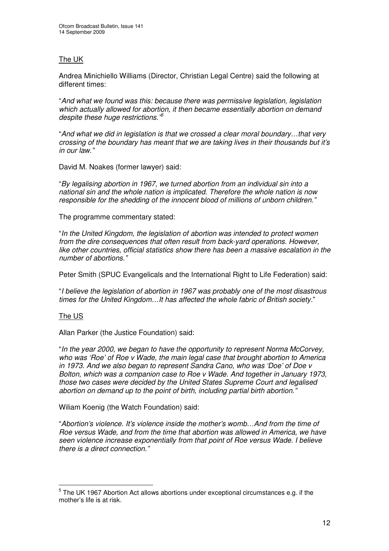### The UK

Andrea Minichiello Williams (Director, Christian Legal Centre) said the following at different times:

"*And what we found was this: because there was permissive legislation, legislation which actually allowed for abortion, it then became essentially abortion on demand despite these huge restrictions." 5*

"*And what we did in legislation is that we crossed a clear moral boundary…that very crossing of the boundary has meant that we are taking lives in their thousands but it's in our law."*

David M. Noakes (former lawyer) said:

"*By legalising abortion in 1967, we turned abortion from an individual sin into a national sin and the whole nation is implicated. Therefore the whole nation is now responsible for the shedding of the innocent blood of millions of unborn children."*

The programme commentary stated:

"*In the United Kingdom, the legislation of abortion was intended to protect women from the dire consequences that often result from back-yard operations. However, like other countries, official statistics show there has been a massive escalation in the number of abortions."*

Peter Smith (SPUC Evangelicals and the International Right to Life Federation) said:

"*I believe the legislation of abortion in 1967 was probably one of the most disastrous times for the United Kingdom…It has affected the whole fabric of British society.*"

### The US

Allan Parker (the Justice Foundation) said:

"*In the year 2000, we began to have the opportunity to represent Norma McCorvey, who was 'Roe' of Roe v Wade, the main legal case that brought abortion to America in 1973. And we also began to represent Sandra Cano, who was 'Doe' of Doe v Bolton, which was a companion case to Roe v Wade. And together in January 1973, those two cases were decided by the United States Supreme Court and legalised abortion on demand up to the point of birth, including partial birth abortion."*

Wiliam Koenig (the Watch Foundation) said:

"*Abortion's violence. It's violence inside the mother's womb…And from the time of Roe versus Wade, and from the time that abortion was allowed in America, we have seen violence increase exponentially from that point of Roe versus Wade. I believe there is a direct connection."*

 $^5$  The UK 1967 Abortion Act allows abortions under exceptional circumstances e.g. if the mother's life is at risk.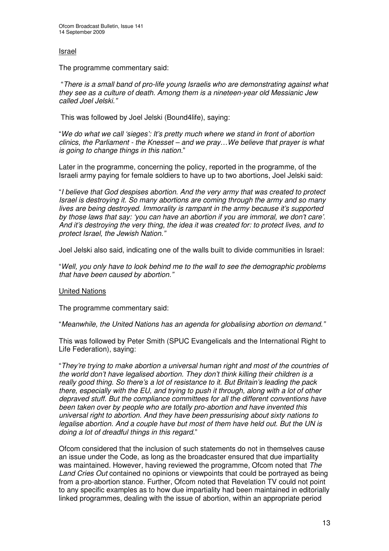### Israel

The programme commentary said:

"*There is a small band of pro-life young Israelis who are demonstrating against what they see as a culture of death. Among them is a nineteen-year old Messianic Jew called Joel Jelski."*

This was followed by Joel Jelski (Bound4life), saying:

"*We do what we call 'sieges': It's pretty much where we stand in front of abortion clinics, the Parliament - the Knesset – and we pray…We believe that prayer is what is going to change things in this nation.*"

Later in the programme, concerning the policy, reported in the programme, of the Israeli army paying for female soldiers to have up to two abortions, Joel Jelski said:

"*I believe that God despises abortion. And the very army that was created to protect Israel is destroying it. So many abortions are coming through the army and so many lives are being destroyed. Immorality is rampant in the army because it's supported by those laws that say: 'you can have an abortion if you are immoral, we don't care'. And it's destroying the very thing, the idea it was created for: to protect lives, and to protect Israel, the Jewish Nation."*

Joel Jelski also said, indicating one of the walls built to divide communities in Israel:

"*Well, you only have to look behind me to the wall to see the demographic problems that have been caused by abortion."*

### United Nations

The programme commentary said:

"*Meanwhile, the United Nations has an agenda for globalising abortion on demand."*

This was followed by Peter Smith (SPUC Evangelicals and the International Right to Life Federation), saying:

"*They're trying to make abortion a universal human right and most of the countries of the world don't have legalised abortion. They don't think killing their children is a really good thing. So there's a lot of resistance to it. But Britain's leading the pack there, especially with the EU, and trying to push it through, along with a lot of other depraved stuff. But the compliance committees for all the different conventions have been taken over by people who are totally pro-abortion and have invented this universal right to abortion. And they have been pressurising about sixty nations to legalise abortion. And a couple have but most of them have held out. But the UN is doing a lot of dreadful things in this regard.*"

Ofcom considered that the inclusion of such statements do not in themselves cause an issue under the Code, as long as the broadcaster ensured that due impartiality was maintained. However, having reviewed the programme, Ofcom noted that *The Land Cries Out* contained no opinions or viewpoints that could be portrayed as being from a pro-abortion stance. Further, Ofcom noted that Revelation TV could not point to any specific examples as to how due impartiality had been maintained in editorially linked programmes, dealing with the issue of abortion, within an appropriate period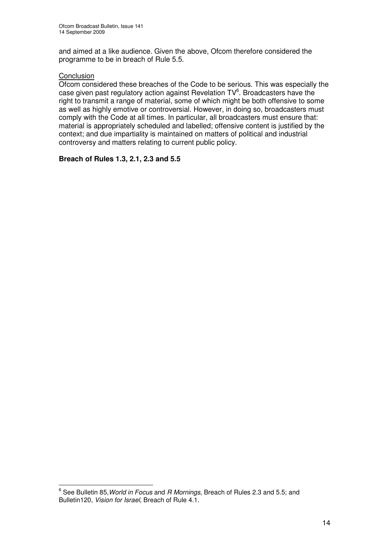and aimed at a like audience. Given the above, Ofcom therefore considered the programme to be in breach of Rule 5.5.

### Conclusion

Ofcom considered these breaches of the Code to be serious. This was especially the case given past regulatory action against Revelation TV<sup>6</sup>. Broadcasters have the right to transmit a range of material, some of which might be both offensive to some as well as highly emotive or controversial. However, in doing so, broadcasters must comply with the Code at all times. In particular, all broadcasters must ensure that: material is appropriately scheduled and labelled; offensive content is justified by the context; and due impartiality is maintained on matters of political and industrial controversy and matters relating to current public policy.

### **Breach of Rules 1.3, 2.1, 2.3 and 5.5**

<sup>6</sup> See Bulletin 85,*World in Focus* and *R Mornings*, Breach of Rules 2.3 and 5.5; and Bulletin120, *Vision for Israel*, Breach of Rule 4.1.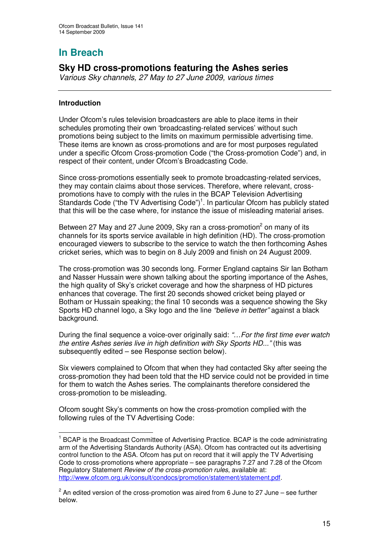# **Sky HD cross-promotions featuring the Ashes series**

*Various Sky channels, 27 May to 27 June 2009, various times*

### **Introduction**

Under Ofcom's rules television broadcasters are able to place items in their schedules promoting their own 'broadcasting-related services' without such promotions being subject to the limits on maximum permissible advertising time. These items are known as cross-promotions and are for most purposes regulated under a specific Ofcom Cross-promotion Code ("the Cross-promotion Code") and, in respect of their content, under Ofcom's Broadcasting Code.

Since cross-promotions essentially seek to promote broadcasting-related services, they may contain claims about those services. Therefore, where relevant, crosspromotions have to comply with the rules in the BCAP Television Advertising Standards Code ("the TV Advertising Code")<sup>1</sup>. In particular Ofcom has publicly stated that this will be the case where, for instance the issue of misleading material arises.

Between 27 May and 27 June 2009, Sky ran a cross-promotion<sup>2</sup> on many of its channels for its sports service available in high definition (HD). The cross-promotion encouraged viewers to subscribe to the service to watch the then forthcoming Ashes cricket series, which was to begin on 8 July 2009 and finish on 24 August 2009.

The cross-promotion was 30 seconds long. Former England captains Sir Ian Botham and Nasser Hussain were shown talking about the sporting importance of the Ashes, the high quality of Sky's cricket coverage and how the sharpness of HD pictures enhances that coverage. The first 20 seconds showed cricket being played or Botham or Hussain speaking; the final 10 seconds was a sequence showing the Sky Sports HD channel logo, a Sky logo and the line *"believe in better"* against a black background.

During the final sequence a voice-over originally said: *"…For the first time ever watch the entire Ashes series live in high definition with Sky Sports HD..."* (this was subsequently edited – see Response section below).

Six viewers complained to Ofcom that when they had contacted Sky after seeing the cross-promotion they had been told that the HD service could not be provided in time for them to watch the Ashes series. The complainants therefore considered the cross-promotion to be misleading.

Ofcom sought Sky's comments on how the cross-promotion complied with the following rules of the TV Advertising Code:

<sup>1</sup> BCAP is the Broadcast Committee of Advertising Practice. BCAP is the code administrating arm of the Advertising Standards Authority (ASA). Ofcom has contracted out its advertising control function to the ASA. Ofcom has put on record that it will apply the TV Advertising Code to cross-promotions where appropriate – see paragraphs 7.27 and 7.28 of the Ofcom Regulatory Statement *Review of the cross-promotion rules*, available at: http://www.ofcom.org.uk/consult/condocs/promotion/statement/statement.pdf.

 $^2$  An edited version of the cross-promotion was aired from 6 June to 27 June – see further below.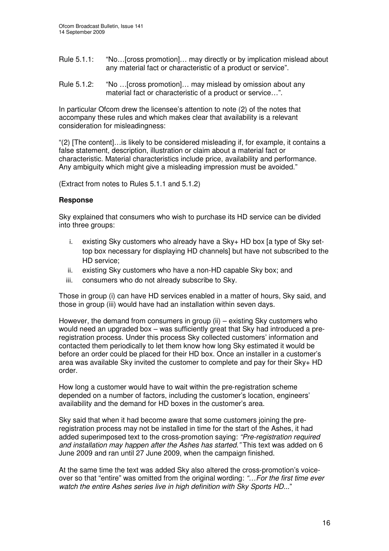- Rule 5.1.1: "No... [cross promotion]... may directly or by implication mislead about any material fact or characteristic of a product or service".
- Rule 5.1.2: "No …[cross promotion]… may mislead by omission about any material fact or characteristic of a product or service…".

In particular Ofcom drew the licensee's attention to note (2) of the notes that accompany these rules and which makes clear that availability is a relevant consideration for misleadingness:

"(2) [The content]…is likely to be considered misleading if, for example, it contains a false statement, description, illustration or claim about a material fact or characteristic. Material characteristics include price, availability and performance. Any ambiguity which might give a misleading impression must be avoided."

(Extract from notes to Rules 5.1.1 and 5.1.2)

### **Response**

Sky explained that consumers who wish to purchase its HD service can be divided into three groups:

- $i_{-}$  existing Sky customers who already have a Sky+ HD box [a type of Sky settop box necessary for displaying HD channels] but have not subscribed to the HD service;
- ii. existing Sky customers who have a non-HD capable Sky box; and
- iii. consumers who do not already subscribe to Sky.

Those in group (i) can have HD services enabled in a matter of hours, Sky said, and those in group (iii) would have had an installation within seven days.

However, the demand from consumers in group (ii) – existing Sky customers who would need an upgraded box – was sufficiently great that Sky had introduced a preregistration process. Under this process Sky collected customers' information and contacted them periodically to let them know how long Sky estimated it would be before an order could be placed for their HD box. Once an installer in a customer's area was available Sky invited the customer to complete and pay for their  $S_{ky+}$  HD order.

How long a customer would have to wait within the pre-registration scheme depended on a number of factors, including the customer's location, engineers' availability and the demand for HD boxes in the customer's area.

Sky said that when it had become aware that some customers joining the preregistration process may not be installed in time for the start of the Ashes, it had added superimposed text to the cross-promotion saying: *"Pre-registration required and installation may happen after the Ashes has started*.*"* This text was added on 6 June 2009 and ran until 27 June 2009, when the campaign finished.

At the same time the text was added Sky also altered the cross-promotion's voiceover so that "entire" was omitted from the original wording: *"…For the first time ever watch the entire Ashes series live in high definition with Sky Sports HD...*"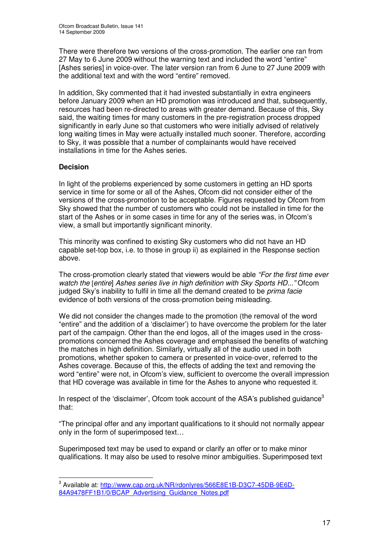There were therefore two versions of the cross-promotion. The earlier one ran from 27 May to 6 June 2009 without the warning text and included the word "entire" [Ashes series] in voice-over. The later version ran from 6 June to 27 June 2009 with the additional text and with the word "entire" removed.

In addition, Sky commented that it had invested substantially in extra engineers before January 2009 when an HD promotion was introduced and that, subsequently, resources had been re-directed to areas with greater demand. Because of this, Sky said, the waiting times for many customers in the pre-registration process dropped significantly in early June so that customers who were initially advised of relatively long waiting times in May were actually installed much sooner. Therefore, according to Sky, it was possible that a number of complainants would have received installations in time for the Ashes series.

### **Decision**

In light of the problems experienced by some customers in getting an HD sports service in time for some or all of the Ashes, Ofcom did not consider either of the versions of the cross-promotion to be acceptable. Figures requested by Ofcom from Sky showed that the number of customers who could not be installed in time for the start of the Ashes or in some cases in time for any of the series was, in Ofcom's view, a small but importantly significant minority.

This minority was confined to existing Sky customers who did not have an HD capable set-top box, i.e. to those in group ii) as explained in the Response section above.

The cross-promotion clearly stated that viewers would be able *"For the first time ever watch the* [*entire*] *Ashes series live in high definition with Sky Sports HD..."* Ofcom judged Sky's inability to fulfil in time all the demand created to be *prima facie* evidence of both versions of the cross-promotion being misleading.

We did not consider the changes made to the promotion (the removal of the word "entire" and the addition of a 'disclaimer') to have overcome the problem for the later part of the campaign. Other than the end logos, all of the images used in the crosspromotions concerned the Ashes coverage and emphasised the benefits of watching the matches in high definition. Similarly, virtually all of the audio used in both promotions, whether spoken to camera or presented in voice-over, referred to the Ashes coverage. Because of this, the effects of adding the text and removing the word "entire" were not, in Ofcom's view, sufficient to overcome the overall impression that HD coverage was available in time for the Ashes to anyone who requested it.

In respect of the 'disclaimer', Ofcom took account of the ASA's published guidance<sup>3</sup> that:

"The principal offer and any important qualifications to it should not normally appear only in the form of superimposed text…

Superimposed text may be used to expand or clarify an offer or to make minor qualifications. It may also be used to resolve minor ambiguities. Superimposed text

<sup>&</sup>lt;sup>3</sup> Available at: <u>http://www.cap.org.uk/NR/rdonlyres/566E8E1B-D3C7-45DB-9E6D-</u> 84A9478FF1B1/0/BCAP\_Advertising\_Guidance\_Notes.pdf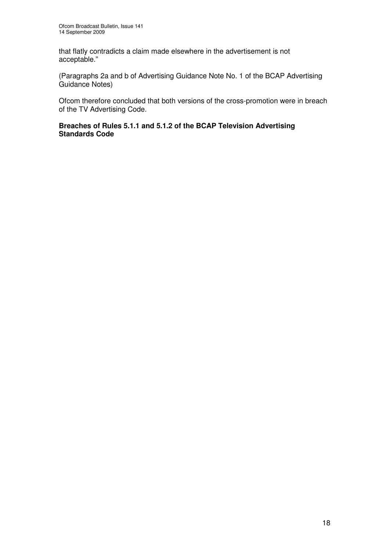that flatly contradicts a claim made elsewhere in the advertisement is not acceptable."

(Paragraphs 2a and b of Advertising Guidance Note No. 1 of the BCAP Advertising Guidance Notes)

Ofcom therefore concluded that both versions of the cross-promotion were in breach of the TV Advertising Code.

### **Breaches of Rules 5.1.1 and 5.1.2 of the BCAP Television Advertising Standards Code**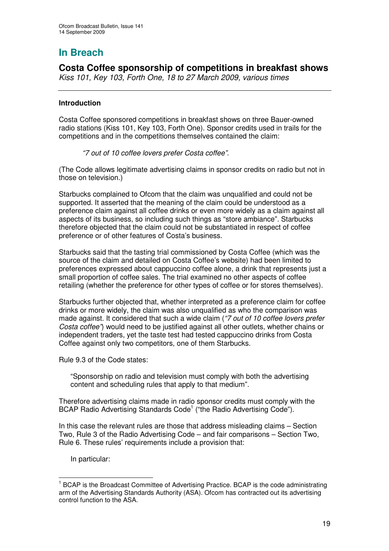**Costa Coffee sponsorship of competitions in breakfast shows** *Kiss 101, Key 103, Forth One, 18 to 27 March 2009, various times*

### **Introduction**

Costa Coffee sponsored competitions in breakfast shows on three Bauer-owned radio stations (Kiss 101, Key 103, Forth One). Sponsor credits used in trails for the competitions and in the competitions themselves contained the claim:

*"7 out of 10 coffee lovers prefer Costa coffee"*.

(The Code allows legitimate advertising claims in sponsor credits on radio but not in those on television.)

Starbucks complained to Ofcom that the claim was unqualified and could not be supported. It asserted that the meaning of the claim could be understood as a preference claim against all coffee drinks or even more widely as a claim against all aspects of its business, so including such things as "store ambiance". Starbucks therefore objected that the claim could not be substantiated in respect of coffee preference or of other features of Costa's business.

Starbucks said that the tasting trial commissioned by Costa Coffee (which was the source of the claim and detailed on Costa Coffee's website) had been limited to preferences expressed about cappuccino coffee alone, a drink that represents just a small proportion of coffee sales. The trial examined no other aspects of coffee retailing (whether the preference for other types of coffee or for stores themselves).

Starbucks further objected that, whether interpreted as a preference claim for coffee drinks or more widely, the claim was also unqualified as who the comparison was made against. It considered that such a wide claim (*"7 out of 10 coffee lovers prefer Costa coffee"*) would need to be justified against all other outlets, whether chains or independent traders, yet the taste test had tested cappuccino drinks from Costa Coffee against only two competitors, one of them Starbucks.

Rule 9.3 of the Code states:

"Sponsorship on radio and television must comply with both the advertising content and scheduling rules that apply to that medium".

Therefore advertising claims made in radio sponsor credits must comply with the BCAP Radio Advertising Standards Code<sup>1</sup> ("the Radio Advertising Code").

In this case the relevant rules are those that address misleading claims – Section Two, Rule 3 of the Radio Advertising Code – and fair comparisons – Section Two, Rule 6. These rules' requirements include a provision that:

In particular:

<sup>&</sup>lt;sup>1</sup> BCAP is the Broadcast Committee of Advertising Practice. BCAP is the code administrating arm of the Advertising Standards Authority (ASA). Ofcom has contracted out its advertising control function to the ASA.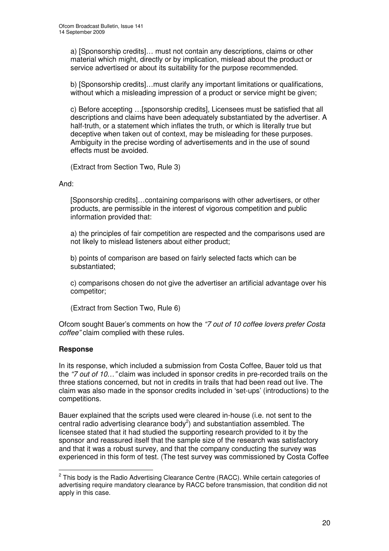a) [Sponsorship credits]… must not contain any descriptions, claims or other material which might, directly or by implication, mislead about the product or service advertised or about its suitability for the purpose recommended.

b) [Sponsorship credits]…must clarify any important limitations or qualifications, without which a misleading impression of a product or service might be given;

c) Before accepting …[sponsorship credits], Licensees must be satisfied that all descriptions and claims have been adequately substantiated by the advertiser. A half-truth, or a statement which inflates the truth, or which is literally true but deceptive when taken out of context, may be misleading for these purposes. Ambiguity in the precise wording of advertisements and in the use of sound effects must be avoided.

(Extract from Section Two, Rule 3)

### And:

[Sponsorship credits]…containing comparisons with other advertisers, or other products, are permissible in the interest of vigorous competition and public information provided that:

a) the principles of fair competition are respected and the comparisons used are not likely to mislead listeners about either product;

b) points of comparison are based on fairly selected facts which can be substantiated;

c) comparisons chosen do not give the advertiser an artificial advantage over his competitor;

(Extract from Section Two, Rule 6)

Ofcom sought Bauer's comments on how the *"7 out of 10 coffee lovers prefer Costa coffee"* claim complied with these rules.

### **Response**

In its response, which included a submission from Costa Coffee, Bauer told us that the *"7 out of 10…"* claim was included in sponsor credits in pre-recorded trails on the three stations concerned, but not in credits in trails that had been read out live. The claim was also made in the sponsor credits included in 'set-ups' (introductions) to the competitions.

Bauer explained that the scripts used were cleared in-house (i.e. not sent to the central radio advertising clearance body<sup>2</sup>) and substantiation assembled. The licensee stated that it had studied the supporting research provided to it by the sponsor and reassured itself that the sample size of the research was satisfactory and that it was a robust survey, and that the company conducting the survey was experienced in this form of test. (The test survey was commissioned by Costa Coffee

 $2$  This body is the Radio Advertising Clearance Centre (RACC). While certain categories of advertising require mandatory clearance by RACC before transmission, that condition did not apply in this case.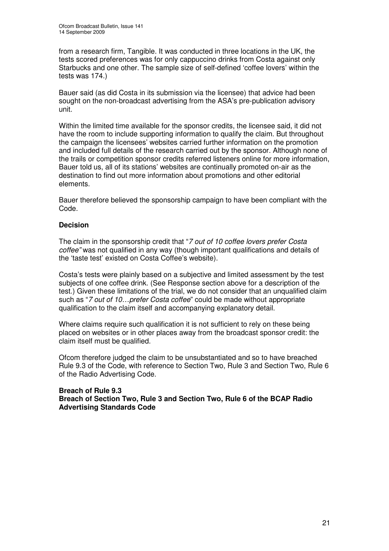from a research firm, Tangible. It was conducted in three locations in the UK, the tests scored preferences was for only cappuccino drinks from Costa against only Starbucks and one other. The sample size of self-defined 'coffee lovers' within the tests was 174.)

Bauer said (as did Costa in its submission via the licensee) that advice had been sought on the non-broadcast advertising from the ASA's pre-publication advisory unit.

Within the limited time available for the sponsor credits, the licensee said, it did not have the room to include supporting information to qualify the claim. But throughout the campaign the licensees' websites carried further information on the promotion and included full details of the research carried out by the sponsor. Although none of the trails or competition sponsor credits referred listeners online for more information, Bauer told us, all of its stations' websites are continually promoted on-air as the destination to find out more information about promotions and other editorial elements.

Bauer therefore believed the sponsorship campaign to have been compliant with the Code.

### **Decision**

The claim in the sponsorship credit that "*7 out of 10 coffee lovers prefer Costa coffee"* was not qualified in any way (though important qualifications and details of the 'taste test' existed on Costa Coffee's website).

Costa's tests were plainly based on a subjective and limited assessment by the test subjects of one coffee drink. (See Response section above for a description of the test.) Given these limitations of the trial, we do not consider that an unqualified claim such as "*7 out of 10…prefer Costa coffee*" could be made without appropriate qualification to the claim itself and accompanying explanatory detail.

Where claims require such qualification it is not sufficient to rely on these being placed on websites or in other places away from the broadcast sponsor credit: the claim itself must be qualified.

Ofcom therefore judged the claim to be unsubstantiated and so to have breached Rule 9.3 of the Code, with reference to Section Two, Rule 3 and Section Two, Rule 6 of the Radio Advertising Code.

### **Breach of Rule 9.3 Breach of Section Two, Rule 3 and Section Two, Rule 6 of the BCAP Radio Advertising Standards Code**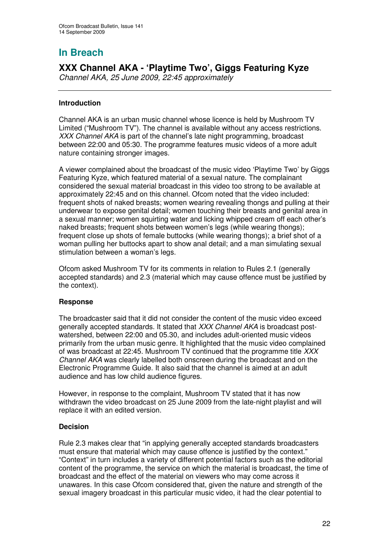# **XXX Channel AKA - 'Playtime Two', Giggs Featuring Kyze**

*Channel AKA, 25 June 2009, 22:45 approximately*

### **Introduction**

Channel AKA is an urban music channel whose licence is held by Mushroom TV Limited ("Mushroom TV"). The channel is available without any access restrictions. *XXX Channel AKA* is part of the channel's late night programming, broadcast between 22:00 and 05:30. The programme features music videos of a more adult nature containing stronger images.

A viewer complained about the broadcast of the music video 'Playtime Two' by Giggs Featuring Kyze, which featured material of a sexual nature. The complainant considered the sexual material broadcast in this video too strong to be available at approximately 22:45 and on this channel. Ofcom noted that the video included: frequent shots of naked breasts; women wearing revealing thongs and pulling at their underwear to expose genital detail; women touching their breasts and genital area in a sexual manner; women squirting water and licking whipped cream off each other's naked breasts; frequent shots between women's legs (while wearing thongs); frequent close up shots of female buttocks (while wearing thongs); a brief shot of a woman pulling her buttocks apart to show anal detail; and a man simulating sexual stimulation between a woman's legs.

Ofcom asked Mushroom TV for its comments in relation to Rules 2.1 (generally accepted standards) and 2.3 (material which may cause offence must be justified by the context).

### **Response**

The broadcaster said that it did not consider the content of the music video exceed generally accepted standards. It stated that *XXX Channel AKA* is broadcast postwatershed, between 22:00 and 05.30, and includes adult-oriented music videos primarily from the urban music genre. It highlighted that the music video complained of was broadcast at 22:45. Mushroom TV continued that the programme title *XXX Channel AKA* was clearly labelled both onscreen during the broadcast and on the Electronic Programme Guide. It also said that the channel is aimed at an adult audience and has low child audience figures.

However, in response to the complaint, Mushroom TV stated that it has now withdrawn the video broadcast on 25 June 2009 from the late-night playlist and will replace it with an edited version.

### **Decision**

Rule 2.3 makes clear that "in applying generally accepted standards broadcasters must ensure that material which may cause offence is justified by the context." "Context" in turn includes a variety of different potential factors such as the editorial content of the programme, the service on which the material is broadcast, the time of broadcast and the effect of the material on viewers who may come across it unawares. In this case Ofcom considered that, given the nature and strength of the sexual imagery broadcast in this particular music video, it had the clear potential to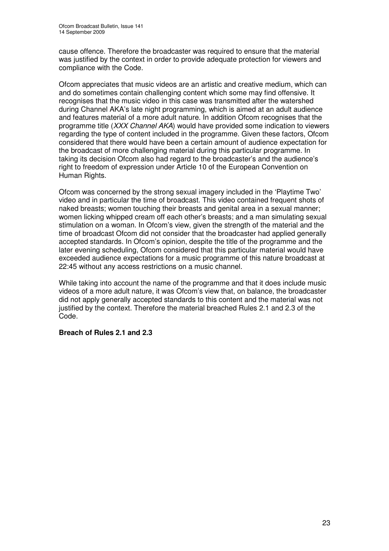cause offence. Therefore the broadcaster was required to ensure that the material was justified by the context in order to provide adequate protection for viewers and compliance with the Code.

Ofcom appreciates that music videos are an artistic and creative medium, which can and do sometimes contain challenging content which some may find offensive. It recognises that the music video in this case was transmitted after the watershed during Channel AKA's late night programming, which is aimed at an adult audience and features material of a more adult nature. In addition Ofcom recognises that the programme title (*XXX Channel AKA*) would have provided some indication to viewers regarding the type of content included in the programme. Given these factors, Ofcom considered that there would have been a certain amount of audience expectation for the broadcast of more challenging material during this particular programme. In taking its decision Ofcom also had regard to the broadcaster's and the audience's right to freedom of expression under Article 10 of the European Convention on Human Rights.

Ofcom was concerned by the strong sexual imagery included in the 'Playtime Two' video and in particular the time of broadcast. This video contained frequent shots of naked breasts; women touching their breasts and genital area in a sexual manner; women licking whipped cream off each other's breasts; and a man simulating sexual stimulation on a woman. In Ofcom's view, given the strength of the material and the time of broadcast Ofcom did not consider that the broadcaster had applied generally accepted standards. In Ofcom's opinion, despite the title of the programme and the later evening scheduling, Ofcom considered that this particular material would have exceeded audience expectations for a music programme of this nature broadcast at 22:45 without any access restrictions on a music channel.

While taking into account the name of the programme and that it does include music videos of a more adult nature, it was Ofcom's view that, on balance, the broadcaster did not apply generally accepted standards to this content and the material was not justified by the context. Therefore the material breached Rules 2.1 and 2.3 of the Code.

### **Breach of Rules 2.1 and 2.3**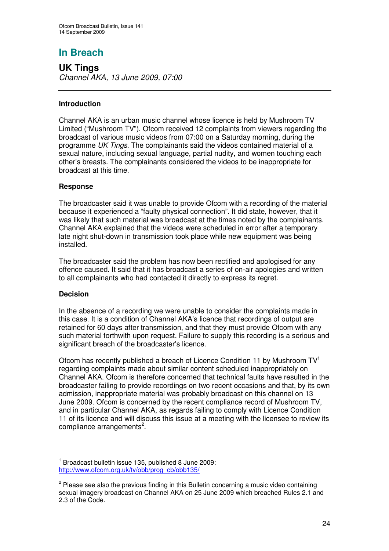**UK Tings** *Channel AKA, 13 June 2009, 07:00*

### **Introduction**

Channel AKA is an urban music channel whose licence is held by Mushroom TV Limited ("Mushroom TV"). Ofcom received 12 complaints from viewers regarding the broadcast of various music videos from 07:00 on a Saturday morning, during the programme *UK Tings*. The complainants said the videos contained material of a sexual nature, including sexual language, partial nudity, and women touching each other's breasts. The complainants considered the videos to be inappropriate for broadcast at this time.

### **Response**

The broadcaster said it was unable to provide Ofcom with a recording of the material because it experienced a "faulty physical connection". It did state, however, that it was likely that such material was broadcast at the times noted by the complainants. Channel AKA explained that the videos were scheduled in error after a temporary late night shut-down in transmission took place while new equipment was being installed.

The broadcaster said the problem has now been rectified and apologised for any offence caused. It said that it has broadcast a series of on-air apologies and written to all complainants who had contacted it directly to express its regret.

### **Decision**

In the absence of a recording we were unable to consider the complaints made in this case. It is a condition of Channel AKA's licence that recordings of output are retained for 60 days after transmission, and that they must provide Ofcom with any such material forthwith upon request. Failure to supply this recording is a serious and significant breach of the broadcaster's licence.

Ofcom has recently published a breach of Licence Condition 11 by Mushroom  $TV<sup>1</sup>$ regarding complaints made about similar content scheduled inappropriately on Channel AKA. Ofcom is therefore concerned that technical faults have resulted in the broadcaster failing to provide recordings on two recent occasions and that, by its own admission, inappropriate material was probably broadcast on this channel on 13 June 2009. Ofcom is concerned by the recent compliance record of Mushroom TV, and in particular Channel AKA, as regards failing to comply with Licence Condition 11 of its licence and will discuss this issue at a meeting with the licensee to review its compliance arrangements<sup>2</sup>.

<sup>1</sup> Broadcast bulletin issue 135, published 8 June 2009: http://www.ofcom.org.uk/tv/obb/prog\_cb/obb135/

<sup>&</sup>lt;sup>2</sup> Please see also the previous finding in this Bulletin concerning a music video containing sexual imagery broadcast on Channel AKA on 25 June 2009 which breached Rules 2.1 and 2.3 of the Code.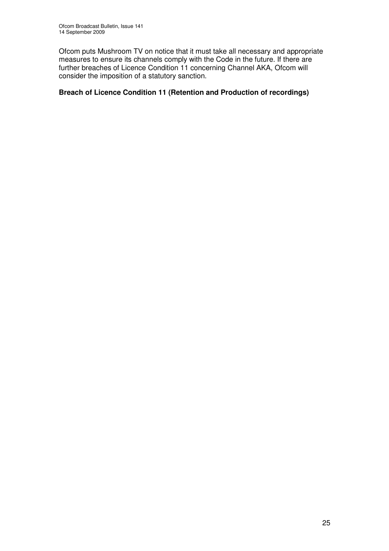Ofcom puts Mushroom TV on notice that it must take all necessary and appropriate measures to ensure its channels comply with the Code in the future. If there are further breaches of Licence Condition 11 concerning Channel AKA, Ofcom will consider the imposition of a statutory sanction.

### **Breach of Licence Condition 11 (Retention and Production of recordings)**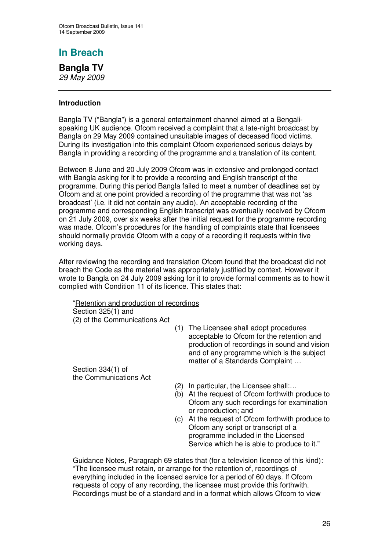# **Bangla TV**

*29 May 2009*

### **Introduction**

Bangla TV ("Bangla") is a general entertainment channel aimed at a Bengalispeaking UK audience. Ofcom received a complaint that a late-night broadcast by Bangla on 29 May 2009 contained unsuitable images of deceased flood victims. During its investigation into this complaint Ofcom experienced serious delays by Bangla in providing a recording of the programme and a translation of its content.

Between 8 June and 20 July 2009 Ofcom was in extensive and prolonged contact with Bangla asking for it to provide a recording and English transcript of the programme. During this period Bangla failed to meet a number of deadlines set by Ofcom and at one point provided a recording of the programme that was not 'as broadcast' (i.e. it did not contain any audio). An acceptable recording of the programme and corresponding English transcript was eventually received by Ofcom on 21 July 2009, over six weeks after the initial request for the programme recording was made. Ofcom's procedures for the handling of complaints state that licensees should normally provide Ofcom with a copy of a recording it requests within five working days.

After reviewing the recording and translation Ofcom found that the broadcast did not breach the Code as the material was appropriately justified by context. However it wrote to Bangla on 24 July 2009 asking for it to provide formal comments as to how it complied with Condition 11 of its licence. This states that:

"Retention and production of recordings Section 325(1) and

(2) of the Communications Act

(1) The Licensee shall adopt procedures acceptable to Ofcom for the retention and production of recordings in sound and vision and of any programme which is the subject matter of a Standards Complaint …

Section 334(1) of the Communications Act

- (2) In particular, the Licensee shall:…
- (b) At the request of Ofcom forthwith produce to Ofcom any such recordings for examination or reproduction; and
- (c) At the request of Ofcom forthwith produce to Ofcom any script or transcript of a programme included in the Licensed Service which he is able to produce to it."

Guidance Notes, Paragraph 69 states that (for a television licence of this kind): "The licensee must retain, or arrange for the retention of, recordings of everything included in the licensed service for a period of 60 days. If Ofcom requests of copy of any recording, the licensee must provide this forthwith. Recordings must be of a standard and in a format which allows Ofcom to view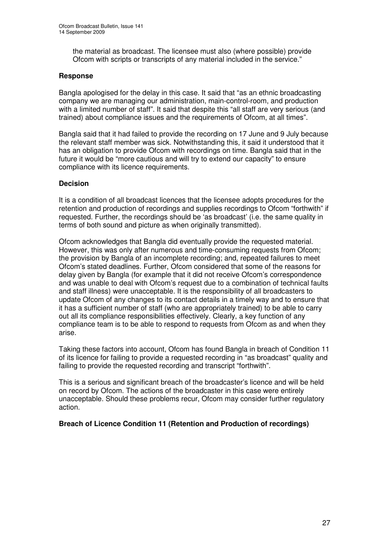the material as broadcast. The licensee must also (where possible) provide Ofcom with scripts or transcripts of any material included in the service."

### **Response**

Bangla apologised for the delay in this case. It said that "as an ethnic broadcasting company we are managing our administration, main-control-room, and production with a limited number of staff". It said that despite this "all staff are very serious (and trained) about compliance issues and the requirements of Ofcom, at all times".

Bangla said that it had failed to provide the recording on 17 June and 9 July because the relevant staff member was sick. Notwithstanding this, it said it understood that it has an obligation to provide Ofcom with recordings on time. Bangla said that in the future it would be "more cautious and will try to extend our capacity" to ensure compliance with its licence requirements.

### **Decision**

It is a condition of all broadcast licences that the licensee adopts procedures for the retention and production of recordings and supplies recordings to Ofcom "forthwith" if requested. Further, the recordings should be 'as broadcast' (i.e. the same quality in terms of both sound and picture as when originally transmitted).

Ofcom acknowledges that Bangla did eventually provide the requested material. However, this was only after numerous and time-consuming requests from Ofcom; the provision by Bangla of an incomplete recording; and, repeated failures to meet Ofcom's stated deadlines. Further, Ofcom considered that some of the reasons for delay given by Bangla (for example that it did not receive Ofcom's correspondence and was unable to deal with Ofcom's request due to a combination of technical faults and staff illness) were unacceptable. It is the responsibility of all broadcasters to update Ofcom of any changes to its contact details in a timely way and to ensure that it has a sufficient number of staff (who are appropriately trained) to be able to carry out all its compliance responsibilities effectively. Clearly, a key function of any compliance team is to be able to respond to requests from Ofcom as and when they arise.

Taking these factors into account, Ofcom has found Bangla in breach of Condition 11 of its licence for failing to provide a requested recording in "as broadcast" quality and failing to provide the requested recording and transcript "forthwith".

This is a serious and significant breach of the broadcaster's licence and will be held on record by Ofcom. The actions of the broadcaster in this case were entirely unacceptable. Should these problems recur, Ofcom may consider further regulatory action.

### **Breach of Licence Condition 11 (Retention and Production of recordings)**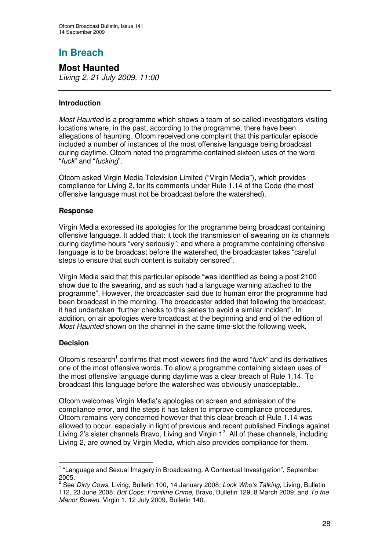**Most Haunted** *Living 2, 21 July 2009, 11:00*

### **Introduction**

*Most Haunted* is a programme which shows a team of so-called investigators visiting locations where, in the past, according to the programme, there have been allegations of haunting. Ofcom received one complaint that this particular episode included a number of instances of the most offensive language being broadcast during daytime. Ofcom noted the programme contained sixteen uses of the word "*fuck*" and "*fucking*".

Ofcom asked Virgin Media Television Limited ("Virgin Media"), which provides compliance for Living 2, for its comments under Rule 1.14 of the Code (the most offensive language must not be broadcast before the watershed).

### **Response**

Virgin Media expressed its apologies for the programme being broadcast containing offensive language. It added that: it took the transmission of swearing on its channels during daytime hours "very seriously"; and where a programme containing offensive language is to be broadcast before the watershed, the broadcaster takes "careful steps to ensure that such content is suitably censored".

Virgin Media said that this particular episode "was identified as being a post 2100 show due to the swearing, and as such had a language warning attached to the programme". However, the broadcaster said due to human error the programme had been broadcast in the morning. The broadcaster added that following the broadcast, it had undertaken "further checks to this series to avoid a similar incident". In addition, on air apologies were broadcast at the beginning and end of the edition of *Most Haunted* shown on the channel in the same time-slot the following week.

### **Decision**

Ofcom's research<sup>1</sup> confirms that most viewers find the word "*fuck*" and its derivatives one of the most offensive words. To allow a programme containing sixteen uses of the most offensive language during daytime was a clear breach of Rule 1.14. To broadcast this language before the watershed was obviously unacceptable..

Ofcom welcomes Virgin Media's apologies on screen and admission of the compliance error, and the steps it has taken to improve compliance procedures. Ofcom remains very concerned however that this clear breach of Rule 1.14 was allowed to occur, especially in light of previous and recent published Findings against Living 2's sister channels Bravo, Living and Virgin 1<sup>2</sup>. All of these channels, including Living 2, are owned by Virgin Media, which also provides compliance for them.

<sup>&</sup>lt;sup>1</sup> "Language and Sexual Imagery in Broadcasting: A Contextual Investigation", September 2005.

<sup>2</sup> See *Dirty Cows,* Living, Bulletin 100, 14 January 2008; *Look Who's Talking,* Living, Bulletin 112, 23 June 2008; *Brit Cops: Frontline Crime*, Bravo, Bulletin 129, 8 March 2009; and *To the Manor Bowen*, Virgin 1, 12 July 2009, Bulletin 140.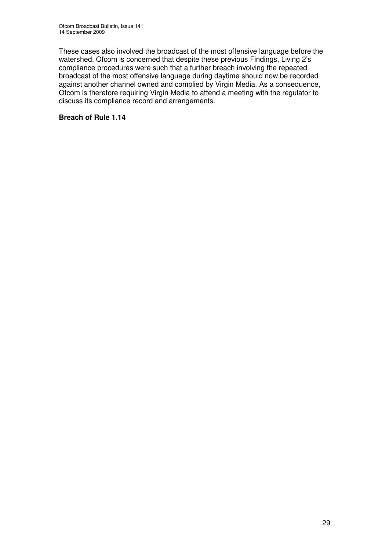These cases also involved the broadcast of the most offensive language before the watershed. Ofcom is concerned that despite these previous Findings, Living 2's compliance procedures were such that a further breach involving the repeated broadcast of the most offensive language during daytime should now be recorded against another channel owned and complied by Virgin Media. As a consequence, Ofcom is therefore requiring Virgin Media to attend a meeting with the regulator to discuss its compliance record and arrangements.

### **Breach of Rule 1.14**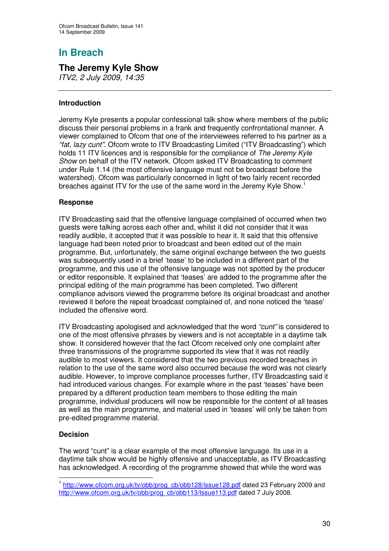# **The Jeremy Kyle Show**

*ITV2, 2 July 2009, 14:35*

### **Introduction**

Jeremy Kyle presents a popular confessional talk show where members of the public discuss their personal problems in a frank and frequently confrontational manner. A viewer complained to Ofcom that one of the interviewees referred to his partner as a *"fat, lazy cunt"*. Ofcom wrote to ITV Broadcasting Limited ("ITV Broadcasting") which holds 11 ITV licences and is responsible for the compliance of *The Jeremy Kyle Show* on behalf of the ITV network. Ofcom asked ITV Broadcasting to comment under Rule 1.14 (the most offensive language must not be broadcast before the watershed). Ofcom was particularly concerned in light of two fairly recent recorded breaches against ITV for the use of the same word in the Jeremy Kyle Show.<sup>1</sup>

### **Response**

ITV Broadcasting said that the offensive language complained of occurred when two guests were talking across each other and, whilst it did not consider that it was readily audible, it accepted that it was possible to hear it. It said that this offensive language had been noted prior to broadcast and been edited out of the main programme. But, unfortunately, the same original exchange between the two guests was subsequently used in a brief 'tease' to be included in a different part of the programme, and this use of the offensive language was not spotted by the producer or editor responsible. It explained that 'teases' are added to the programme after the principal editing of the main programme has been completed. Two different compliance advisors viewed the programme before its original broadcast and another reviewed it before the repeat broadcast complained of, and none noticed the 'tease' included the offensive word.

ITV Broadcasting apologised and acknowledged that the word *"cunt"* is considered to one of the most offensive phrases by viewers and is not acceptable in a daytime talk show. It considered however that the fact Ofcom received only one complaint after three transmissions of the programme supported its view that it was not readily audible to most viewers. It considered that the two previous recorded breaches in relation to the use of the same word also occurred because the word was not clearly audible. However, to improve compliance processes further, ITV Broadcasting said it had introduced various changes. For example where in the past 'teases' have been prepared by a different production team members to those editing the main programme, individual producers will now be responsible for the content of all teases as well as the main programme, and material used in 'teases' will only be taken from pre-edited programme material.

### **Decision**

The word "cunt" is a clear example of the most offensive language. Its use in a daytime talk show would be highly offensive and unacceptable, as ITV Broadcasting has acknowledged. A recording of the programme showed that while the word was

<sup>&</sup>lt;sup>1</sup> http://www.ofcom.org.uk/tv/obb/prog\_cb/obb128/issue128.pdf dated 23 February 2009 and http://www.ofcom.org.uk/ty/obb/prog\_cb/obb113/Issue113.pdf dated 7 July 2008.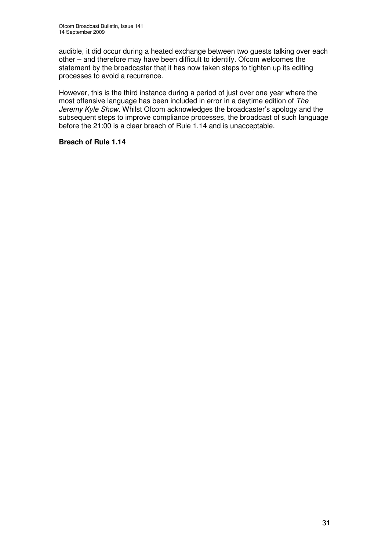audible, it did occur during a heated exchange between two guests talking over each other – and therefore may have been difficult to identify. Ofcom welcomes the statement by the broadcaster that it has now taken steps to tighten up its editing processes to avoid a recurrence.

However, this is the third instance during a period of just over one year where the most offensive language has been included in error in a daytime edition of *The Jeremy Kyle Show*. Whilst Ofcom acknowledges the broadcaster's apology and the subsequent steps to improve compliance processes, the broadcast of such language before the 21:00 is a clear breach of Rule 1.14 and is unacceptable.

### **Breach of Rule 1.14**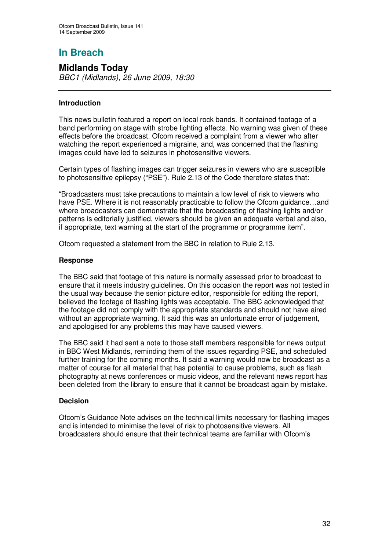# **Midlands Today**

*BBC1 (Midlands), 26 June 2009, 18:30*

### **Introduction**

This news bulletin featured a report on local rock bands. It contained footage of a band performing on stage with strobe lighting effects. No warning was given of these effects before the broadcast. Ofcom received a complaint from a viewer who after watching the report experienced a migraine, and, was concerned that the flashing images could have led to seizures in photosensitive viewers.

Certain types of flashing images can trigger seizures in viewers who are susceptible to photosensitive epilepsy ("PSE"). Rule 2.13 of the Code therefore states that:

"Broadcasters must take precautions to maintain a low level of risk to viewers who have PSE. Where it is not reasonably practicable to follow the Ofcom guidance...and where broadcasters can demonstrate that the broadcasting of flashing lights and/or patterns is editorially justified, viewers should be given an adequate verbal and also, if appropriate, text warning at the start of the programme or programme item".

Ofcom requested a statement from the BBC in relation to Rule 2.13.

### **Response**

The BBC said that footage of this nature is normally assessed prior to broadcast to ensure that it meets industry guidelines. On this occasion the report was not tested in the usual way because the senior picture editor, responsible for editing the report, believed the footage of flashing lights was acceptable. The BBC acknowledged that the footage did not comply with the appropriate standards and should not have aired without an appropriate warning. It said this was an unfortunate error of judgement, and apologised for any problems this may have caused viewers.

The BBC said it had sent a note to those staff members responsible for news output in BBC West Midlands, reminding them of the issues regarding PSE, and scheduled further training for the coming months. It said a warning would now be broadcast as a matter of course for all material that has potential to cause problems, such as flash photography at news conferences or music videos, and the relevant news report has been deleted from the library to ensure that it cannot be broadcast again by mistake.

### **Decision**

Ofcom's Guidance Note advises on the technical limits necessary for flashing images and is intended to minimise the level of risk to photosensitive viewers. All broadcasters should ensure that their technical teams are familiar with Ofcom's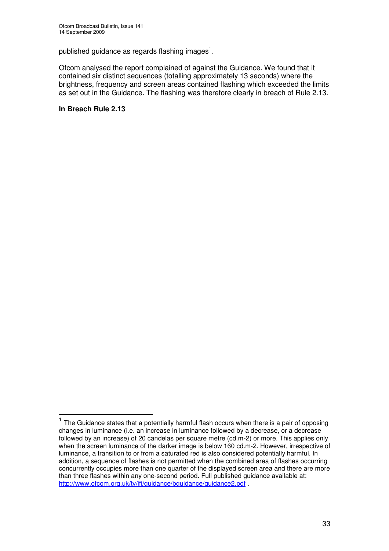published guidance as regards flashing images $^{\rm 1}.$ 

Ofcom analysed the report complained of against the Guidance. We found that it contained six distinct sequences (totalling approximately 13 seconds) where the brightness, frequency and screen areas contained flashing which exceeded the limits as set out in the Guidance. The flashing was therefore clearly in breach of Rule 2.13.

### **In Breach Rule 2.13**

<sup>&</sup>lt;sup>1</sup> The Guidance states that a potentially harmful flash occurs when there is a pair of opposing changes in luminance (i.e. an increase in luminance followed by a decrease, or a decrease followed by an increase) of 20 candelas per square metre (cd.m-2) or more. This applies only when the screen luminance of the darker image is below 160 cd.m-2. However, irrespective of luminance, a transition to or from a saturated red is also considered potentially harmful. In addition, a sequence of flashes is not permitted when the combined area of flashes occurring concurrently occupies more than one quarter of the displayed screen area and there are more than three flashes within any one-second period. Full published guidance available at: http://www.ofcom.org.uk/tv/ifi/guidance/bguidance/guidance2.pdf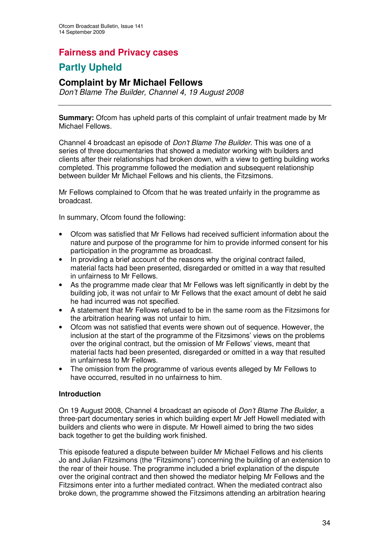# **Fairness and Privacy cases**

# **Partly Upheld**

## **Complaint by Mr Michael Fellows**

*Don't Blame The Builder, Channel 4, 19 August 2008*

**Summary:** Ofcom has upheld parts of this complaint of unfair treatment made by Mr Michael Fellows.

Channel 4 broadcast an episode of *Don't Blame The Builder*. This was one of a series of three documentaries that showed a mediator working with builders and clients after their relationships had broken down, with a view to getting building works completed. This programme followed the mediation and subsequent relationship between builder Mr Michael Fellows and his clients, the Fitzsimons.

Mr Fellows complained to Ofcom that he was treated unfairly in the programme as broadcast.

In summary, Ofcom found the following:

- Ofcom was satisfied that Mr Fellows had received sufficient information about the nature and purpose of the programme for him to provide informed consent for his participation in the programme as broadcast.
- In providing a brief account of the reasons why the original contract failed, material facts had been presented, disregarded or omitted in a way that resulted in unfairness to Mr Fellows.
- As the programme made clear that Mr Fellows was left significantly in debt by the building job, it was not unfair to Mr Fellows that the exact amount of debt he said he had incurred was not specified.
- A statement that Mr Fellows refused to be in the same room as the Fitzsimons for the arbitration hearing was not unfair to him.
- Ofcom was not satisfied that events were shown out of sequence. However, the inclusion at the start of the programme of the Fitzsimons' views on the problems over the original contract, but the omission of Mr Fellows' views, meant that material facts had been presented, disregarded or omitted in a way that resulted in unfairness to Mr Fellows.
- The omission from the programme of various events alleged by Mr Fellows to have occurred, resulted in no unfairness to him.

### **Introduction**

On 19 August 2008, Channel 4 broadcast an episode of *Don't Blame The Builder*, a three-part documentary series in which building expert Mr Jeff Howell mediated with builders and clients who were in dispute. Mr Howell aimed to bring the two sides back together to get the building work finished.

This episode featured a dispute between builder Mr Michael Fellows and his clients Jo and Julian Fitzsimons (the "Fitzsimons") concerning the building of an extension to the rear of their house. The programme included a brief explanation of the dispute over the original contract and then showed the mediator helping Mr Fellows and the Fitzsimons enter into a further mediated contract. When the mediated contract also broke down, the programme showed the Fitzsimons attending an arbitration hearing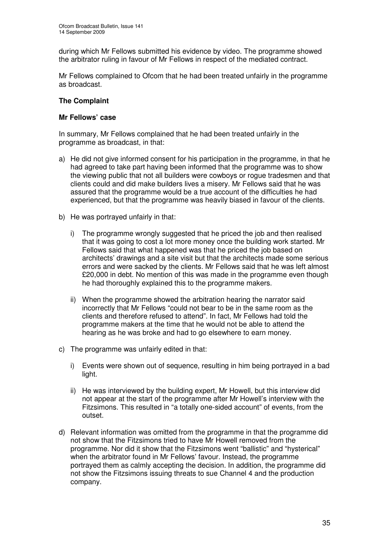during which Mr Fellows submitted his evidence by video. The programme showed the arbitrator ruling in favour of Mr Fellows in respect of the mediated contract.

Mr Fellows complained to Ofcom that he had been treated unfairly in the programme as broadcast.

### **The Complaint**

### **Mr Fellows' case**

In summary, Mr Fellows complained that he had been treated unfairly in the programme as broadcast, in that:

- a) He did not give informed consent for his participation in the programme, in that he had agreed to take part having been informed that the programme was to show the viewing public that not all builders were cowboys or rogue tradesmen and that clients could and did make builders lives a misery. Mr Fellows said that he was assured that the programme would be a true account of the difficulties he had experienced, but that the programme was heavily biased in favour of the clients.
- b) He was portrayed unfairly in that:
	- i) The programme wrongly suggested that he priced the job and then realised that it was going to cost a lot more money once the building work started. Mr Fellows said that what happened was that he priced the job based on architects' drawings and a site visit but that the architects made some serious errors and were sacked by the clients. Mr Fellows said that he was left almost £20,000 in debt. No mention of this was made in the programme even though he had thoroughly explained this to the programme makers.
	- ii) When the programme showed the arbitration hearing the narrator said incorrectly that Mr Fellows "could not bear to be in the same room as the clients and therefore refused to attend". In fact, Mr Fellows had told the programme makers at the time that he would not be able to attend the hearing as he was broke and had to go elsewhere to earn money.
- c) The programme was unfairly edited in that:
	- i) Events were shown out of sequence, resulting in him being portrayed in a bad light.
	- ii) He was interviewed by the building expert, Mr Howell, but this interview did not appear at the start of the programme after Mr Howell's interview with the Fitzsimons. This resulted in "a totally one-sided account" of events, from the outset.
- d) Relevant information was omitted from the programme in that the programme did not show that the Fitzsimons tried to have Mr Howell removed from the programme. Nor did it show that the Fitzsimons went "ballistic" and "hysterical" when the arbitrator found in Mr Fellows' favour. Instead, the programme portrayed them as calmly accepting the decision. In addition, the programme did not show the Fitzsimons issuing threats to sue Channel 4 and the production company.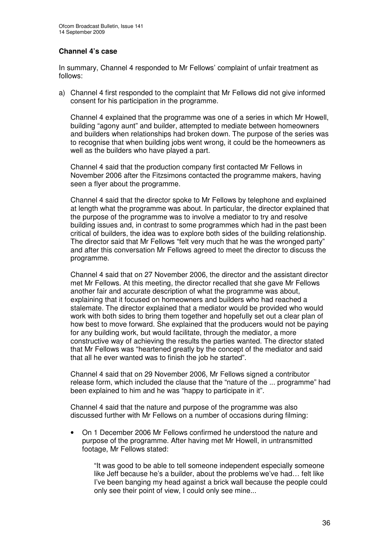### **Channel 4's case**

In summary, Channel 4 responded to Mr Fellows' complaint of unfair treatment as follows:

a) Channel 4 first responded to the complaint that Mr Fellows did not give informed consent for his participation in the programme.

Channel 4 explained that the programme was one of a series in which Mr Howell, building "agony aunt" and builder, attempted to mediate between homeowners and builders when relationships had broken down. The purpose of the series was to recognise that when building jobs went wrong, it could be the homeowners as well as the builders who have played a part.

Channel 4 said that the production company first contacted Mr Fellows in November 2006 after the Fitzsimons contacted the programme makers, having seen a flyer about the programme.

Channel 4 said that the director spoke to Mr Fellows by telephone and explained at length what the programme was about. In particular, the director explained that the purpose of the programme was to involve a mediator to try and resolve building issues and, in contrast to some programmes which had in the past been critical of builders, the idea was to explore both sides of the building relationship. The director said that Mr Fellows "felt very much that he was the wronged party" and after this conversation Mr Fellows agreed to meet the director to discuss the programme.

Channel 4 said that on 27 November 2006, the director and the assistant director met Mr Fellows. At this meeting, the director recalled that she gave Mr Fellows another fair and accurate description of what the programme was about, explaining that it focused on homeowners and builders who had reached a stalemate. The director explained that a mediator would be provided who would work with both sides to bring them together and hopefully set out a clear plan of how best to move forward. She explained that the producers would not be paying for any building work, but would facilitate, through the mediator, a more constructive way of achieving the results the parties wanted. The director stated that Mr Fellows was "heartened greatly by the concept of the mediator and said that all he ever wanted was to finish the job he started".

Channel 4 said that on 29 November 2006, Mr Fellows signed a contributor release form, which included the clause that the "nature of the ... programme" had been explained to him and he was "happy to participate in it".

Channel 4 said that the nature and purpose of the programme was also discussed further with Mr Fellows on a number of occasions during filming:

• On 1 December 2006 Mr Fellows confirmed he understood the nature and purpose of the programme. After having met Mr Howell, in untransmitted footage, Mr Fellows stated:

"It was good to be able to tell someone independent especially someone like Jeff because he's a builder, about the problems we've had… felt like I've been banging my head against a brick wall because the people could only see their point of view, I could only see mine...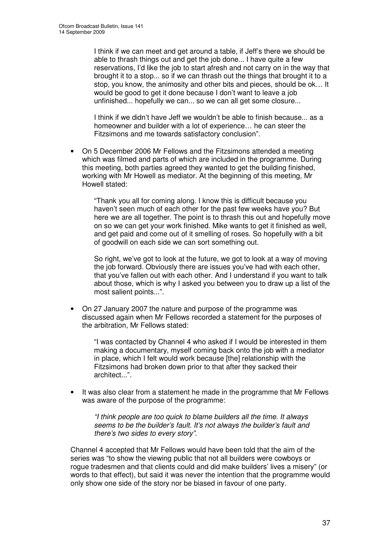I think if we can meet and get around a table, if Jeff's there we should be able to thrash things out and get the job done... I have quite a few reservations, I'd like the job to start afresh and not carry on in the way that brought it to a stop... so if we can thrash out the things that brought it to a stop, you know, the animosity and other bits and pieces, should be ok… It would be good to get it done because I don't want to leave a job unfinished... hopefully we can... so we can all get some closure...

I think if we didn't have Jeff we wouldn't be able to finish because... as a homeowner and builder with a lot of experience… he can steer the Fitzsimons and me towards satisfactory conclusion".

• On 5 December 2006 Mr Fellows and the Fitzsimons attended a meeting which was filmed and parts of which are included in the programme. During this meeting, both parties agreed they wanted to get the building finished, working with Mr Howell as mediator. At the beginning of this meeting, Mr Howell stated:

"Thank you all for coming along. I know this is difficult because you haven't seen much of each other for the past few weeks have you? But here we are all together. The point is to thrash this out and hopefully move on so we can get your work finished. Mike wants to get it finished as well, and get paid and come out of it smelling of roses. So hopefully with a bit of goodwill on each side we can sort something out.

So right, we've got to look at the future, we got to look at a way of moving the job forward. Obviously there are issues you've had with each other, that you've fallen out with each other. And I understand if you want to talk about those, which is why I asked you between you to draw up a list of the most salient points...".

• On 27 January 2007 the nature and purpose of the programme was discussed again when Mr Fellows recorded a statement for the purposes of the arbitration, Mr Fellows stated:

"I was contacted by Channel 4 who asked if I would be interested in them making a documentary, myself coming back onto the job with a mediator in place, which I felt would work because [the] relationship with the Fitzsimons had broken down prior to that after they sacked their architect..."*.*

It was also clear from a statement he made in the programme that Mr Fellows was aware of the purpose of the programme:

*"I think people are too quick to blame builders all the time. It always seems to be the builder's fault. It's not always the builder's fault and there's two sides to every story"*.

Channel 4 accepted that Mr Fellows would have been told that the aim of the series was "to show the viewing public that not all builders were cowboys or rogue tradesmen and that clients could and did make builders' lives a misery" (or words to that effect), but said it was never the intention that the programme would only show one side of the story nor be biased in favour of one party.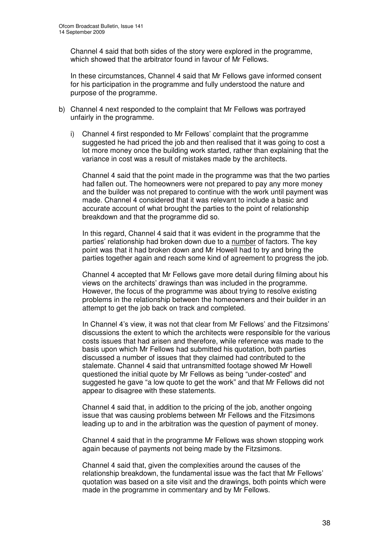Channel 4 said that both sides of the story were explored in the programme, which showed that the arbitrator found in favour of Mr Fellows.

In these circumstances, Channel 4 said that Mr Fellows gave informed consent for his participation in the programme and fully understood the nature and purpose of the programme.

- b) Channel 4 next responded to the complaint that Mr Fellows was portrayed unfairly in the programme.
	- i) Channel 4 first responded to Mr Fellows' complaint that the programme suggested he had priced the job and then realised that it was going to cost a lot more money once the building work started, rather than explaining that the variance in cost was a result of mistakes made by the architects.

Channel 4 said that the point made in the programme was that the two parties had fallen out. The homeowners were not prepared to pay any more money and the builder was not prepared to continue with the work until payment was made. Channel 4 considered that it was relevant to include a basic and accurate account of what brought the parties to the point of relationship breakdown and that the programme did so.

In this regard, Channel 4 said that it was evident in the programme that the parties' relationship had broken down due to a number of factors. The key point was that it had broken down and Mr Howell had to try and bring the parties together again and reach some kind of agreement to progress the job.

Channel 4 accepted that Mr Fellows gave more detail during filming about his views on the architects' drawings than was included in the programme. However, the focus of the programme was about trying to resolve existing problems in the relationship between the homeowners and their builder in an attempt to get the job back on track and completed.

In Channel 4's view, it was not that clear from Mr Fellows' and the Fitzsimons' discussions the extent to which the architects were responsible for the various costs issues that had arisen and therefore, while reference was made to the basis upon which Mr Fellows had submitted his quotation, both parties discussed a number of issues that they claimed had contributed to the stalemate. Channel 4 said that untransmitted footage showed Mr Howell questioned the initial quote by Mr Fellows as being "under-costed" and suggested he gave "a low quote to get the work" and that Mr Fellows did not appear to disagree with these statements.

Channel 4 said that, in addition to the pricing of the job, another ongoing issue that was causing problems between Mr Fellows and the Fitzsimons leading up to and in the arbitration was the question of payment of money.

Channel 4 said that in the programme Mr Fellows was shown stopping work again because of payments not being made by the Fitzsimons.

Channel 4 said that, given the complexities around the causes of the relationship breakdown, the fundamental issue was the fact that Mr Fellows' quotation was based on a site visit and the drawings, both points which were made in the programme in commentary and by Mr Fellows.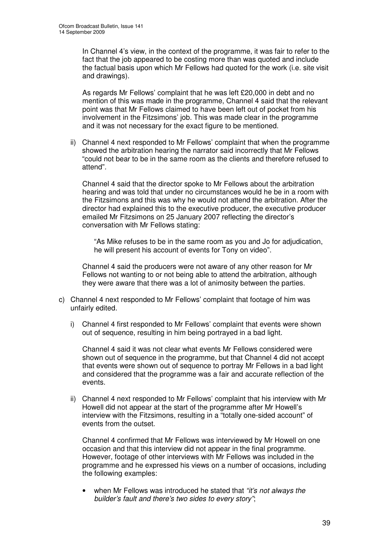In Channel 4's view, in the context of the programme, it was fair to refer to the fact that the job appeared to be costing more than was quoted and include the factual basis upon which Mr Fellows had quoted for the work (i.e. site visit and drawings).

As regards Mr Fellows' complaint that he was left £20,000 in debt and no mention of this was made in the programme, Channel 4 said that the relevant point was that Mr Fellows claimed to have been left out of pocket from his involvement in the Fitzsimons' job. This was made clear in the programme and it was not necessary for the exact figure to be mentioned.

ii) Channel 4 next responded to Mr Fellows' complaint that when the programme showed the arbitration hearing the narrator said incorrectly that Mr Fellows "could not bear to be in the same room as the clients and therefore refused to attend"*.*

Channel 4 said that the director spoke to Mr Fellows about the arbitration hearing and was told that under no circumstances would he be in a room with the Fitzsimons and this was why he would not attend the arbitration. After the director had explained this to the executive producer, the executive producer emailed Mr Fitzsimons on 25 January 2007 reflecting the director's conversation with Mr Fellows stating:

"As Mike refuses to be in the same room as you and Jo for adjudication, he will present his account of events for Tony on video".

Channel 4 said the producers were not aware of any other reason for Mr Fellows not wanting to or not being able to attend the arbitration, although they were aware that there was a lot of animosity between the parties.

- c) Channel 4 next responded to Mr Fellows' complaint that footage of him was unfairly edited.
	- i) Channel 4 first responded to Mr Fellows' complaint that events were shown out of sequence, resulting in him being portrayed in a bad light.

Channel 4 said it was not clear what events Mr Fellows considered were shown out of sequence in the programme, but that Channel 4 did not accept that events were shown out of sequence to portray Mr Fellows in a bad light and considered that the programme was a fair and accurate reflection of the events.

ii) Channel 4 next responded to Mr Fellows' complaint that his interview with Mr Howell did not appear at the start of the programme after Mr Howell's interview with the Fitzsimons, resulting in a "totally one-sided account" of events from the outset.

Channel 4 confirmed that Mr Fellows was interviewed by Mr Howell on one occasion and that this interview did not appear in the final programme. However, footage of other interviews with Mr Fellows was included in the programme and he expressed his views on a number of occasions, including the following examples:

• when Mr Fellows was introduced he stated that *"it's not always the builder's fault and there's two sides to every story"*;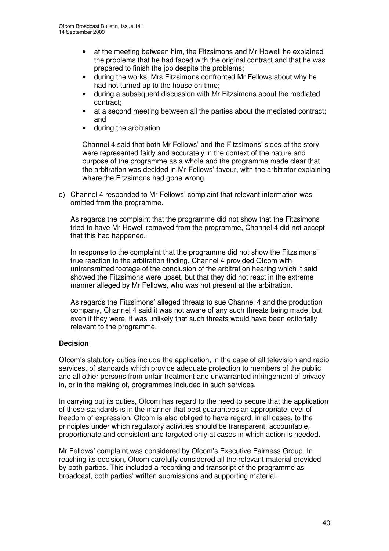- at the meeting between him, the Fitzsimons and Mr Howell he explained the problems that he had faced with the original contract and that he was prepared to finish the job despite the problems;
- during the works, Mrs Fitzsimons confronted Mr Fellows about why he had not turned up to the house on time;
- during a subsequent discussion with Mr Fitzsimons about the mediated contract;
- at a second meeting between all the parties about the mediated contract; and
- during the arbitration.

Channel 4 said that both Mr Fellows' and the Fitzsimons' sides of the story were represented fairly and accurately in the context of the nature and purpose of the programme as a whole and the programme made clear that the arbitration was decided in Mr Fellows' favour, with the arbitrator explaining where the Fitzsimons had gone wrong.

d) Channel 4 responded to Mr Fellows' complaint that relevant information was omitted from the programme.

As regards the complaint that the programme did not show that the Fitzsimons tried to have Mr Howell removed from the programme, Channel 4 did not accept that this had happened*.*

In response to the complaint that the programme did not show the Fitzsimons' true reaction to the arbitration finding, Channel 4 provided Ofcom with untransmitted footage of the conclusion of the arbitration hearing which it said showed the Fitzsimons were upset, but that they did not react in the extreme manner alleged by Mr Fellows, who was not present at the arbitration.

As regards the Fitzsimons' alleged threats to sue Channel 4 and the production company, Channel 4 said it was not aware of any such threats being made, but even if they were, it was unlikely that such threats would have been editorially relevant to the programme.

#### **Decision**

Ofcom's statutory duties include the application, in the case of all television and radio services, of standards which provide adequate protection to members of the public and all other persons from unfair treatment and unwarranted infringement of privacy in, or in the making of, programmes included in such services.

In carrying out its duties, Ofcom has regard to the need to secure that the application of these standards is in the manner that best guarantees an appropriate level of freedom of expression. Ofcom is also obliged to have regard, in all cases, to the principles under which regulatory activities should be transparent, accountable, proportionate and consistent and targeted only at cases in which action is needed.

Mr Fellows' complaint was considered by Ofcom's Executive Fairness Group. In reaching its decision, Ofcom carefully considered all the relevant material provided by both parties. This included a recording and transcript of the programme as broadcast, both parties' written submissions and supporting material.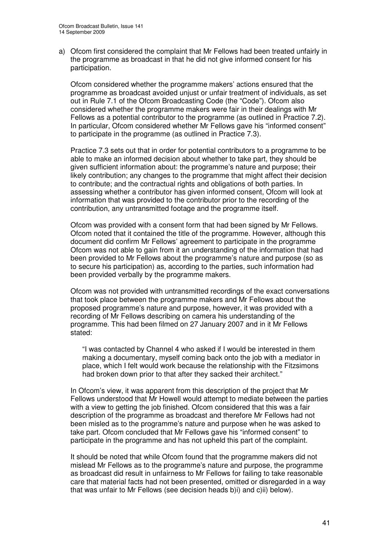a) Ofcom first considered the complaint that Mr Fellows had been treated unfairly in the programme as broadcast in that he did not give informed consent for his participation.

Ofcom considered whether the programme makers' actions ensured that the programme as broadcast avoided unjust or unfair treatment of individuals, as set out in Rule 7.1 of the Ofcom Broadcasting Code (the "Code"). Ofcom also considered whether the programme makers were fair in their dealings with Mr Fellows as a potential contributor to the programme (as outlined in Practice 7.2). In particular, Ofcom considered whether Mr Fellows gave his "informed consent" to participate in the programme (as outlined in Practice 7.3).

Practice 7.3 sets out that in order for potential contributors to a programme to be able to make an informed decision about whether to take part, they should be given sufficient information about: the programme's nature and purpose; their likely contribution; any changes to the programme that might affect their decision to contribute; and the contractual rights and obligations of both parties. In assessing whether a contributor has given informed consent, Ofcom will look at information that was provided to the contributor prior to the recording of the contribution, any untransmitted footage and the programme itself.

Ofcom was provided with a consent form that had been signed by Mr Fellows. Ofcom noted that it contained the title of the programme. However, although this document did confirm Mr Fellows' agreement to participate in the programme Ofcom was not able to gain from it an understanding of the information that had been provided to Mr Fellows about the programme's nature and purpose (so as to secure his participation) as, according to the parties, such information had been provided verbally by the programme makers.

Ofcom was not provided with untransmitted recordings of the exact conversations that took place between the programme makers and Mr Fellows about the proposed programme's nature and purpose, however, it was provided with a recording of Mr Fellows describing on camera his understanding of the programme. This had been filmed on 27 January 2007 and in it Mr Fellows stated:

"I was contacted by Channel 4 who asked if I would be interested in them making a documentary, myself coming back onto the job with a mediator in place, which I felt would work because the relationship with the Fitzsimons had broken down prior to that after they sacked their architect."

In Ofcom's view, it was apparent from this description of the project that Mr Fellows understood that Mr Howell would attempt to mediate between the parties with a view to getting the job finished. Ofcom considered that this was a fair description of the programme as broadcast and therefore Mr Fellows had not been misled as to the programme's nature and purpose when he was asked to take part. Ofcom concluded that Mr Fellows gave his "informed consent" to participate in the programme and has not upheld this part of the complaint.

It should be noted that while Ofcom found that the programme makers did not mislead Mr Fellows as to the programme's nature and purpose, the programme as broadcast did result in unfairness to Mr Fellows for failing to take reasonable care that material facts had not been presented, omitted or disregarded in a way that was unfair to Mr Fellows (see decision heads b)i) and c)ii) below).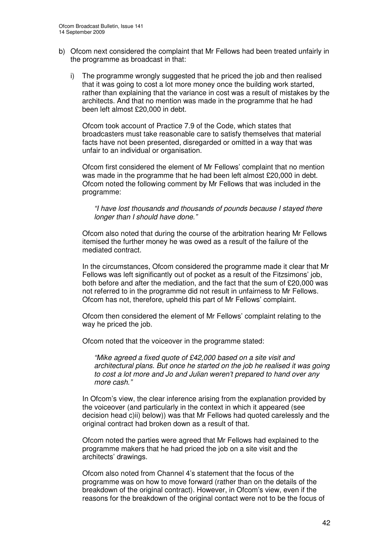- b) Ofcom next considered the complaint that Mr Fellows had been treated unfairly in the programme as broadcast in that:
	- i) The programme wrongly suggested that he priced the job and then realised that it was going to cost a lot more money once the building work started, rather than explaining that the variance in cost was a result of mistakes by the architects. And that no mention was made in the programme that he had been left almost £20,000 in debt.

Ofcom took account of Practice 7.9 of the Code, which states that broadcasters must take reasonable care to satisfy themselves that material facts have not been presented, disregarded or omitted in a way that was unfair to an individual or organisation.

Ofcom first considered the element of Mr Fellows' complaint that no mention was made in the programme that he had been left almost £20,000 in debt. Ofcom noted the following comment by Mr Fellows that was included in the programme:

*"I have lost thousands and thousands of pounds because I stayed there longer than I should have done."*

Ofcom also noted that during the course of the arbitration hearing Mr Fellows itemised the further money he was owed as a result of the failure of the mediated contract.

In the circumstances, Ofcom considered the programme made it clear that Mr Fellows was left significantly out of pocket as a result of the Fitzsimons' job, both before and after the mediation, and the fact that the sum of £20,000 was not referred to in the programme did not result in unfairness to Mr Fellows. Ofcom has not, therefore, upheld this part of Mr Fellows' complaint.

Ofcom then considered the element of Mr Fellows' complaint relating to the way he priced the job.

Ofcom noted that the voiceover in the programme stated:

*"Mike agreed a fixed quote of £42,000 based on a site visit and architectural plans. But once he started on the job he realised it was going to cost a lot more and Jo and Julian weren't prepared to hand over any more cash."*

In Ofcom's view, the clear inference arising from the explanation provided by the voiceover (and particularly in the context in which it appeared (see decision head c)ii) below)) was that Mr Fellows had quoted carelessly and the original contract had broken down as a result of that.

Ofcom noted the parties were agreed that Mr Fellows had explained to the programme makers that he had priced the job on a site visit and the architects' drawings.

Ofcom also noted from Channel 4's statement that the focus of the programme was on how to move forward (rather than on the details of the breakdown of the original contract). However, in Ofcom's view, even if the reasons for the breakdown of the original contact were not to be the focus of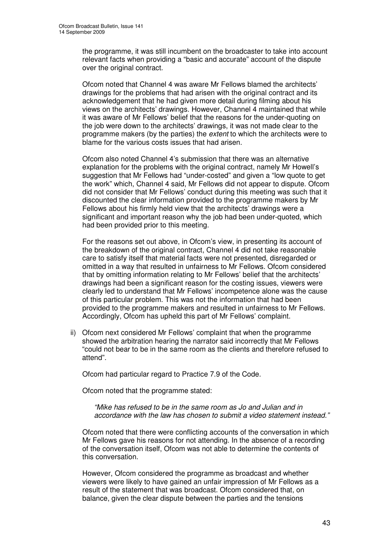the programme, it was still incumbent on the broadcaster to take into account relevant facts when providing a "basic and accurate" account of the dispute over the original contract.

Ofcom noted that Channel 4 was aware Mr Fellows blamed the architects' drawings for the problems that had arisen with the original contract and its acknowledgement that he had given more detail during filming about his views on the architects' drawings. However, Channel 4 maintained that while it was aware of Mr Fellows' belief that the reasons for the under-quoting on the job were down to the architects' drawings, it was not made clear to the programme makers (by the parties) the *extent* to which the architects were to blame for the various costs issues that had arisen.

Ofcom also noted Channel 4's submission that there was an alternative explanation for the problems with the original contract, namely Mr Howell's suggestion that Mr Fellows had "under-costed" and given a "low quote to get the work" which, Channel 4 said, Mr Fellows did not appear to dispute. Ofcom did not consider that Mr Fellows' conduct during this meeting was such that it discounted the clear information provided to the programme makers by Mr Fellows about his firmly held view that the architects' drawings were a significant and important reason why the job had been under-quoted, which had been provided prior to this meeting.

For the reasons set out above, in Ofcom's view, in presenting its account of the breakdown of the original contract, Channel 4 did not take reasonable care to satisfy itself that material facts were not presented, disregarded or omitted in a way that resulted in unfairness to Mr Fellows. Ofcom considered that by omitting information relating to Mr Fellows' belief that the architects' drawings had been a significant reason for the costing issues, viewers were clearly led to understand that Mr Fellows' incompetence alone was the cause of this particular problem. This was not the information that had been provided to the programme makers and resulted in unfairness to Mr Fellows. Accordingly, Ofcom has upheld this part of Mr Fellows' complaint.

ii) Ofcom next considered Mr Fellows' complaint that when the programme showed the arbitration hearing the narrator said incorrectly that Mr Fellows "could not bear to be in the same room as the clients and therefore refused to attend".

Ofcom had particular regard to Practice 7.9 of the Code.

Ofcom noted that the programme stated:

*"Mike has refused to be in the same room as Jo and Julian and in accordance with the law has chosen to submit a video statement instead."*

Ofcom noted that there were conflicting accounts of the conversation in which Mr Fellows gave his reasons for not attending. In the absence of a recording of the conversation itself, Ofcom was not able to determine the contents of this conversation.

However, Ofcom considered the programme as broadcast and whether viewers were likely to have gained an unfair impression of Mr Fellows as a result of the statement that was broadcast. Ofcom considered that, on balance, given the clear dispute between the parties and the tensions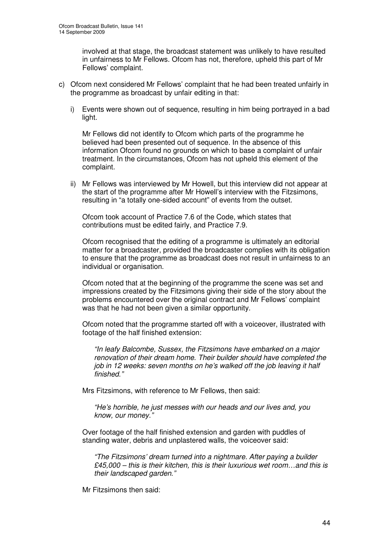involved at that stage, the broadcast statement was unlikely to have resulted in unfairness to Mr Fellows. Ofcom has not, therefore, upheld this part of Mr Fellows' complaint.

- c) Ofcom next considered Mr Fellows' complaint that he had been treated unfairly in the programme as broadcast by unfair editing in that:
	- i) Events were shown out of sequence, resulting in him being portrayed in a bad light.

Mr Fellows did not identify to Ofcom which parts of the programme he believed had been presented out of sequence. In the absence of this information Ofcom found no grounds on which to base a complaint of unfair treatment. In the circumstances, Ofcom has not upheld this element of the complaint.

ii) Mr Fellows was interviewed by Mr Howell, but this interview did not appear at the start of the programme after Mr Howell's interview with the Fitzsimons, resulting in "a totally one-sided account" of events from the outset.

Ofcom took account of Practice 7.6 of the Code, which states that contributions must be edited fairly, and Practice 7.9.

Ofcom recognised that the editing of a programme is ultimately an editorial matter for a broadcaster, provided the broadcaster complies with its obligation to ensure that the programme as broadcast does not result in unfairness to an individual or organisation.

Ofcom noted that at the beginning of the programme the scene was set and impressions created by the Fitzsimons giving their side of the story about the problems encountered over the original contract and Mr Fellows' complaint was that he had not been given a similar opportunity.

Ofcom noted that the programme started off with a voiceover, illustrated with footage of the half finished extension:

*"In leafy Balcombe, Sussex, the Fitzsimons have embarked on a major renovation of their dream home. Their builder should have completed the job in 12 weeks: seven months on he's walked off the job leaving it half finished*.*"*

Mrs Fitzsimons, with reference to Mr Fellows, then said:

*"He's horrible, he just messes with our heads and our lives and, you know, our money*.*"*

Over footage of the half finished extension and garden with puddles of standing water, debris and unplastered walls, the voiceover said:

*"The Fitzsimons' dream turned into a nightmare. After paying a builder £45,000 – this is their kitchen, this is their luxurious wet room…and this is their landscaped garden*.*"*

Mr Fitzsimons then said: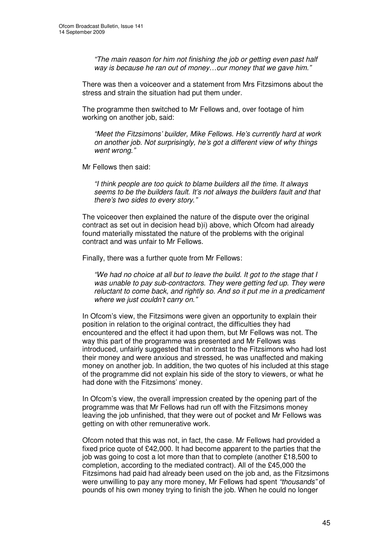*"The main reason for him not finishing the job or getting even past half way is because he ran out of money…our money that we gave him*.*"*

There was then a voiceover and a statement from Mrs Fitzsimons about the stress and strain the situation had put them under.

The programme then switched to Mr Fellows and, over footage of him working on another job, said:

*"Meet the Fitzsimons' builder, Mike Fellows. He's currently hard at work on another job. Not surprisingly, he's got a different view of why things went wrong*.*"*

Mr Fellows then said:

*"I think people are too quick to blame builders all the time. It always seems to be the builders fault. It's not always the builders fault and that there's two sides to every story*.*"*

The voiceover then explained the nature of the dispute over the original contract as set out in decision head b)i) above, which Ofcom had already found materially misstated the nature of the problems with the original contract and was unfair to Mr Fellows.

Finally, there was a further quote from Mr Fellows:

*"We had no choice at all but to leave the build. It got to the stage that I was unable to pay sub-contractors. They were getting fed up. They were reluctant to come back, and rightly so. And so it put me in a predicament where we just couldn't carry on*.*"*

In Ofcom's view, the Fitzsimons were given an opportunity to explain their position in relation to the original contract, the difficulties they had encountered and the effect it had upon them, but Mr Fellows was not. The way this part of the programme was presented and Mr Fellows was introduced, unfairly suggested that in contrast to the Fitzsimons who had lost their money and were anxious and stressed, he was unaffected and making money on another job. In addition, the two quotes of his included at this stage of the programme did not explain his side of the story to viewers, or what he had done with the Fitzsimons' money.

In Ofcom's view, the overall impression created by the opening part of the programme was that Mr Fellows had run off with the Fitzsimons money leaving the job unfinished, that they were out of pocket and Mr Fellows was getting on with other remunerative work.

Ofcom noted that this was not, in fact, the case. Mr Fellows had provided a fixed price quote of £42,000. It had become apparent to the parties that the job was going to cost a lot more than that to complete (another £18,500 to completion, according to the mediated contract). All of the £45,000 the Fitzsimons had paid had already been used on the job and, as the Fitzsimons were unwilling to pay any more money, Mr Fellows had spent *"thousands"* of pounds of his own money trying to finish the job. When he could no longer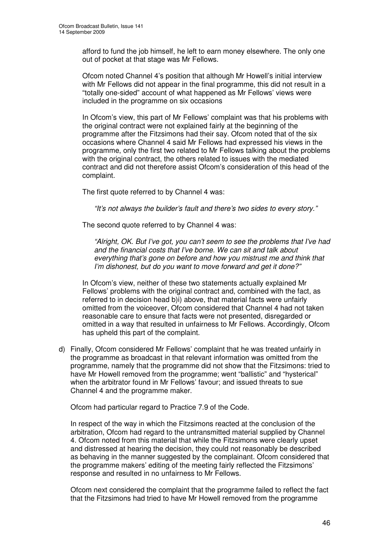afford to fund the job himself, he left to earn money elsewhere. The only one out of pocket at that stage was Mr Fellows.

Ofcom noted Channel 4's position that although Mr Howell's initial interview with Mr Fellows did not appear in the final programme, this did not result in a "totally one-sided" account of what happened as Mr Fellows' views were included in the programme on six occasions

In Ofcom's view, this part of Mr Fellows' complaint was that his problems with the original contract were not explained fairly at the beginning of the programme after the Fitzsimons had their say. Ofcom noted that of the six occasions where Channel 4 said Mr Fellows had expressed his views in the programme, only the first two related to Mr Fellows talking about the problems with the original contract, the others related to issues with the mediated contract and did not therefore assist Ofcom's consideration of this head of the complaint.

The first quote referred to by Channel 4 was:

*"It's not always the builder's fault and there's two sides to every story."*

The second quote referred to by Channel 4 was:

*"Alright, OK. But I've got, you can't seem to see the problems that I've had and the financial costs that I've borne. We can sit and talk about everything that's gone on before and how you mistrust me and think that I'm dishonest, but do you want to move forward and get it done?"*

In Ofcom's view, neither of these two statements actually explained Mr Fellows' problems with the original contract and, combined with the fact, as referred to in decision head b)i) above, that material facts were unfairly omitted from the voiceover, Ofcom considered that Channel 4 had not taken reasonable care to ensure that facts were not presented, disregarded or omitted in a way that resulted in unfairness to Mr Fellows. Accordingly, Ofcom has upheld this part of the complaint.

d) Finally, Ofcom considered Mr Fellows' complaint that he was treated unfairly in the programme as broadcast in that relevant information was omitted from the programme, namely that the programme did not show that the Fitzsimons: tried to have Mr Howell removed from the programme; went "ballistic" and "hysterical" when the arbitrator found in Mr Fellows' favour; and issued threats to sue Channel 4 and the programme maker.

Ofcom had particular regard to Practice 7.9 of the Code.

In respect of the way in which the Fitzsimons reacted at the conclusion of the arbitration, Ofcom had regard to the untransmitted material supplied by Channel 4. Ofcom noted from this material that while the Fitzsimons were clearly upset and distressed at hearing the decision, they could not reasonably be described as behaving in the manner suggested by the complainant. Ofcom considered that the programme makers' editing of the meeting fairly reflected the Fitzsimons' response and resulted in no unfairness to Mr Fellows.

Ofcom next considered the complaint that the programme failed to reflect the fact that the Fitzsimons had tried to have Mr Howell removed from the programme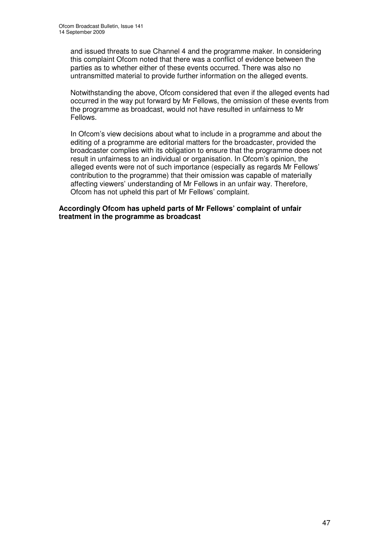and issued threats to sue Channel 4 and the programme maker. In considering this complaint Ofcom noted that there was a conflict of evidence between the parties as to whether either of these events occurred. There was also no untransmitted material to provide further information on the alleged events.

Notwithstanding the above, Ofcom considered that even if the alleged events had occurred in the way put forward by Mr Fellows, the omission of these events from the programme as broadcast, would not have resulted in unfairness to Mr Fellows.

In Ofcom's view decisions about what to include in a programme and about the editing of a programme are editorial matters for the broadcaster, provided the broadcaster complies with its obligation to ensure that the programme does not result in unfairness to an individual or organisation. In Ofcom's opinion, the alleged events were not of such importance (especially as regards Mr Fellows' contribution to the programme) that their omission was capable of materially affecting viewers' understanding of Mr Fellows in an unfair way. Therefore, Ofcom has not upheld this part of Mr Fellows' complaint.

**Accordingly Ofcom has upheld parts of Mr Fellows' complaint of unfair treatment in the programme as broadcast**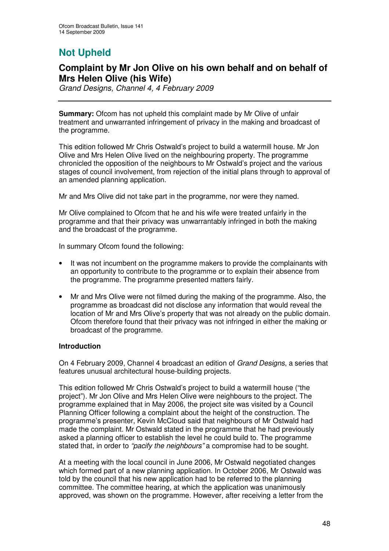# **Not Upheld**

### **Complaint by Mr Jon Olive on his own behalf and on behalf of Mrs Helen Olive (his Wife)**

*Grand Designs, Channel 4, 4 February 2009*

**Summary:** Ofcom has not upheld this complaint made by Mr Olive of unfair treatment and unwarranted infringement of privacy in the making and broadcast of the programme.

This edition followed Mr Chris Ostwald's project to build a watermill house. Mr Jon Olive and Mrs Helen Olive lived on the neighbouring property. The programme chronicled the opposition of the neighbours to Mr Ostwald's project and the various stages of council involvement, from rejection of the initial plans through to approval of an amended planning application.

Mr and Mrs Olive did not take part in the programme, nor were they named.

Mr Olive complained to Ofcom that he and his wife were treated unfairly in the programme and that their privacy was unwarrantably infringed in both the making and the broadcast of the programme.

In summary Ofcom found the following:

- It was not incumbent on the programme makers to provide the complainants with an opportunity to contribute to the programme or to explain their absence from the programme. The programme presented matters fairly.
- Mr and Mrs Olive were not filmed during the making of the programme. Also, the programme as broadcast did not disclose any information that would reveal the location of Mr and Mrs Olive's property that was not already on the public domain. Ofcom therefore found that their privacy was not infringed in either the making or broadcast of the programme.

#### **Introduction**

On 4 February 2009, Channel 4 broadcast an edition of *Grand Designs*, a series that features unusual architectural house-building projects.

This edition followed Mr Chris Ostwald's project to build a watermill house ("the project"). Mr Jon Olive and Mrs Helen Olive were neighbours to the project. The programme explained that in May 2006, the project site was visited by a Council Planning Officer following a complaint about the height of the construction. The programme's presenter, Kevin McCloud said that neighbours of Mr Ostwald had made the complaint. Mr Ostwald stated in the programme that he had previously asked a planning officer to establish the level he could build to. The programme stated that, in order to *"pacify the neighbours"* a compromise had to be sought.

At a meeting with the local council in June 2006, Mr Ostwald negotiated changes which formed part of a new planning application. In October 2006, Mr Ostwald was told by the council that his new application had to be referred to the planning committee. The committee hearing, at which the application was unanimously approved, was shown on the programme. However, after receiving a letter from the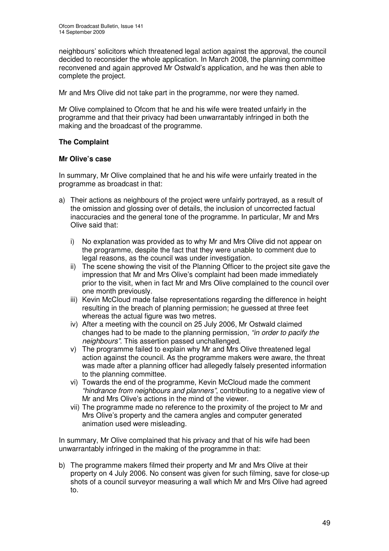neighbours' solicitors which threatened legal action against the approval, the council decided to reconsider the whole application. In March 2008, the planning committee reconvened and again approved Mr Ostwald's application, and he was then able to complete the project.

Mr and Mrs Olive did not take part in the programme, nor were they named.

Mr Olive complained to Ofcom that he and his wife were treated unfairly in the programme and that their privacy had been unwarrantably infringed in both the making and the broadcast of the programme.

#### **The Complaint**

#### **Mr Olive's case**

In summary, Mr Olive complained that he and his wife were unfairly treated in the programme as broadcast in that:

- a) Their actions as neighbours of the project were unfairly portrayed, as a result of the omission and glossing over of details, the inclusion of uncorrected factual inaccuracies and the general tone of the programme. In particular, Mr and Mrs Olive said that:
	- i) No explanation was provided as to why Mr and Mrs Olive did not appear on the programme, despite the fact that they were unable to comment due to legal reasons, as the council was under investigation.
	- ii) The scene showing the visit of the Planning Officer to the project site gave the impression that Mr and Mrs Olive's complaint had been made immediately prior to the visit, when in fact Mr and Mrs Olive complained to the council over one month previously.
	- iii) Kevin McCloud made false representations regarding the difference in height resulting in the breach of planning permission; he guessed at three feet whereas the actual figure was two metres.
	- iv) After a meeting with the council on 25 July 2006, Mr Ostwald claimed changes had to be made to the planning permission, *"in order to pacify the neighbours"*. This assertion passed unchallenged.
	- v) The programme failed to explain why Mr and Mrs Olive threatened legal action against the council. As the programme makers were aware, the threat was made after a planning officer had allegedly falsely presented information to the planning committee.
	- vi) Towards the end of the programme, Kevin McCloud made the comment *"hindrance from neighbours and planners"*, contributing to a negative view of Mr and Mrs Olive's actions in the mind of the viewer.
	- vii) The programme made no reference to the proximity of the project to Mr and Mrs Olive's property and the camera angles and computer generated animation used were misleading.

In summary, Mr Olive complained that his privacy and that of his wife had been unwarrantably infringed in the making of the programme in that:

b) The programme makers filmed their property and Mr and Mrs Olive at their property on 4 July 2006. No consent was given for such filming, save for close-up shots of a council surveyor measuring a wall which Mr and Mrs Olive had agreed to.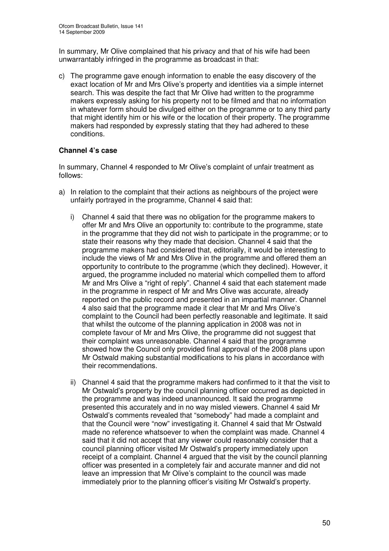In summary, Mr Olive complained that his privacy and that of his wife had been unwarrantably infringed in the programme as broadcast in that:

c) The programme gave enough information to enable the easy discovery of the exact location of Mr and Mrs Olive's property and identities via a simple internet search. This was despite the fact that Mr Olive had written to the programme makers expressly asking for his property not to be filmed and that no information in whatever form should be divulged either on the programme or to any third party that might identify him or his wife or the location of their property. The programme makers had responded by expressly stating that they had adhered to these conditions.

#### **Channel 4's case**

In summary, Channel 4 responded to Mr Olive's complaint of unfair treatment as follows:

- a) In relation to the complaint that their actions as neighbours of the project were unfairly portrayed in the programme, Channel 4 said that:
	- i) Channel 4 said that there was no obligation for the programme makers to offer Mr and Mrs Olive an opportunity to: contribute to the programme, state in the programme that they did not wish to participate in the programme; or to state their reasons why they made that decision. Channel 4 said that the programme makers had considered that, editorially, it would be interesting to include the views of Mr and Mrs Olive in the programme and offered them an opportunity to contribute to the programme (which they declined). However, it argued, the programme included no material which compelled them to afford Mr and Mrs Olive a "right of reply". Channel 4 said that each statement made in the programme in respect of Mr and Mrs Olive was accurate, already reported on the public record and presented in an impartial manner. Channel 4 also said that the programme made it clear that Mr and Mrs Olive's complaint to the Council had been perfectly reasonable and legitimate. It said that whilst the outcome of the planning application in 2008 was not in complete favour of Mr and Mrs Olive, the programme did not suggest that their complaint was unreasonable. Channel 4 said that the programme showed how the Council only provided final approval of the 2008 plans upon Mr Ostwald making substantial modifications to his plans in accordance with their recommendations.
	- ii) Channel 4 said that the programme makers had confirmed to it that the visit to Mr Ostwald's property by the council planning officer occurred as depicted in the programme and was indeed unannounced. It said the programme presented this accurately and in no way misled viewers. Channel 4 said Mr Ostwald's comments revealed that "somebody" had made a complaint and that the Council were "now" investigating it. Channel 4 said that Mr Ostwald made no reference whatsoever to when the complaint was made. Channel 4 said that it did not accept that any viewer could reasonably consider that a council planning officer visited Mr Ostwald's property immediately upon receipt of a complaint. Channel 4 argued that the visit by the council planning officer was presented in a completely fair and accurate manner and did not leave an impression that Mr Olive's complaint to the council was made immediately prior to the planning officer's visiting Mr Ostwald's property.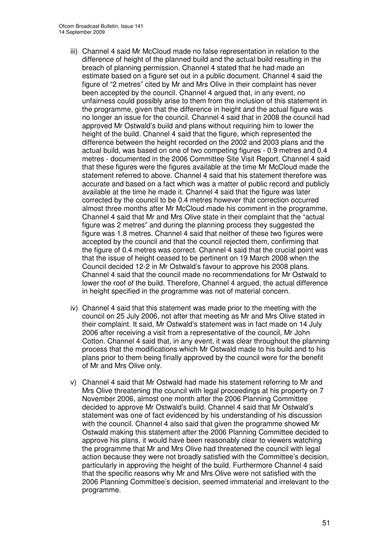- iii) Channel 4 said Mr McCloud made no false representation in relation to the difference of height of the planned build and the actual build resulting in the breach of planning permission. Channel 4 stated that he had made an estimate based on a figure set out in a public document. Channel 4 said the figure of "2 metres" cited by Mr and Mrs Olive in their complaint has never been accepted by the council. Channel 4 argued that, in any event, no unfairness could possibly arise to them from the inclusion of this statement in the programme, given that the difference in height and the actual figure was no longer an issue for the council. Channel 4 said that in 2008 the council had approved Mr Ostwald's build and plans without requiring him to lower the height of the build. Channel 4 said that the figure, which represented the difference between the height recorded on the 2002 and 2003 plans and the actual build, was based on one of two competing figures - 0.9 metres and 0.4 metres - documented in the 2006 Committee Site Visit Report. Channel 4 said that these figures were the figures available at the time Mr McCloud made the statement referred to above. Channel 4 said that his statement therefore was accurate and based on a fact which was a matter of public record and publicly available at the time he made it. Channel 4 said that the figure was later corrected by the council to be 0.4 metres however that correction occurred almost three months after Mr McCloud made his comment in the programme. Channel 4 said that Mr and Mrs Olive state in their complaint that the "actual figure was 2 metres" and during the planning process they suggested the figure was 1.8 metres. Channel 4 said that neither of these two figures were accepted by the council and that the council rejected them, confirming that the figure of 0.4 metres was correct. Channel 4 said that the crucial point was that the issue of height ceased to be pertinent on 19 March 2008 when the Council decided 12-2 in Mr Ostwald's favour to approve his 2008 plans. Channel 4 said that the council made no recommendations for Mr Ostwald to lower the roof of the build. Therefore, Channel 4 argued, the actual difference in height specified in the programme was not of material concern.
- iv) Channel 4 said that this statement was made prior to the meeting with the council on 25 July 2006, not after that meeting as Mr and Mrs Olive stated in their complaint. It said, Mr Ostwald's statement was in fact made on 14 July 2006 after receiving a visit from a representative of the council, Mr John Cotton. Channel 4 said that, in any event, it was clear throughout the planning process that the modifications which Mr Ostwald made to his build and to his plans prior to them being finally approved by the council were for the benefit of Mr and Mrs Olive only.
- v) Channel 4 said that Mr Ostwald had made his statement referring to Mr and Mrs Olive threatening the council with legal proceedings at his property on 7 November 2006, almost one month after the 2006 Planning Committee decided to approve Mr Ostwald's build. Channel 4 said that Mr Ostwald's statement was one of fact evidenced by his understanding of his discussion with the council. Channel 4 also said that given the programme showed Mr Ostwald making this statement after the 2006 Planning Committee decided to approve his plans, it would have been reasonably clear to viewers watching the programme that Mr and Mrs Olive had threatened the council with legal action because they were not broadly satisfied with the Committee's decision, particularly in approving the height of the build. Furthermore Channel 4 said that the specific reasons why Mr and Mrs Olive were not satisfied with the 2006 Planning Committee's decision, seemed immaterial and irrelevant to the programme.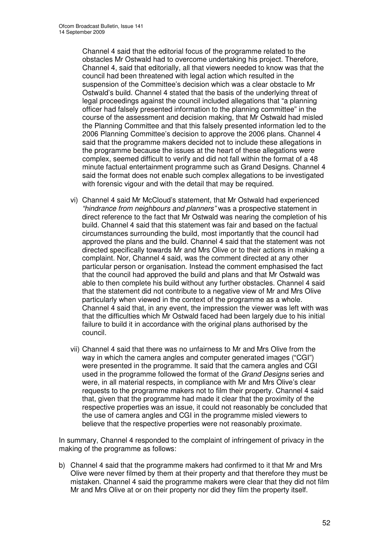Channel 4 said that the editorial focus of the programme related to the obstacles Mr Ostwald had to overcome undertaking his project. Therefore, Channel 4, said that editorially, all that viewers needed to know was that the council had been threatened with legal action which resulted in the suspension of the Committee's decision which was a clear obstacle to Mr Ostwald's build. Channel 4 stated that the basis of the underlying threat of legal proceedings against the council included allegations that "a planning officer had falsely presented information to the planning committee" in the course of the assessment and decision making, that Mr Ostwald had misled the Planning Committee and that this falsely presented information led to the 2006 Planning Committee's decision to approve the 2006 plans. Channel 4 said that the programme makers decided not to include these allegations in the programme because the issues at the heart of these allegations were complex, seemed difficult to verify and did not fall within the format of a 48 minute factual entertainment programme such as Grand Designs. Channel 4 said the format does not enable such complex allegations to be investigated with forensic vigour and with the detail that may be required.

- vi) Channel 4 said Mr McCloud's statement, that Mr Ostwald had experienced *"hindrance from neighbours and planners"* was a prospective statement in direct reference to the fact that Mr Ostwald was nearing the completion of his build. Channel 4 said that this statement was fair and based on the factual circumstances surrounding the build, most importantly that the council had approved the plans and the build. Channel 4 said that the statement was not directed specifically towards Mr and Mrs Olive or to their actions in making a complaint. Nor, Channel 4 said, was the comment directed at any other particular person or organisation. Instead the comment emphasised the fact that the council had approved the build and plans and that Mr Ostwald was able to then complete his build without any further obstacles. Channel 4 said that the statement did not contribute to a negative view of Mr and Mrs Olive particularly when viewed in the context of the programme as a whole. Channel 4 said that, in any event, the impression the viewer was left with was that the difficulties which Mr Ostwald faced had been largely due to his initial failure to build it in accordance with the original plans authorised by the council.
- vii) Channel 4 said that there was no unfairness to Mr and Mrs Olive from the way in which the camera angles and computer generated images ("CGI") were presented in the programme. It said that the camera angles and CGI used in the programme followed the format of the *Grand Designs* series and were, in all material respects, in compliance with Mr and Mrs Olive's clear requests to the programme makers not to film their property. Channel 4 said that, given that the programme had made it clear that the proximity of the respective properties was an issue, it could not reasonably be concluded that the use of camera angles and CGI in the programme misled viewers to believe that the respective properties were not reasonably proximate.

In summary, Channel 4 responded to the complaint of infringement of privacy in the making of the programme as follows:

b) Channel 4 said that the programme makers had confirmed to it that Mr and Mrs Olive were never filmed by them at their property and that therefore they must be mistaken. Channel 4 said the programme makers were clear that they did not film Mr and Mrs Olive at or on their property nor did they film the property itself.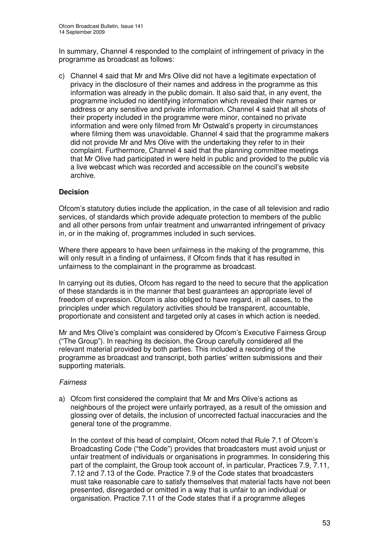In summary, Channel 4 responded to the complaint of infringement of privacy in the programme as broadcast as follows:

c) Channel 4 said that Mr and Mrs Olive did not have a legitimate expectation of privacy in the disclosure of their names and address in the programme as this information was already in the public domain. It also said that, in any event, the programme included no identifying information which revealed their names or address or any sensitive and private information. Channel 4 said that all shots of their property included in the programme were minor, contained no private information and were only filmed from Mr Ostwald's property in circumstances where filming them was unavoidable. Channel 4 said that the programme makers did not provide Mr and Mrs Olive with the undertaking they refer to in their complaint. Furthermore, Channel 4 said that the planning committee meetings that Mr Olive had participated in were held in public and provided to the public via a live webcast which was recorded and accessible on the council's website archive.

#### **Decision**

Ofcom's statutory duties include the application, in the case of all television and radio services, of standards which provide adequate protection to members of the public and all other persons from unfair treatment and unwarranted infringement of privacy in, or in the making of, programmes included in such services.

Where there appears to have been unfairness in the making of the programme, this will only result in a finding of unfairness, if Ofcom finds that it has resulted in unfairness to the complainant in the programme as broadcast.

In carrying out its duties, Ofcom has regard to the need to secure that the application of these standards is in the manner that best guarantees an appropriate level of freedom of expression. Ofcom is also obliged to have regard, in all cases, to the principles under which regulatory activities should be transparent, accountable, proportionate and consistent and targeted only at cases in which action is needed.

Mr and Mrs Olive's complaint was considered by Ofcom's Executive Fairness Group ("The Group"). In reaching its decision, the Group carefully considered all the relevant material provided by both parties. This included a recording of the programme as broadcast and transcript, both parties' written submissions and their supporting materials.

#### *Fairness*

a) Ofcom first considered the complaint that Mr and Mrs Olive's actions as neighbours of the project were unfairly portrayed, as a result of the omission and glossing over of details, the inclusion of uncorrected factual inaccuracies and the general tone of the programme.

In the context of this head of complaint, Ofcom noted that Rule 7.1 of Ofcom's Broadcasting Code ("the Code") provides that broadcasters must avoid unjust or unfair treatment of individuals or organisations in programmes. In considering this part of the complaint, the Group took account of, in particular, Practices 7.9, 7.11, 7.12 and 7.13 of the Code. Practice 7.9 of the Code states that broadcasters must take reasonable care to satisfy themselves that material facts have not been presented, disregarded or omitted in a way that is unfair to an individual or organisation. Practice 7.11 of the Code states that if a programme alleges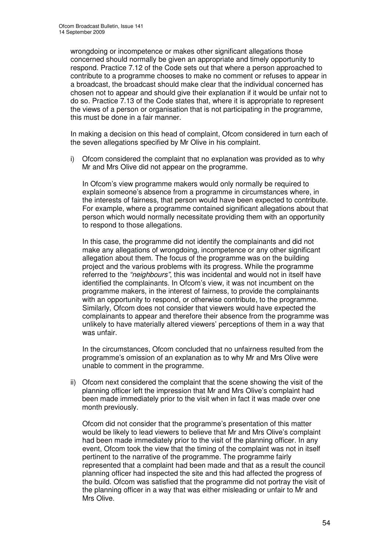wrongdoing or incompetence or makes other significant allegations those concerned should normally be given an appropriate and timely opportunity to respond. Practice 7.12 of the Code sets out that where a person approached to contribute to a programme chooses to make no comment or refuses to appear in a broadcast, the broadcast should make clear that the individual concerned has chosen not to appear and should give their explanation if it would be unfair not to do so. Practice 7.13 of the Code states that, where it is appropriate to represent the views of a person or organisation that is not participating in the programme, this must be done in a fair manner.

In making a decision on this head of complaint, Ofcom considered in turn each of the seven allegations specified by Mr Olive in his complaint.

i) Ofcom considered the complaint that no explanation was provided as to why Mr and Mrs Olive did not appear on the programme.

In Ofcom's view programme makers would only normally be required to explain someone's absence from a programme in circumstances where, in the interests of fairness, that person would have been expected to contribute. For example, where a programme contained significant allegations about that person which would normally necessitate providing them with an opportunity to respond to those allegations.

In this case, the programme did not identify the complainants and did not make any allegations of wrongdoing, incompetence or any other significant allegation about them. The focus of the programme was on the building project and the various problems with its progress. While the programme referred to the *"neighbours"*, this was incidental and would not in itself have identified the complainants. In Ofcom's view, it was not incumbent on the programme makers, in the interest of fairness, to provide the complainants with an opportunity to respond, or otherwise contribute, to the programme. Similarly, Ofcom does not consider that viewers would have expected the complainants to appear and therefore their absence from the programme was unlikely to have materially altered viewers' perceptions of them in a way that was unfair.

In the circumstances, Ofcom concluded that no unfairness resulted from the programme's omission of an explanation as to why Mr and Mrs Olive were unable to comment in the programme.

ii) Ofcom next considered the complaint that the scene showing the visit of the planning officer left the impression that Mr and Mrs Olive's complaint had been made immediately prior to the visit when in fact it was made over one month previously.

Ofcom did not consider that the programme's presentation of this matter would be likely to lead viewers to believe that Mr and Mrs Olive's complaint had been made immediately prior to the visit of the planning officer. In any event, Ofcom took the view that the timing of the complaint was not in itself pertinent to the narrative of the programme. The programme fairly represented that a complaint had been made and that as a result the council planning officer had inspected the site and this had affected the progress of the build. Ofcom was satisfied that the programme did not portray the visit of the planning officer in a way that was either misleading or unfair to Mr and Mrs Olive.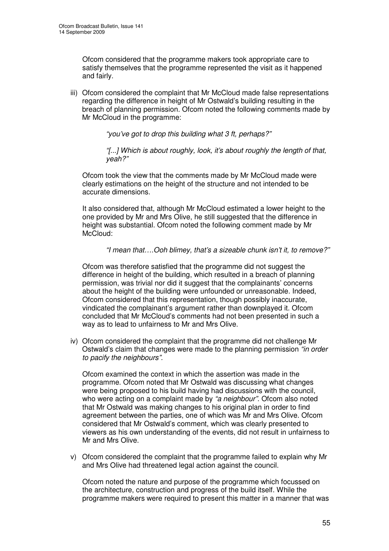Ofcom considered that the programme makers took appropriate care to satisfy themselves that the programme represented the visit as it happened and fairly.

iii) Ofcom considered the complaint that Mr McCloud made false representations regarding the difference in height of Mr Ostwald's building resulting in the breach of planning permission. Ofcom noted the following comments made by Mr McCloud in the programme:

*"you've got to drop this building what 3 ft, perhaps?"*

*"[...] Which is about roughly, look, it's about roughly the length of that, yeah?"*

Ofcom took the view that the comments made by Mr McCloud made were clearly estimations on the height of the structure and not intended to be accurate dimensions.

It also considered that, although Mr McCloud estimated a lower height to the one provided by Mr and Mrs Olive, he still suggested that the difference in height was substantial. Ofcom noted the following comment made by Mr McCloud:

#### *"I mean that….Ooh blimey, that's a sizeable chunk isn't it, to remove?"*

Ofcom was therefore satisfied that the programme did not suggest the difference in height of the building, which resulted in a breach of planning permission, was trivial nor did it suggest that the complainants' concerns about the height of the building were unfounded or unreasonable. Indeed, Ofcom considered that this representation, though possibly inaccurate, vindicated the complainant's argument rather than downplayed it. Ofcom concluded that Mr McCloud's comments had not been presented in such a way as to lead to unfairness to Mr and Mrs Olive.

iv) Ofcom considered the complaint that the programme did not challenge Mr Ostwald's claim that changes were made to the planning permission *"in order to pacify the neighbours".*

Ofcom examined the context in which the assertion was made in the programme. Ofcom noted that Mr Ostwald was discussing what changes were being proposed to his build having had discussions with the council, who were acting on a complaint made by *"a neighbour".* Ofcom also noted that Mr Ostwald was making changes to his original plan in order to find agreement between the parties, one of which was Mr and Mrs Olive. Ofcom considered that Mr Ostwald's comment, which was clearly presented to viewers as his own understanding of the events, did not result in unfairness to Mr and Mrs Olive.

v) Ofcom considered the complaint that the programme failed to explain why Mr and Mrs Olive had threatened legal action against the council.

Ofcom noted the nature and purpose of the programme which focussed on the architecture, construction and progress of the build itself. While the programme makers were required to present this matter in a manner that was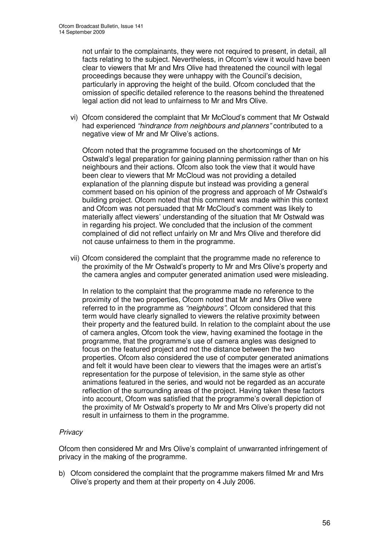not unfair to the complainants, they were not required to present, in detail, all facts relating to the subject. Nevertheless, in Ofcom's view it would have been clear to viewers that Mr and Mrs Olive had threatened the council with legal proceedings because they were unhappy with the Council's decision, particularly in approving the height of the build. Ofcom concluded that the omission of specific detailed reference to the reasons behind the threatened legal action did not lead to unfairness to Mr and Mrs Olive.

vi) Ofcom considered the complaint that Mr McCloud's comment that Mr Ostwald had experienced *"hindrance from neighbours and planners"* contributed to a negative view of Mr and Mr Olive's actions.

Ofcom noted that the programme focused on the shortcomings of Mr Ostwald's legal preparation for gaining planning permission rather than on his neighbours and their actions. Ofcom also took the view that it would have been clear to viewers that Mr McCloud was not providing a detailed explanation of the planning dispute but instead was providing a general comment based on his opinion of the progress and approach of Mr Ostwald's building project. Ofcom noted that this comment was made within this context and Ofcom was not persuaded that Mr McCloud's comment was likely to materially affect viewers' understanding of the situation that Mr Ostwald was in regarding his project. We concluded that the inclusion of the comment complained of did not reflect unfairly on Mr and Mrs Olive and therefore did not cause unfairness to them in the programme.

vii) Ofcom considered the complaint that the programme made no reference to the proximity of the Mr Ostwald's property to Mr and Mrs Olive's property and the camera angles and computer generated animation used were misleading.

In relation to the complaint that the programme made no reference to the proximity of the two properties, Ofcom noted that Mr and Mrs Olive were referred to in the programme as *"neighbours"*. Ofcom considered that this term would have clearly signalled to viewers the relative proximity between their property and the featured build. In relation to the complaint about the use of camera angles, Ofcom took the view, having examined the footage in the programme, that the programme's use of camera angles was designed to focus on the featured project and not the distance between the two properties. Ofcom also considered the use of computer generated animations and felt it would have been clear to viewers that the images were an artist's representation for the purpose of television, in the same style as other animations featured in the series, and would not be regarded as an accurate reflection of the surrounding areas of the project. Having taken these factors into account, Ofcom was satisfied that the programme's overall depiction of the proximity of Mr Ostwald's property to Mr and Mrs Olive's property did not result in unfairness to them in the programme.

#### *Privacy*

Ofcom then considered Mr and Mrs Olive's complaint of unwarranted infringement of privacy in the making of the programme.

b) Ofcom considered the complaint that the programme makers filmed Mr and Mrs Olive's property and them at their property on 4 July 2006.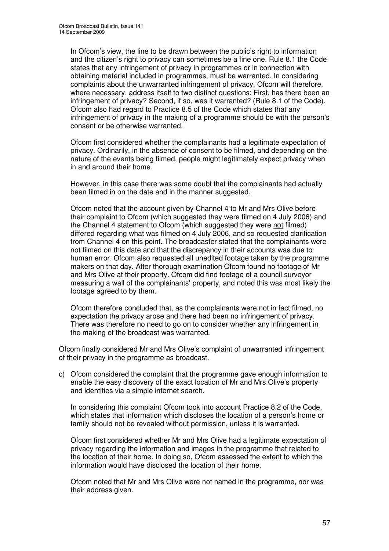In Ofcom's view, the line to be drawn between the public's right to information and the citizen's right to privacy can sometimes be a fine one. Rule 8.1 the Code states that any infringement of privacy in programmes or in connection with obtaining material included in programmes, must be warranted. In considering complaints about the unwarranted infringement of privacy, Ofcom will therefore, where necessary, address itself to two distinct questions: First, has there been an infringement of privacy? Second, if so, was it warranted? (Rule 8.1 of the Code). Ofcom also had regard to Practice 8.5 of the Code which states that any infringement of privacy in the making of a programme should be with the person's consent or be otherwise warranted.

Ofcom first considered whether the complainants had a legitimate expectation of privacy. Ordinarily, in the absence of consent to be filmed, and depending on the nature of the events being filmed, people might legitimately expect privacy when in and around their home.

However, in this case there was some doubt that the complainants had actually been filmed in on the date and in the manner suggested.

Ofcom noted that the account given by Channel 4 to Mr and Mrs Olive before their complaint to Ofcom (which suggested they were filmed on 4 July 2006) and the Channel 4 statement to Ofcom (which suggested they were not filmed) differed regarding what was filmed on 4 July 2006, and so requested clarification from Channel 4 on this point. The broadcaster stated that the complainants were not filmed on this date and that the discrepancy in their accounts was due to human error. Ofcom also requested all unedited footage taken by the programme makers on that day. After thorough examination Ofcom found no footage of Mr and Mrs Olive at their property. Ofcom did find footage of a council surveyor measuring a wall of the complainants' property, and noted this was most likely the footage agreed to by them.

Ofcom therefore concluded that, as the complainants were not in fact filmed, no expectation the privacy arose and there had been no infringement of privacy. There was therefore no need to go on to consider whether any infringement in the making of the broadcast was warranted.

Ofcom finally considered Mr and Mrs Olive's complaint of unwarranted infringement of their privacy in the programme as broadcast.

c) Ofcom considered the complaint that the programme gave enough information to enable the easy discovery of the exact location of Mr and Mrs Olive's property and identities via a simple internet search.

In considering this complaint Ofcom took into account Practice 8.2 of the Code, which states that information which discloses the location of a person's home or family should not be revealed without permission, unless it is warranted.

Ofcom first considered whether Mr and Mrs Olive had a legitimate expectation of privacy regarding the information and images in the programme that related to the location of their home. In doing so, Ofcom assessed the extent to which the information would have disclosed the location of their home.

Ofcom noted that Mr and Mrs Olive were not named in the programme, nor was their address given.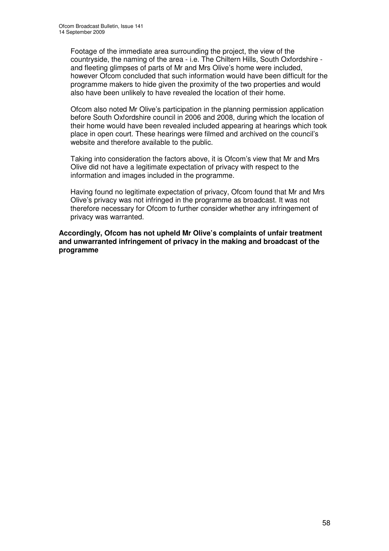Footage of the immediate area surrounding the project, the view of the countryside, the naming of the area - i.e. The Chiltern Hills, South Oxfordshire and fleeting glimpses of parts of Mr and Mrs Olive's home were included, however Ofcom concluded that such information would have been difficult for the programme makers to hide given the proximity of the two properties and would also have been unlikely to have revealed the location of their home.

Ofcom also noted Mr Olive's participation in the planning permission application before South Oxfordshire council in 2006 and 2008, during which the location of their home would have been revealed included appearing at hearings which took place in open court. These hearings were filmed and archived on the council's website and therefore available to the public.

Taking into consideration the factors above, it is Ofcom's view that Mr and Mrs Olive did not have a legitimate expectation of privacy with respect to the information and images included in the programme.

Having found no legitimate expectation of privacy, Ofcom found that Mr and Mrs Olive's privacy was not infringed in the programme as broadcast. It was not therefore necessary for Ofcom to further consider whether any infringement of privacy was warranted.

**Accordingly, Ofcom has not upheld Mr Olive's complaints of unfair treatment and unwarranted infringement of privacy in the making and broadcast of the programme**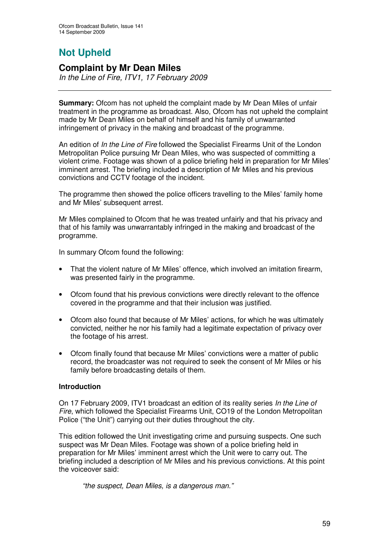# **Not Upheld**

### **Complaint by Mr Dean Miles**

*In the Line of Fire, ITV1, 17 February 2009*

**Summary:** Ofcom has not upheld the complaint made by Mr Dean Miles of unfair treatment in the programme as broadcast. Also, Ofcom has not upheld the complaint made by Mr Dean Miles on behalf of himself and his family of unwarranted infringement of privacy in the making and broadcast of the programme.

An edition of *In the Line of Fire* followed the Specialist Firearms Unit of the London Metropolitan Police pursuing Mr Dean Miles, who was suspected of committing a violent crime. Footage was shown of a police briefing held in preparation for Mr Miles' imminent arrest. The briefing included a description of Mr Miles and his previous convictions and CCTV footage of the incident.

The programme then showed the police officers travelling to the Miles' family home and Mr Miles' subsequent arrest.

Mr Miles complained to Ofcom that he was treated unfairly and that his privacy and that of his family was unwarrantably infringed in the making and broadcast of the programme.

In summary Ofcom found the following:

- That the violent nature of Mr Miles' offence, which involved an imitation firearm, was presented fairly in the programme.
- Ofcom found that his previous convictions were directly relevant to the offence covered in the programme and that their inclusion was justified.
- Ofcom also found that because of Mr Miles' actions, for which he was ultimately convicted, neither he nor his family had a legitimate expectation of privacy over the footage of his arrest.
- Ofcom finally found that because Mr Miles' convictions were a matter of public record, the broadcaster was not required to seek the consent of Mr Miles or his family before broadcasting details of them.

#### **Introduction**

On 17 February 2009, ITV1 broadcast an edition of its reality series *In the Line of Fire*, which followed the Specialist Firearms Unit, CO19 of the London Metropolitan Police ("the Unit") carrying out their duties throughout the city.

This edition followed the Unit investigating crime and pursuing suspects. One such suspect was Mr Dean Miles. Footage was shown of a police briefing held in preparation for Mr Miles' imminent arrest which the Unit were to carry out. The briefing included a description of Mr Miles and his previous convictions. At this point the voiceover said:

*"the suspect, Dean Miles, is a dangerous man."*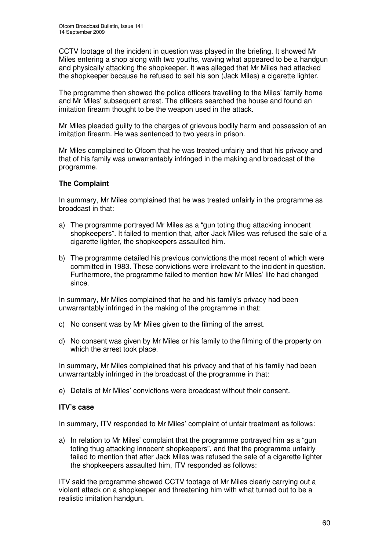CCTV footage of the incident in question was played in the briefing. It showed Mr Miles entering a shop along with two youths, waving what appeared to be a handgun and physically attacking the shopkeeper. It was alleged that Mr Miles had attacked the shopkeeper because he refused to sell his son (Jack Miles) a cigarette lighter.

The programme then showed the police officers travelling to the Miles' family home and Mr Miles' subsequent arrest. The officers searched the house and found an imitation firearm thought to be the weapon used in the attack.

Mr Miles pleaded guilty to the charges of grievous bodily harm and possession of an imitation firearm. He was sentenced to two years in prison.

Mr Miles complained to Ofcom that he was treated unfairly and that his privacy and that of his family was unwarrantably infringed in the making and broadcast of the programme.

#### **The Complaint**

In summary, Mr Miles complained that he was treated unfairly in the programme as broadcast in that:

- a) The programme portrayed Mr Miles as a "gun toting thug attacking innocent shopkeepers". It failed to mention that, after Jack Miles was refused the sale of a cigarette lighter, the shopkeepers assaulted him.
- b) The programme detailed his previous convictions the most recent of which were committed in 1983. These convictions were irrelevant to the incident in question. Furthermore, the programme failed to mention how Mr Miles' life had changed since.

In summary, Mr Miles complained that he and his family's privacy had been unwarrantably infringed in the making of the programme in that:

- c) No consent was by Mr Miles given to the filming of the arrest.
- d) No consent was given by Mr Miles or his family to the filming of the property on which the arrest took place.

In summary, Mr Miles complained that his privacy and that of his family had been unwarrantably infringed in the broadcast of the programme in that:

e) Details of Mr Miles' convictions were broadcast without their consent.

#### **ITV's case**

In summary, ITV responded to Mr Miles' complaint of unfair treatment as follows:

a) In relation to Mr Miles' complaint that the programme portrayed him as a "gun toting thug attacking innocent shopkeepers", and that the programme unfairly failed to mention that after Jack Miles was refused the sale of a cigarette lighter the shopkeepers assaulted him, ITV responded as follows:

ITV said the programme showed CCTV footage of Mr Miles clearly carrying out a violent attack on a shopkeeper and threatening him with what turned out to be a realistic imitation handgun.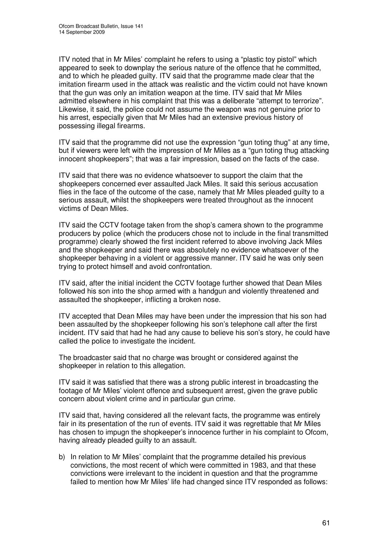ITV noted that in Mr Miles' complaint he refers to using a "plastic toy pistol" which appeared to seek to downplay the serious nature of the offence that he committed, and to which he pleaded guilty. ITV said that the programme made clear that the imitation firearm used in the attack was realistic and the victim could not have known that the gun was only an imitation weapon at the time. ITV said that Mr Miles admitted elsewhere in his complaint that this was a deliberate "attempt to terrorize". Likewise, it said, the police could not assume the weapon was not genuine prior to his arrest, especially given that Mr Miles had an extensive previous history of possessing illegal firearms.

ITV said that the programme did not use the expression "gun toting thug" at any time, but if viewers were left with the impression of Mr Miles as a "gun toting thug attacking innocent shopkeepers"; that was a fair impression, based on the facts of the case.

ITV said that there was no evidence whatsoever to support the claim that the shopkeepers concerned ever assaulted Jack Miles. It said this serious accusation flies in the face of the outcome of the case, namely that Mr Miles pleaded guilty to a serious assault, whilst the shopkeepers were treated throughout as the innocent victims of Dean Miles.

ITV said the CCTV footage taken from the shop's camera shown to the programme producers by police (which the producers chose not to include in the final transmitted programme) clearly showed the first incident referred to above involving Jack Miles and the shopkeeper and said there was absolutely no evidence whatsoever of the shopkeeper behaving in a violent or aggressive manner. ITV said he was only seen trying to protect himself and avoid confrontation.

ITV said, after the initial incident the CCTV footage further showed that Dean Miles followed his son into the shop armed with a handgun and violently threatened and assaulted the shopkeeper, inflicting a broken nose.

ITV accepted that Dean Miles may have been under the impression that his son had been assaulted by the shopkeeper following his son's telephone call after the first incident. ITV said that had he had any cause to believe his son's story, he could have called the police to investigate the incident.

The broadcaster said that no charge was brought or considered against the shopkeeper in relation to this allegation.

ITV said it was satisfied that there was a strong public interest in broadcasting the footage of Mr Miles' violent offence and subsequent arrest, given the grave public concern about violent crime and in particular gun crime.

ITV said that, having considered all the relevant facts, the programme was entirely fair in its presentation of the run of events. ITV said it was regrettable that Mr Miles has chosen to impugn the shopkeeper's innocence further in his complaint to Ofcom, having already pleaded guilty to an assault.

b) In relation to Mr Miles' complaint that the programme detailed his previous convictions, the most recent of which were committed in 1983, and that these convictions were irrelevant to the incident in question and that the programme failed to mention how Mr Miles' life had changed since ITV responded as follows: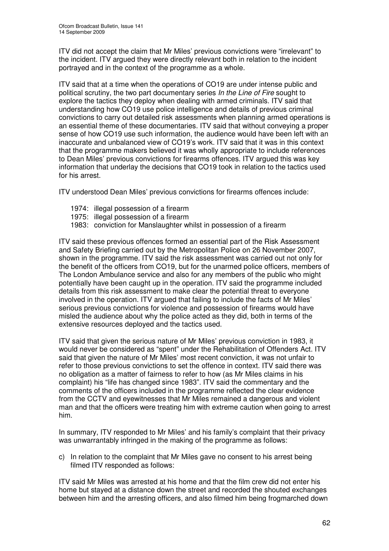ITV did not accept the claim that Mr Miles' previous convictions were "irrelevant" to the incident. ITV argued they were directly relevant both in relation to the incident portrayed and in the context of the programme as a whole.

ITV said that at a time when the operations of CO19 are under intense public and political scrutiny, the two part documentary series *In the Line of Fire* sought to explore the tactics they deploy when dealing with armed criminals. ITV said that understanding how CO19 use police intelligence and details of previous criminal convictions to carry out detailed risk assessments when planning armed operations is an essential theme of these documentaries. ITV said that without conveying a proper sense of how CO19 use such information, the audience would have been left with an inaccurate and unbalanced view of CO19's work. ITV said that it was in this context that the programme makers believed it was wholly appropriate to include references to Dean Miles' previous convictions for firearms offences. ITV argued this was key information that underlay the decisions that CO19 took in relation to the tactics used for his arrest.

ITV understood Dean Miles' previous convictions for firearms offences include:

- 1974: illegal possession of a firearm
- 1975: illegal possession of a firearm
- 1983: conviction for Manslaughter whilst in possession of a firearm

ITV said these previous offences formed an essential part of the Risk Assessment and Safety Briefing carried out by the Metropolitan Police on 26 November 2007, shown in the programme. ITV said the risk assessment was carried out not only for the benefit of the officers from CO19, but for the unarmed police officers, members of The London Ambulance service and also for any members of the public who might potentially have been caught up in the operation. ITV said the programme included details from this risk assessment to make clear the potential threat to everyone involved in the operation. ITV argued that failing to include the facts of Mr Miles' serious previous convictions for violence and possession of firearms would have misled the audience about why the police acted as they did, both in terms of the extensive resources deployed and the tactics used.

ITV said that given the serious nature of Mr Miles' previous conviction in 1983, it would never be considered as "spent" under the Rehabilitation of Offenders Act. ITV said that given the nature of Mr Miles' most recent conviction, it was not unfair to refer to those previous convictions to set the offence in context. ITV said there was no obligation as a matter of fairness to refer to how (as Mr Miles claims in his complaint) his "life has changed since 1983". ITV said the commentary and the comments of the officers included in the programme reflected the clear evidence from the CCTV and eyewitnesses that Mr Miles remained a dangerous and violent man and that the officers were treating him with extreme caution when going to arrest him.

In summary, ITV responded to Mr Miles' and his family's complaint that their privacy was unwarrantably infringed in the making of the programme as follows:

c) In relation to the complaint that Mr Miles gave no consent to his arrest being filmed ITV responded as follows:

ITV said Mr Miles was arrested at his home and that the film crew did not enter his home but stayed at a distance down the street and recorded the shouted exchanges between him and the arresting officers, and also filmed him being frogmarched down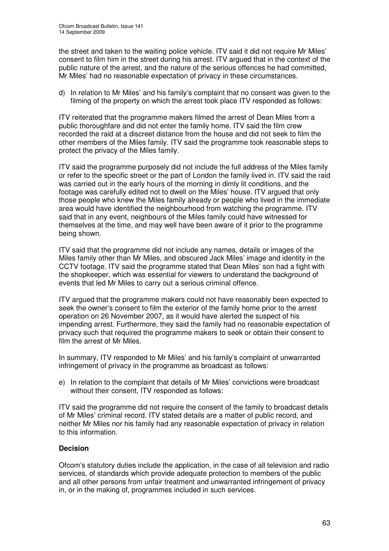the street and taken to the waiting police vehicle. ITV said it did not require Mr Miles' consent to film him in the street during his arrest. ITV argued that in the context of the public nature of the arrest, and the nature of the serious offences he had committed, Mr Miles' had no reasonable expectation of privacy in these circumstances.

d) In relation to Mr Miles' and his family's complaint that no consent was given to the filming of the property on which the arrest took place ITV responded as follows:

ITV reiterated that the programme makers filmed the arrest of Dean Miles from a public thoroughfare and did not enter the family home. ITV said the film crew recorded the raid at a discreet distance from the house and did not seek to film the other members of the Miles family. ITV said the programme took reasonable steps to protect the privacy of the Miles family.

ITV said the programme purposely did not include the full address of the Miles family or refer to the specific street or the part of London the family lived in. ITV said the raid was carried out in the early hours of the morning in dimly lit conditions, and the footage was carefully edited not to dwell on the Miles' house. ITV argued that only those people who knew the Miles family already or people who lived in the immediate area would have identified the neighbourhood from watching the programme. ITV said that in any event, neighbours of the Miles family could have witnessed for themselves at the time, and may well have been aware of it prior to the programme being shown.

ITV said that the programme did not include any names, details or images of the Miles family other than Mr Miles, and obscured Jack Miles' image and identity in the CCTV footage. ITV said the programme stated that Dean Miles' son had a fight with the shopkeeper, which was essential for viewers to understand the background of events that led Mr Miles to carry out a serious criminal offence.

ITV argued that the programme makers could not have reasonably been expected to seek the owner's consent to film the exterior of the family home prior to the arrest operation on 26 November 2007, as it would have alerted the suspect of his impending arrest. Furthermore, they said the family had no reasonable expectation of privacy such that required the programme makers to seek or obtain their consent to film the arrest of Mr Miles.

In summary, ITV responded to Mr Miles' and his family's complaint of unwarranted infringement of privacy in the programme as broadcast as follows:

e) In relation to the complaint that details of Mr Miles' convictions were broadcast without their consent, ITV responded as follows:

ITV said the programme did not require the consent of the family to broadcast details of Mr Miles' criminal record. ITV stated details are a matter of public record, and neither Mr Miles nor his family had any reasonable expectation of privacy in relation to this information.

#### **Decision**

Ofcom's statutory duties include the application, in the case of all television and radio services, of standards which provide adequate protection to members of the public and all other persons from unfair treatment and unwarranted infringement of privacy in, or in the making of, programmes included in such services.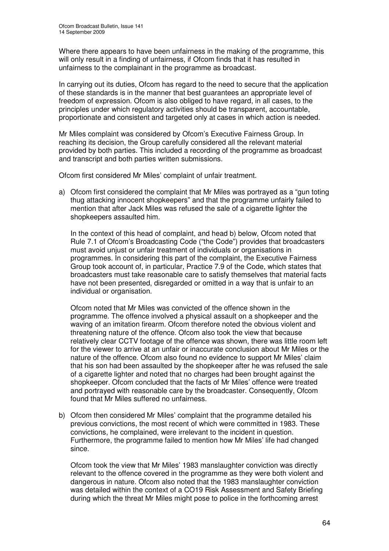Where there appears to have been unfairness in the making of the programme, this will only result in a finding of unfairness, if Ofcom finds that it has resulted in unfairness to the complainant in the programme as broadcast.

In carrying out its duties, Ofcom has regard to the need to secure that the application of these standards is in the manner that best guarantees an appropriate level of freedom of expression. Ofcom is also obliged to have regard, in all cases, to the principles under which regulatory activities should be transparent, accountable, proportionate and consistent and targeted only at cases in which action is needed.

Mr Miles complaint was considered by Ofcom's Executive Fairness Group. In reaching its decision, the Group carefully considered all the relevant material provided by both parties. This included a recording of the programme as broadcast and transcript and both parties written submissions.

Ofcom first considered Mr Miles' complaint of unfair treatment.

a) Ofcom first considered the complaint that Mr Miles was portrayed as a "gun toting thug attacking innocent shopkeepers" and that the programme unfairly failed to mention that after Jack Miles was refused the sale of a cigarette lighter the shopkeepers assaulted him.

In the context of this head of complaint, and head b) below, Ofcom noted that Rule 7.1 of Ofcom's Broadcasting Code ("the Code") provides that broadcasters must avoid unjust or unfair treatment of individuals or organisations in programmes. In considering this part of the complaint, the Executive Fairness Group took account of, in particular, Practice 7.9 of the Code, which states that broadcasters must take reasonable care to satisfy themselves that material facts have not been presented, disregarded or omitted in a way that is unfair to an individual or organisation.

Ofcom noted that Mr Miles was convicted of the offence shown in the programme. The offence involved a physical assault on a shopkeeper and the waving of an imitation firearm. Ofcom therefore noted the obvious violent and threatening nature of the offence. Ofcom also took the view that because relatively clear CCTV footage of the offence was shown, there was little room left for the viewer to arrive at an unfair or inaccurate conclusion about Mr Miles or the nature of the offence. Ofcom also found no evidence to support Mr Miles' claim that his son had been assaulted by the shopkeeper after he was refused the sale of a cigarette lighter and noted that no charges had been brought against the shopkeeper. Ofcom concluded that the facts of Mr Miles' offence were treated and portrayed with reasonable care by the broadcaster. Consequently, Ofcom found that Mr Miles suffered no unfairness.

b) Ofcom then considered Mr Miles' complaint that the programme detailed his previous convictions, the most recent of which were committed in 1983. These convictions, he complained, were irrelevant to the incident in question. Furthermore, the programme failed to mention how Mr Miles' life had changed since.

Ofcom took the view that Mr Miles' 1983 manslaughter conviction was directly relevant to the offence covered in the programme as they were both violent and dangerous in nature. Ofcom also noted that the 1983 manslaughter conviction was detailed within the context of a CO19 Risk Assessment and Safety Briefing during which the threat Mr Miles might pose to police in the forthcoming arrest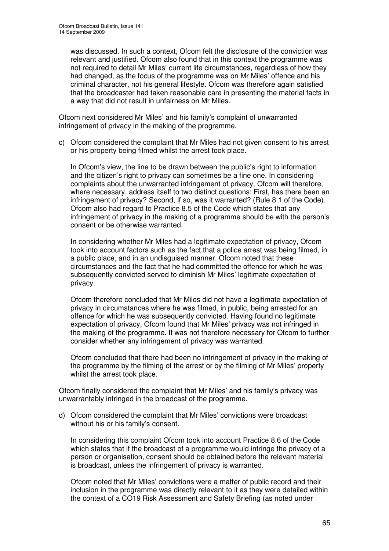was discussed. In such a context, Ofcom felt the disclosure of the conviction was relevant and justified. Ofcom also found that in this context the programme was not required to detail Mr Miles' current life circumstances, regardless of how they had changed, as the focus of the programme was on Mr Miles' offence and his criminal character, not his general lifestyle. Ofcom was therefore again satisfied that the broadcaster had taken reasonable care in presenting the material facts in a way that did not result in unfairness on Mr Miles.

Ofcom next considered Mr Miles' and his family's complaint of unwarranted infringement of privacy in the making of the programme.

c) Ofcom considered the complaint that Mr Miles had not given consent to his arrest or his property being filmed whilst the arrest took place.

In Ofcom's view, the line to be drawn between the public's right to information and the citizen's right to privacy can sometimes be a fine one. In considering complaints about the unwarranted infringement of privacy, Ofcom will therefore, where necessary, address itself to two distinct questions: First, has there been an infringement of privacy? Second, if so, was it warranted? (Rule 8.1 of the Code). Ofcom also had regard to Practice 8.5 of the Code which states that any infringement of privacy in the making of a programme should be with the person's consent or be otherwise warranted.

In considering whether Mr Miles had a legitimate expectation of privacy, Ofcom took into account factors such as the fact that a police arrest was being filmed, in a public place, and in an undisguised manner. Ofcom noted that these circumstances and the fact that he had committed the offence for which he was subsequently convicted served to diminish Mr Miles' legitimate expectation of privacy.

Ofcom therefore concluded that Mr Miles did not have a legitimate expectation of privacy in circumstances where he was filmed, in public, being arrested for an offence for which he was subsequently convicted. Having found no legitimate expectation of privacy, Ofcom found that Mr Miles' privacy was not infringed in the making of the programme. It was not therefore necessary for Ofcom to further consider whether any infringement of privacy was warranted.

Ofcom concluded that there had been no infringement of privacy in the making of the programme by the filming of the arrest or by the filming of Mr Miles' property whilst the arrest took place.

Ofcom finally considered the complaint that Mr Miles' and his family's privacy was unwarrantably infringed in the broadcast of the programme.

d) Ofcom considered the complaint that Mr Miles' convictions were broadcast without his or his family's consent.

In considering this complaint Ofcom took into account Practice 8.6 of the Code which states that if the broadcast of a programme would infringe the privacy of a person or organisation, consent should be obtained before the relevant material is broadcast, unless the infringement of privacy is warranted.

Ofcom noted that Mr Miles' convictions were a matter of public record and their inclusion in the programme was directly relevant to it as they were detailed within the context of a CO19 Risk Assessment and Safety Briefing (as noted under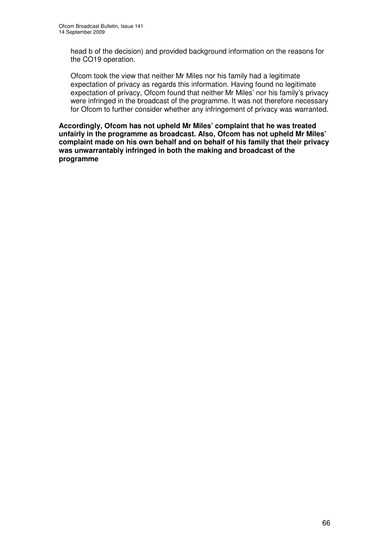head b of the decision) and provided background information on the reasons for the CO19 operation.

Ofcom took the view that neither Mr Miles nor his family had a legitimate expectation of privacy as regards this information. Having found no legitimate expectation of privacy, Ofcom found that neither Mr Miles' nor his family's privacy were infringed in the broadcast of the programme. It was not therefore necessary for Ofcom to further consider whether any infringement of privacy was warranted.

**Accordingly, Ofcom has not upheld Mr Miles' complaint that he was treated unfairly in the programme as broadcast. Also, Ofcom has not upheld Mr Miles' complaint made on his own behalf and on behalf of his family that their privacy was unwarrantably infringed in both the making and broadcast of the programme**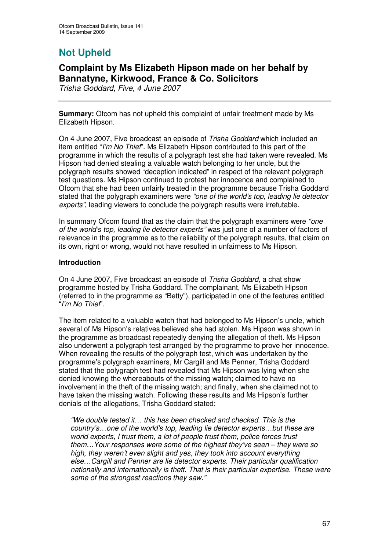# **Not Upheld**

### **Complaint by Ms Elizabeth Hipson made on her behalf by Bannatyne, Kirkwood, France & Co. Solicitors**

*Trisha Goddard, Five, 4 June 2007*

**Summary:** Ofcom has not upheld this complaint of unfair treatment made by Ms Elizabeth Hipson.

On 4 June 2007, Five broadcast an episode of *Trisha Goddard* which included an item entitled "*I'm No Thief*". Ms Elizabeth Hipson contributed to this part of the programme in which the results of a polygraph test she had taken were revealed. Ms Hipson had denied stealing a valuable watch belonging to her uncle, but the polygraph results showed "deception indicated" in respect of the relevant polygraph test questions. Ms Hipson continued to protest her innocence and complained to Ofcom that she had been unfairly treated in the programme because Trisha Goddard stated that the polygraph examiners were *"one of the world's top, leading lie detector experts"*, leading viewers to conclude the polygraph results were irrefutable.

In summary Ofcom found that as the claim that the polygraph examiners were *"one of the world's top, leading lie detector experts"* was just one of a number of factors of relevance in the programme as to the reliability of the polygraph results, that claim on its own, right or wrong, would not have resulted in unfairness to Ms Hipson.

#### **Introduction**

On 4 June 2007, Five broadcast an episode of *Trisha Goddard*, a chat show programme hosted by Trisha Goddard. The complainant, Ms Elizabeth Hipson (referred to in the programme as "Betty"), participated in one of the features entitled "*I'm No Thief*".

The item related to a valuable watch that had belonged to Ms Hipson's uncle, which several of Ms Hipson's relatives believed she had stolen. Ms Hipson was shown in the programme as broadcast repeatedly denying the allegation of theft. Ms Hipson also underwent a polygraph test arranged by the programme to prove her innocence. When revealing the results of the polygraph test, which was undertaken by the programme's polygraph examiners, Mr Cargill and Ms Penner, Trisha Goddard stated that the polygraph test had revealed that Ms Hipson was lying when she denied knowing the whereabouts of the missing watch; claimed to have no involvement in the theft of the missing watch; and finally, when she claimed not to have taken the missing watch. Following these results and Ms Hipson's further denials of the allegations, Trisha Goddard stated:

*"We double tested it… this has been checked and checked. This is the country's…one of the world's top, leading lie detector experts…but these are world experts, I trust them, a lot of people trust them, police forces trust them…Your responses were some of the highest they've seen – they were so high, they weren't even slight and yes, they took into account everything else…Cargill and Penner are lie detector experts. Their particular qualification nationally and internationally is theft. That is their particular expertise. These were some of the strongest reactions they saw."*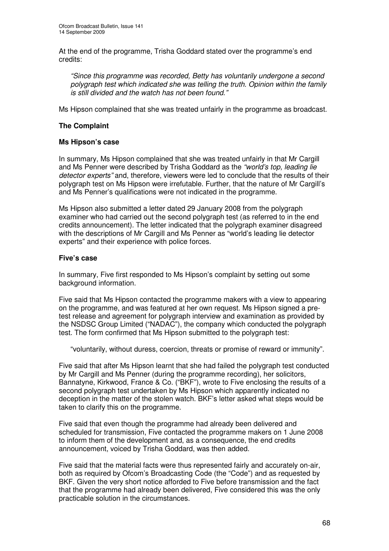At the end of the programme, Trisha Goddard stated over the programme's end credits:

*"Since this programme was recorded, Betty has voluntarily undergone a second polygraph test which indicated she was telling the truth. Opinion within the family is still divided and the watch has not been found."*

Ms Hipson complained that she was treated unfairly in the programme as broadcast.

#### **The Complaint**

#### **Ms Hipson's case**

In summary, Ms Hipson complained that she was treated unfairly in that Mr Cargill and Ms Penner were described by Trisha Goddard as the *"world's top, leading lie detector experts"* and, therefore, viewers were led to conclude that the results of their polygraph test on Ms Hipson were irrefutable. Further, that the nature of Mr Cargill's and Ms Penner's qualifications were not indicated in the programme.

Ms Hipson also submitted a letter dated 29 January 2008 from the polygraph examiner who had carried out the second polygraph test (as referred to in the end credits announcement). The letter indicated that the polygraph examiner disagreed with the descriptions of Mr Cargill and Ms Penner as "world's leading lie detector experts" and their experience with police forces.

#### **Five's case**

In summary, Five first responded to Ms Hipson's complaint by setting out some background information.

Five said that Ms Hipson contacted the programme makers with a view to appearing on the programme, and was featured at her own request. Ms Hipson signed a pretest release and agreement for polygraph interview and examination as provided by the NSDSC Group Limited ("NADAC"), the company which conducted the polygraph test. The form confirmed that Ms Hipson submitted to the polygraph test:

"voluntarily, without duress, coercion, threats or promise of reward or immunity".

Five said that after Ms Hipson learnt that she had failed the polygraph test conducted by Mr Cargill and Ms Penner (during the programme recording), her solicitors, Bannatyne, Kirkwood, France & Co. ("BKF"), wrote to Five enclosing the results of a second polygraph test undertaken by Ms Hipson which apparently indicated no deception in the matter of the stolen watch. BKF's letter asked what steps would be taken to clarify this on the programme.

Five said that even though the programme had already been delivered and scheduled for transmission, Five contacted the programme makers on 1 June 2008 to inform them of the development and, as a consequence, the end credits announcement, voiced by Trisha Goddard, was then added.

Five said that the material facts were thus represented fairly and accurately on-air, both as required by Ofcom's Broadcasting Code (the "Code") and as requested by BKF. Given the very short notice afforded to Five before transmission and the fact that the programme had already been delivered, Five considered this was the only practicable solution in the circumstances.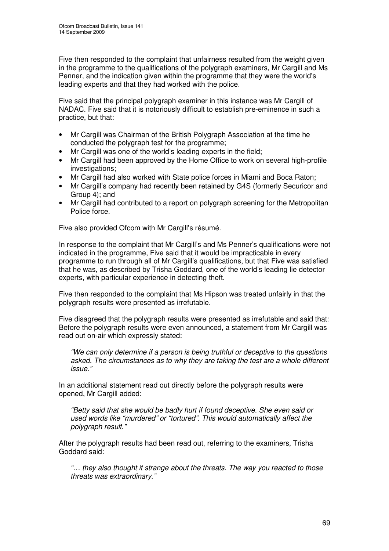Five then responded to the complaint that unfairness resulted from the weight given in the programme to the qualifications of the polygraph examiners, Mr Cargill and Ms Penner, and the indication given within the programme that they were the world's leading experts and that they had worked with the police.

Five said that the principal polygraph examiner in this instance was Mr Cargill of NADAC. Five said that it is notoriously difficult to establish pre-eminence in such a practice, but that:

- Mr Cargill was Chairman of the British Polygraph Association at the time he conducted the polygraph test for the programme;
- Mr Cargill was one of the world's leading experts in the field;
- Mr Cargill had been approved by the Home Office to work on several high-profile investigations;
- Mr Cargill had also worked with State police forces in Miami and Boca Raton;
- Mr Cargill's company had recently been retained by G4S (formerly Securicor and Group 4); and
- Mr Cargill had contributed to a report on polygraph screening for the Metropolitan Police force.

Five also provided Ofcom with Mr Cargill's résumé.

In response to the complaint that Mr Cargill's and Ms Penner's qualifications were not indicated in the programme, Five said that it would be impracticable in every programme to run through all of Mr Cargill's qualifications, but that Five was satisfied that he was, as described by Trisha Goddard, one of the world's leading lie detector experts, with particular experience in detecting theft.

Five then responded to the complaint that Ms Hipson was treated unfairly in that the polygraph results were presented as irrefutable.

Five disagreed that the polygraph results were presented as irrefutable and said that: Before the polygraph results were even announced, a statement from Mr Cargill was read out on-air which expressly stated:

*"We can only determine if a person is being truthful or deceptive to the questions asked. The circumstances as to why they are taking the test are a whole different issue*.*"*

In an additional statement read out directly before the polygraph results were opened, Mr Cargill added:

*"Betty said that she would be badly hurt if found deceptive. She even said or used words like "murdered" or "tortured". This would automatically affect the polygraph result*.*"*

After the polygraph results had been read out, referring to the examiners, Trisha Goddard said:

*"… they also thought it strange about the threats. The way you reacted to those threats was extraordinary*.*"*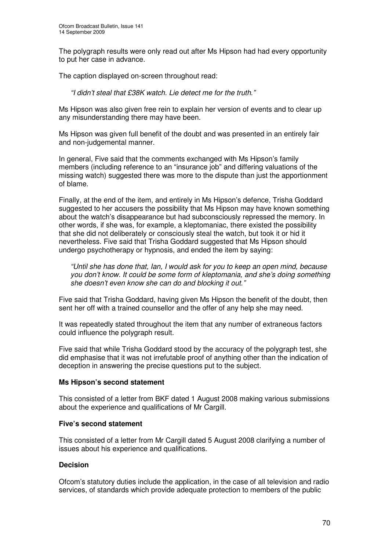The polygraph results were only read out after Ms Hipson had had every opportunity to put her case in advance.

The caption displayed on-screen throughout read:

*"I didn't steal that £38K watch. Lie detect me for the truth*.*"*

Ms Hipson was also given free rein to explain her version of events and to clear up any misunderstanding there may have been.

Ms Hipson was given full benefit of the doubt and was presented in an entirely fair and non-judgemental manner.

In general, Five said that the comments exchanged with Ms Hipson's family members (including reference to an "insurance job" and differing valuations of the missing watch) suggested there was more to the dispute than just the apportionment of blame.

Finally, at the end of the item, and entirely in Ms Hipson's defence, Trisha Goddard suggested to her accusers the possibility that Ms Hipson may have known something about the watch's disappearance but had subconsciously repressed the memory. In other words, if she was, for example, a kleptomaniac, there existed the possibility that she did not deliberately or consciously steal the watch, but took it or hid it nevertheless. Five said that Trisha Goddard suggested that Ms Hipson should undergo psychotherapy or hypnosis, and ended the item by saying:

*"Until she has done that, Ian, I would ask for you to keep an open mind, because you don't know. It could be some form of kleptomania, and she's doing something she doesn't even know she can do and blocking it out*.*"*

Five said that Trisha Goddard, having given Ms Hipson the benefit of the doubt, then sent her off with a trained counsellor and the offer of any help she may need.

It was repeatedly stated throughout the item that any number of extraneous factors could influence the polygraph result.

Five said that while Trisha Goddard stood by the accuracy of the polygraph test, she did emphasise that it was not irrefutable proof of anything other than the indication of deception in answering the precise questions put to the subject.

#### **Ms Hipson's second statement**

This consisted of a letter from BKF dated 1 August 2008 making various submissions about the experience and qualifications of Mr Cargill.

#### **Five's second statement**

This consisted of a letter from Mr Cargill dated 5 August 2008 clarifying a number of issues about his experience and qualifications.

#### **Decision**

Ofcom's statutory duties include the application, in the case of all television and radio services, of standards which provide adequate protection to members of the public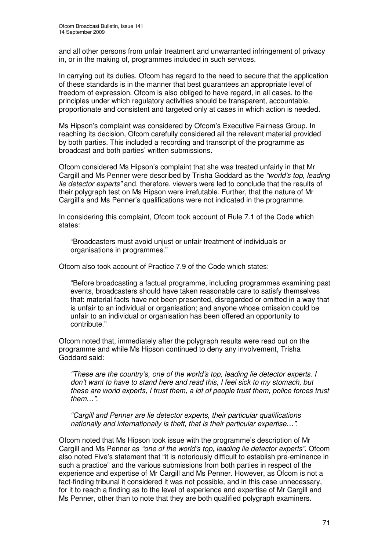and all other persons from unfair treatment and unwarranted infringement of privacy in, or in the making of, programmes included in such services.

In carrying out its duties, Ofcom has regard to the need to secure that the application of these standards is in the manner that best guarantees an appropriate level of freedom of expression. Ofcom is also obliged to have regard, in all cases, to the principles under which regulatory activities should be transparent, accountable, proportionate and consistent and targeted only at cases in which action is needed.

Ms Hipson's complaint was considered by Ofcom's Executive Fairness Group. In reaching its decision, Ofcom carefully considered all the relevant material provided by both parties. This included a recording and transcript of the programme as broadcast and both parties' written submissions.

Ofcom considered Ms Hipson's complaint that she was treated unfairly in that Mr Cargill and Ms Penner were described by Trisha Goddard as the *"world's top, leading lie detector experts"* and, therefore, viewers were led to conclude that the results of their polygraph test on Ms Hipson were irrefutable. Further, that the nature of Mr Cargill's and Ms Penner's qualifications were not indicated in the programme.

In considering this complaint, Ofcom took account of Rule 7.1 of the Code which states:

"Broadcasters must avoid unjust or unfair treatment of individuals or organisations in programmes."

Ofcom also took account of Practice 7.9 of the Code which states:

"Before broadcasting a factual programme, including programmes examining past events, broadcasters should have taken reasonable care to satisfy themselves that: material facts have not been presented, disregarded or omitted in a way that is unfair to an individual or organisation; and anyone whose omission could be unfair to an individual or organisation has been offered an opportunity to contribute."

Ofcom noted that, immediately after the polygraph results were read out on the programme and while Ms Hipson continued to deny any involvement, Trisha Goddard said:

*"These are the country's, one of the world's top, leading lie detector experts. I don't want to have to stand here and read this, I feel sick to my stomach, but these are world experts, I trust them, a lot of people trust them, police forces trust them*…*"*.

*"Cargill and Penner are lie detector experts, their particular qualifications nationally and internationally is theft, that is their particular expertise*…*"*.

Ofcom noted that Ms Hipson took issue with the programme's description of Mr Cargill and Ms Penner as *"one of the world's top, leading lie detector experts"*. Ofcom also noted Five's statement that "it is notoriously difficult to establish pre-eminence in such a practice" and the various submissions from both parties in respect of the experience and expertise of Mr Cargill and Ms Penner. However, as Ofcom is not a fact-finding tribunal it considered it was not possible, and in this case unnecessary, for it to reach a finding as to the level of experience and expertise of Mr Cargill and Ms Penner, other than to note that they are both qualified polygraph examiners.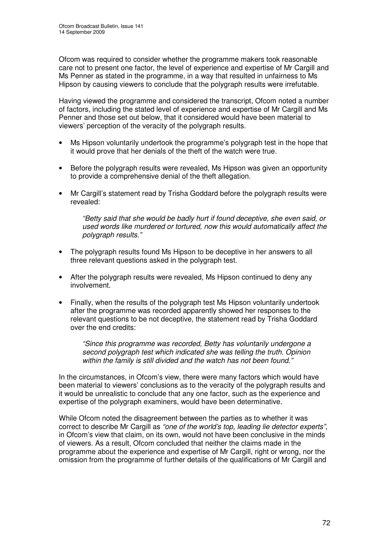Ofcom was required to consider whether the programme makers took reasonable care not to present one factor, the level of experience and expertise of Mr Cargill and Ms Penner as stated in the programme, in a way that resulted in unfairness to Ms Hipson by causing viewers to conclude that the polygraph results were irrefutable.

Having viewed the programme and considered the transcript, Ofcom noted a number of factors, including the stated level of experience and expertise of Mr Cargill and Ms Penner and those set out below, that it considered would have been material to viewers' perception of the veracity of the polygraph results.

- Ms Hipson voluntarily undertook the programme's polygraph test in the hope that it would prove that her denials of the theft of the watch were true.
- Before the polygraph results were revealed, Ms Hipson was given an opportunity to provide a comprehensive denial of the theft allegation.
- Mr Cargill's statement read by Trisha Goddard before the polygraph results were revealed:

*"Betty said that she would be badly hurt if found deceptive, she even said, or used words like murdered or tortured, now this would automatically affect the polygraph results."*

- The polygraph results found Ms Hipson to be deceptive in her answers to all three relevant questions asked in the polygraph test.
- After the polygraph results were revealed, Ms Hipson continued to deny any involvement.
- Finally, when the results of the polygraph test Ms Hipson voluntarily undertook after the programme was recorded apparently showed her responses to the relevant questions to be not deceptive, the statement read by Trisha Goddard over the end credits:

*"Since this programme was recorded, Betty has voluntarily undergone a second polygraph test which indicated she was telling the truth. Opinion within the family is still divided and the watch has not been found*.*"*

In the circumstances, in Ofcom's view, there were many factors which would have been material to viewers' conclusions as to the veracity of the polygraph results and it would be unrealistic to conclude that any one factor, such as the experience and expertise of the polygraph examiners, would have been determinative.

While Ofcom noted the disagreement between the parties as to whether it was correct to describe Mr Cargill as *"one of the world's top, leading lie detector experts"*, in Ofcom's view that claim, on its own, would not have been conclusive in the minds of viewers. As a result, Ofcom concluded that neither the claims made in the programme about the experience and expertise of Mr Cargill, right or wrong, nor the omission from the programme of further details of the qualifications of Mr Cargill and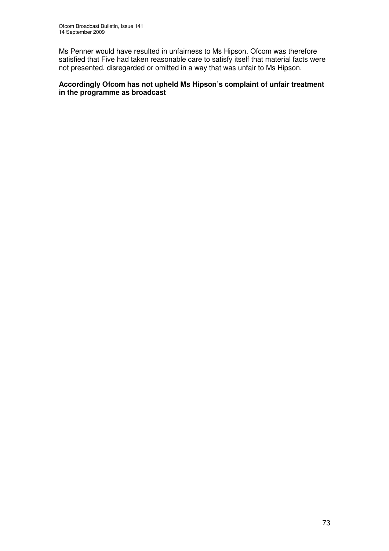Ms Penner would have resulted in unfairness to Ms Hipson. Ofcom was therefore satisfied that Five had taken reasonable care to satisfy itself that material facts were not presented, disregarded or omitted in a way that was unfair to Ms Hipson.

### **Accordingly Ofcom has not upheld Ms Hipson's complaint of unfair treatment in the programme as broadcast**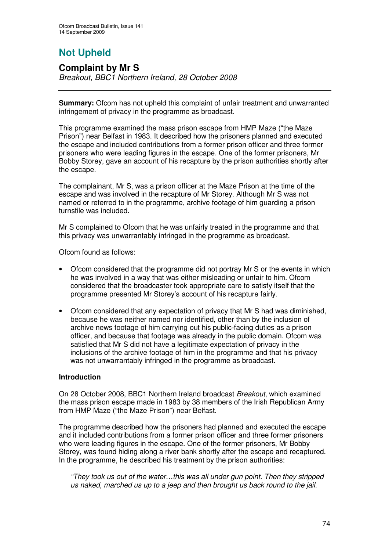# **Not Upheld**

### **Complaint by Mr S**

*Breakout, BBC1 Northern Ireland, 28 October 2008*

**Summary:** Ofcom has not upheld this complaint of unfair treatment and unwarranted infringement of privacy in the programme as broadcast.

This programme examined the mass prison escape from HMP Maze ("the Maze Prison") near Belfast in 1983. It described how the prisoners planned and executed the escape and included contributions from a former prison officer and three former prisoners who were leading figures in the escape. One of the former prisoners, Mr Bobby Storey, gave an account of his recapture by the prison authorities shortly after the escape.

The complainant, Mr S, was a prison officer at the Maze Prison at the time of the escape and was involved in the recapture of Mr Storey. Although Mr S was not named or referred to in the programme, archive footage of him guarding a prison turnstile was included.

Mr S complained to Ofcom that he was unfairly treated in the programme and that this privacy was unwarrantably infringed in the programme as broadcast.

Ofcom found as follows:

- Ofcom considered that the programme did not portray Mr S or the events in which he was involved in a way that was either misleading or unfair to him. Ofcom considered that the broadcaster took appropriate care to satisfy itself that the programme presented Mr Storey's account of his recapture fairly.
- Ofcom considered that any expectation of privacy that Mr S had was diminished, because he was neither named nor identified, other than by the inclusion of archive news footage of him carrying out his public-facing duties as a prison officer, and because that footage was already in the public domain. Ofcom was satisfied that Mr S did not have a legitimate expectation of privacy in the inclusions of the archive footage of him in the programme and that his privacy was not unwarrantably infringed in the programme as broadcast.

### **Introduction**

On 28 October 2008, BBC1 Northern Ireland broadcast *Breakout*, which examined the mass prison escape made in 1983 by 38 members of the Irish Republican Army from HMP Maze ("the Maze Prison") near Belfast.

The programme described how the prisoners had planned and executed the escape and it included contributions from a former prison officer and three former prisoners who were leading figures in the escape. One of the former prisoners, Mr Bobby Storey, was found hiding along a river bank shortly after the escape and recaptured. In the programme, he described his treatment by the prison authorities:

*"They took us out of the water…this was all under gun point. Then they stripped us naked, marched us up to a jeep and then brought us back round to the jail.*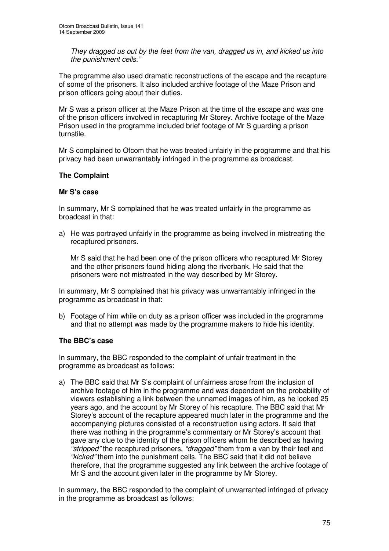*They dragged us out by the feet from the van, dragged us in, and kicked us into the punishment cells."*

The programme also used dramatic reconstructions of the escape and the recapture of some of the prisoners. It also included archive footage of the Maze Prison and prison officers going about their duties.

Mr S was a prison officer at the Maze Prison at the time of the escape and was one of the prison officers involved in recapturing Mr Storey. Archive footage of the Maze Prison used in the programme included brief footage of Mr S guarding a prison turnstile.

Mr S complained to Ofcom that he was treated unfairly in the programme and that his privacy had been unwarrantably infringed in the programme as broadcast.

### **The Complaint**

#### **Mr S's case**

In summary, Mr S complained that he was treated unfairly in the programme as broadcast in that:

a) He was portrayed unfairly in the programme as being involved in mistreating the recaptured prisoners.

Mr S said that he had been one of the prison officers who recaptured Mr Storey and the other prisoners found hiding along the riverbank. He said that the prisoners were not mistreated in the way described by Mr Storey.

In summary, Mr S complained that his privacy was unwarrantably infringed in the programme as broadcast in that:

b) Footage of him while on duty as a prison officer was included in the programme and that no attempt was made by the programme makers to hide his identity.

### **The BBC's case**

In summary, the BBC responded to the complaint of unfair treatment in the programme as broadcast as follows:

a) The BBC said that Mr S's complaint of unfairness arose from the inclusion of archive footage of him in the programme and was dependent on the probability of viewers establishing a link between the unnamed images of him, as he looked 25 years ago, and the account by Mr Storey of his recapture. The BBC said that Mr Storey's account of the recapture appeared much later in the programme and the accompanying pictures consisted of a reconstruction using actors. It said that there was nothing in the programme's commentary or Mr Storey's account that gave any clue to the identity of the prison officers whom he described as having *"stripped"* the recaptured prisoners, *"dragged"* them from a van by their feet and *"kicked"* them into the punishment cells. The BBC said that it did not believe therefore, that the programme suggested any link between the archive footage of Mr S and the account given later in the programme by Mr Storey.

In summary, the BBC responded to the complaint of unwarranted infringed of privacy in the programme as broadcast as follows: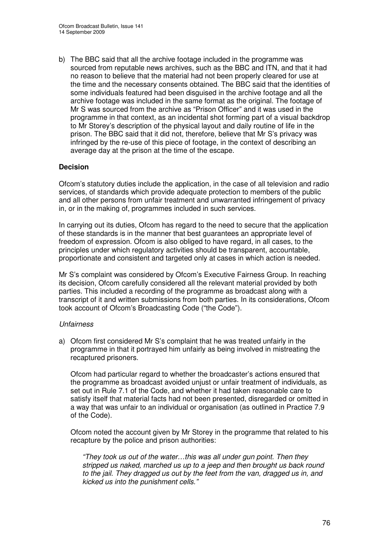b) The BBC said that all the archive footage included in the programme was sourced from reputable news archives, such as the BBC and ITN, and that it had no reason to believe that the material had not been properly cleared for use at the time and the necessary consents obtained. The BBC said that the identities of some individuals featured had been disguised in the archive footage and all the archive footage was included in the same format as the original. The footage of Mr S was sourced from the archive as "Prison Officer" and it was used in the programme in that context, as an incidental shot forming part of a visual backdrop to Mr Storey's description of the physical layout and daily routine of life in the prison. The BBC said that it did not, therefore, believe that Mr S's privacy was infringed by the re-use of this piece of footage, in the context of describing an average day at the prison at the time of the escape.

### **Decision**

Ofcom's statutory duties include the application, in the case of all television and radio services, of standards which provide adequate protection to members of the public and all other persons from unfair treatment and unwarranted infringement of privacy in, or in the making of, programmes included in such services.

In carrying out its duties, Ofcom has regard to the need to secure that the application of these standards is in the manner that best guarantees an appropriate level of freedom of expression. Ofcom is also obliged to have regard, in all cases, to the principles under which regulatory activities should be transparent, accountable, proportionate and consistent and targeted only at cases in which action is needed.

Mr S's complaint was considered by Ofcom's Executive Fairness Group. In reaching its decision, Ofcom carefully considered all the relevant material provided by both parties. This included a recording of the programme as broadcast along with a transcript of it and written submissions from both parties. In its considerations, Ofcom took account of Ofcom's Broadcasting Code ("the Code").

### *Unfairness*

a) Ofcom first considered Mr S's complaint that he was treated unfairly in the programme in that it portrayed him unfairly as being involved in mistreating the recaptured prisoners.

Ofcom had particular regard to whether the broadcaster's actions ensured that the programme as broadcast avoided unjust or unfair treatment of individuals, as set out in Rule 7.1 of the Code, and whether it had taken reasonable care to satisfy itself that material facts had not been presented, disregarded or omitted in a way that was unfair to an individual or organisation (as outlined in Practice 7.9 of the Code).

Ofcom noted the account given by Mr Storey in the programme that related to his recapture by the police and prison authorities:

*"They took us out of the water…this was all under gun point. Then they stripped us naked, marched us up to a jeep and then brought us back round to the jail. They dragged us out by the feet from the van, dragged us in, and kicked us into the punishment cells."*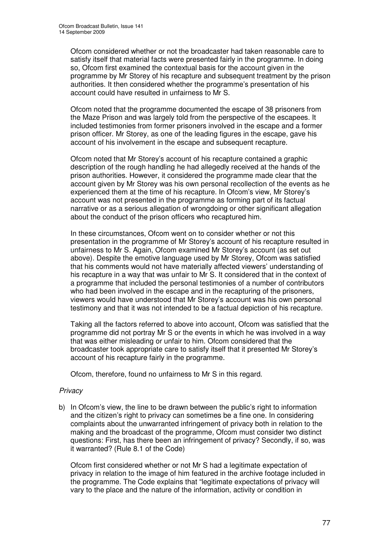Ofcom considered whether or not the broadcaster had taken reasonable care to satisfy itself that material facts were presented fairly in the programme. In doing so, Ofcom first examined the contextual basis for the account given in the programme by Mr Storey of his recapture and subsequent treatment by the prison authorities. It then considered whether the programme's presentation of his account could have resulted in unfairness to Mr S.

Ofcom noted that the programme documented the escape of 38 prisoners from the Maze Prison and was largely told from the perspective of the escapees. It included testimonies from former prisoners involved in the escape and a former prison officer. Mr Storey, as one of the leading figures in the escape, gave his account of his involvement in the escape and subsequent recapture.

Ofcom noted that Mr Storey's account of his recapture contained a graphic description of the rough handling he had allegedly received at the hands of the prison authorities. However, it considered the programme made clear that the account given by Mr Storey was his own personal recollection of the events as he experienced them at the time of his recapture. In Ofcom's view, Mr Storey's account was not presented in the programme as forming part of its factual narrative or as a serious allegation of wrongdoing or other significant allegation about the conduct of the prison officers who recaptured him.

In these circumstances, Ofcom went on to consider whether or not this presentation in the programme of Mr Storey's account of his recapture resulted in unfairness to Mr S. Again, Ofcom examined Mr Storey's account (as set out above). Despite the emotive language used by Mr Storey, Ofcom was satisfied that his comments would not have materially affected viewers' understanding of his recapture in a way that was unfair to Mr S. It considered that in the context of a programme that included the personal testimonies of a number of contributors who had been involved in the escape and in the recapturing of the prisoners, viewers would have understood that Mr Storey's account was his own personal testimony and that it was not intended to be a factual depiction of his recapture.

Taking all the factors referred to above into account, Ofcom was satisfied that the programme did not portray Mr S or the events in which he was involved in a way that was either misleading or unfair to him. Ofcom considered that the broadcaster took appropriate care to satisfy itself that it presented Mr Storey's account of his recapture fairly in the programme.

Ofcom, therefore, found no unfairness to Mr S in this regard.

### *Privacy*

b) In Ofcom's view, the line to be drawn between the public's right to information and the citizen's right to privacy can sometimes be a fine one. In considering complaints about the unwarranted infringement of privacy both in relation to the making and the broadcast of the programme, Ofcom must consider two distinct questions: First, has there been an infringement of privacy? Secondly, if so, was it warranted? (Rule 8.1 of the Code)

Ofcom first considered whether or not Mr S had a legitimate expectation of privacy in relation to the image of him featured in the archive footage included in the programme. The Code explains that "legitimate expectations of privacy will vary to the place and the nature of the information, activity or condition in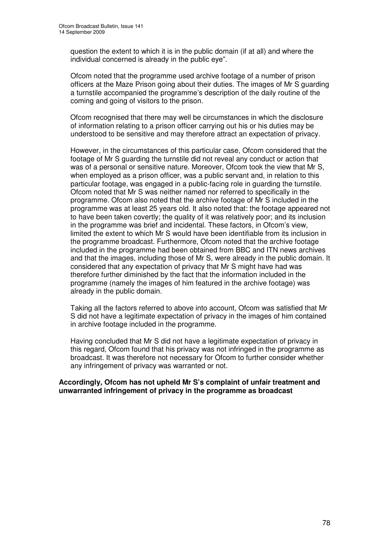question the extent to which it is in the public domain (if at all) and where the individual concerned is already in the public eye".

Ofcom noted that the programme used archive footage of a number of prison officers at the Maze Prison going about their duties. The images of Mr S guarding a turnstile accompanied the programme's description of the daily routine of the coming and going of visitors to the prison.

Ofcom recognised that there may well be circumstances in which the disclosure of information relating to a prison officer carrying out his or his duties may be understood to be sensitive and may therefore attract an expectation of privacy.

However, in the circumstances of this particular case, Ofcom considered that the footage of Mr S guarding the turnstile did not reveal any conduct or action that was of a personal or sensitive nature. Moreover, Ofcom took the view that Mr S, when employed as a prison officer, was a public servant and, in relation to this particular footage, was engaged in a public-facing role in guarding the turnstile. Ofcom noted that Mr S was neither named nor referred to specifically in the programme. Ofcom also noted that the archive footage of Mr S included in the programme was at least 25 years old. It also noted that: the footage appeared not to have been taken covertly; the quality of it was relatively poor; and its inclusion in the programme was brief and incidental. These factors, in Ofcom's view, limited the extent to which Mr S would have been identifiable from its inclusion in the programme broadcast. Furthermore, Ofcom noted that the archive footage included in the programme had been obtained from BBC and ITN news archives and that the images, including those of Mr S, were already in the public domain. It considered that any expectation of privacy that Mr S might have had was therefore further diminished by the fact that the information included in the programme (namely the images of him featured in the archive footage) was already in the public domain.

Taking all the factors referred to above into account, Ofcom was satisfied that Mr S did not have a legitimate expectation of privacy in the images of him contained in archive footage included in the programme.

Having concluded that Mr S did not have a legitimate expectation of privacy in this regard, Ofcom found that his privacy was not infringed in the programme as broadcast. It was therefore not necessary for Ofcom to further consider whether any infringement of privacy was warranted or not.

#### **Accordingly, Ofcom has not upheld Mr S's complaint of unfair treatment and unwarranted infringement of privacy in the programme as broadcast**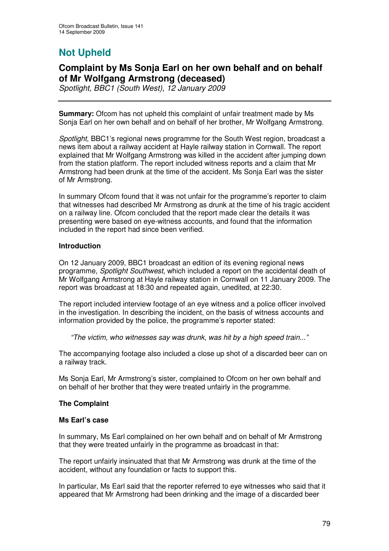# **Not Upheld**

## **Complaint by Ms Sonja Earl on her own behalf and on behalf of Mr Wolfgang Armstrong (deceased)**

*Spotlight, BBC1 (South West), 12 January 2009*

**Summary:** Ofcom has not upheld this complaint of unfair treatment made by Ms Sonja Earl on her own behalf and on behalf of her brother, Mr Wolfgang Armstrong.

*Spotlight*, BBC1's regional news programme for the South West region, broadcast a news item about a railway accident at Hayle railway station in Cornwall. The report explained that Mr Wolfgang Armstrong was killed in the accident after jumping down from the station platform. The report included witness reports and a claim that Mr Armstrong had been drunk at the time of the accident. Ms Sonja Earl was the sister of Mr Armstrong.

In summary Ofcom found that it was not unfair for the programme's reporter to claim that witnesses had described Mr Armstrong as drunk at the time of his tragic accident on a railway line. Ofcom concluded that the report made clear the details it was presenting were based on eye-witness accounts, and found that the information included in the report had since been verified.

### **Introduction**

On 12 January 2009, BBC1 broadcast an edition of its evening regional news programme, *Spotlight Southwest*, which included a report on the accidental death of Mr Wolfgang Armstrong at Hayle railway station in Cornwall on 11 January 2009. The report was broadcast at 18:30 and repeated again, unedited, at 22:30.

The report included interview footage of an eye witness and a police officer involved in the investigation. In describing the incident, on the basis of witness accounts and information provided by the police, the programme's reporter stated:

*"The victim, who witnesses say was drunk, was hit by a high speed train..."*

The accompanying footage also included a close up shot of a discarded beer can on a railway track.

Ms Sonja Earl, Mr Armstrong's sister, complained to Ofcom on her own behalf and on behalf of her brother that they were treated unfairly in the programme.

### **The Complaint**

### **Ms Earl's case**

In summary, Ms Earl complained on her own behalf and on behalf of Mr Armstrong that they were treated unfairly in the programme as broadcast in that:

The report unfairly insinuated that that Mr Armstrong was drunk at the time of the accident, without any foundation or facts to support this.

In particular, Ms Earl said that the reporter referred to eye witnesses who said that it appeared that Mr Armstrong had been drinking and the image of a discarded beer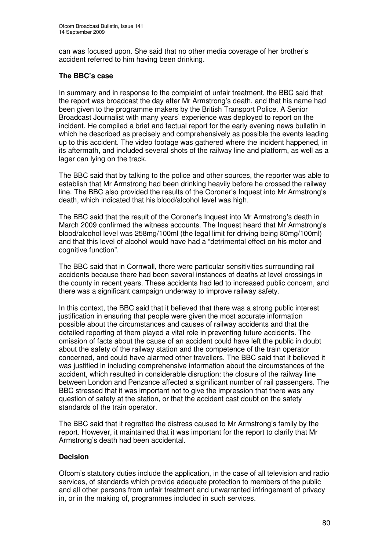can was focused upon. She said that no other media coverage of her brother's accident referred to him having been drinking.

### **The BBC's case**

In summary and in response to the complaint of unfair treatment, the BBC said that the report was broadcast the day after Mr Armstrong's death, and that his name had been given to the programme makers by the British Transport Police. A Senior Broadcast Journalist with many years' experience was deployed to report on the incident. He compiled a brief and factual report for the early evening news bulletin in which he described as precisely and comprehensively as possible the events leading up to this accident. The video footage was gathered where the incident happened, in its aftermath, and included several shots of the railway line and platform, as well as a lager can lying on the track.

The BBC said that by talking to the police and other sources, the reporter was able to establish that Mr Armstrong had been drinking heavily before he crossed the railway line. The BBC also provided the results of the Coroner's Inquest into Mr Armstrong's death, which indicated that his blood/alcohol level was high.

The BBC said that the result of the Coroner's Inquest into Mr Armstrong's death in March 2009 confirmed the witness accounts. The Inquest heard that Mr Armstrong's blood/alcohol level was 258mg/100ml (the legal limit for driving being 80mg/100ml) and that this level of alcohol would have had a "detrimental effect on his motor and cognitive function".

The BBC said that in Cornwall, there were particular sensitivities surrounding rail accidents because there had been several instances of deaths at level crossings in the county in recent years. These accidents had led to increased public concern, and there was a significant campaign underway to improve railway safety.

In this context, the BBC said that it believed that there was a strong public interest justification in ensuring that people were given the most accurate information possible about the circumstances and causes of railway accidents and that the detailed reporting of them played a vital role in preventing future accidents. The omission of facts about the cause of an accident could have left the public in doubt about the safety of the railway station and the competence of the train operator concerned, and could have alarmed other travellers. The BBC said that it believed it was justified in including comprehensive information about the circumstances of the accident, which resulted in considerable disruption: the closure of the railway line between London and Penzance affected a significant number of rail passengers. The BBC stressed that it was important not to give the impression that there was any question of safety at the station, or that the accident cast doubt on the safety standards of the train operator.

The BBC said that it regretted the distress caused to Mr Armstrong's family by the report. However, it maintained that it was important for the report to clarify that Mr Armstrong's death had been accidental.

### **Decision**

Ofcom's statutory duties include the application, in the case of all television and radio services, of standards which provide adequate protection to members of the public and all other persons from unfair treatment and unwarranted infringement of privacy in, or in the making of, programmes included in such services.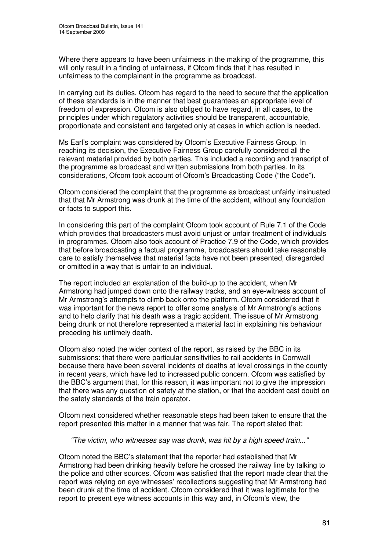Where there appears to have been unfairness in the making of the programme, this will only result in a finding of unfairness, if Ofcom finds that it has resulted in unfairness to the complainant in the programme as broadcast.

In carrying out its duties, Ofcom has regard to the need to secure that the application of these standards is in the manner that best guarantees an appropriate level of freedom of expression. Ofcom is also obliged to have regard, in all cases, to the principles under which regulatory activities should be transparent, accountable, proportionate and consistent and targeted only at cases in which action is needed.

Ms Earl's complaint was considered by Ofcom's Executive Fairness Group. In reaching its decision, the Executive Fairness Group carefully considered all the relevant material provided by both parties. This included a recording and transcript of the programme as broadcast and written submissions from both parties. In its considerations, Ofcom took account of Ofcom's Broadcasting Code ("the Code").

Ofcom considered the complaint that the programme as broadcast unfairly insinuated that that Mr Armstrong was drunk at the time of the accident, without any foundation or facts to support this.

In considering this part of the complaint Ofcom took account of Rule 7.1 of the Code which provides that broadcasters must avoid unjust or unfair treatment of individuals in programmes. Ofcom also took account of Practice 7.9 of the Code, which provides that before broadcasting a factual programme, broadcasters should take reasonable care to satisfy themselves that material facts have not been presented, disregarded or omitted in a way that is unfair to an individual.

The report included an explanation of the build-up to the accident, when Mr Armstrong had jumped down onto the railway tracks, and an eye-witness account of Mr Armstrong's attempts to climb back onto the platform. Ofcom considered that it was important for the news report to offer some analysis of Mr Armstrong's actions and to help clarify that his death was a tragic accident. The issue of Mr Armstrong being drunk or not therefore represented a material fact in explaining his behaviour preceding his untimely death.

Ofcom also noted the wider context of the report, as raised by the BBC in its submissions: that there were particular sensitivities to rail accidents in Cornwall because there have been several incidents of deaths at level crossings in the county in recent years, which have led to increased public concern. Ofcom was satisfied by the BBC's argument that, for this reason, it was important not to give the impression that there was any question of safety at the station, or that the accident cast doubt on the safety standards of the train operator.

Ofcom next considered whether reasonable steps had been taken to ensure that the report presented this matter in a manner that was fair. The report stated that:

#### *"The victim, who witnesses say was drunk, was hit by a high speed train..."*

Ofcom noted the BBC's statement that the reporter had established that Mr Armstrong had been drinking heavily before he crossed the railway line by talking to the police and other sources. Ofcom was satisfied that the report made clear that the report was relying on eye witnesses' recollections suggesting that Mr Armstrong had been drunk at the time of accident. Ofcom considered that it was legitimate for the report to present eye witness accounts in this way and, in Ofcom's view, the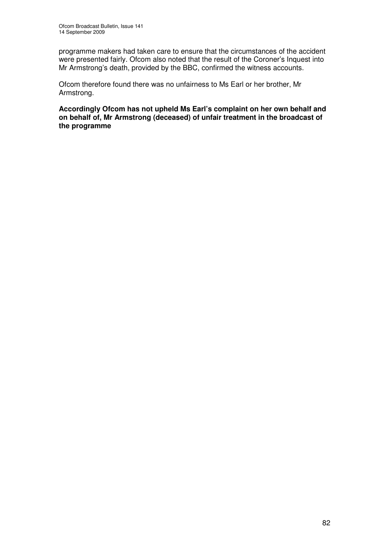programme makers had taken care to ensure that the circumstances of the accident were presented fairly. Ofcom also noted that the result of the Coroner's Inquest into Mr Armstrong's death, provided by the BBC, confirmed the witness accounts.

Ofcom therefore found there was no unfairness to Ms Earl or her brother, Mr Armstrong.

**Accordingly Ofcom has not upheld Ms Earl's complaint on her own behalf and on behalf of, Mr Armstrong (deceased) of unfair treatment in the broadcast of the programme**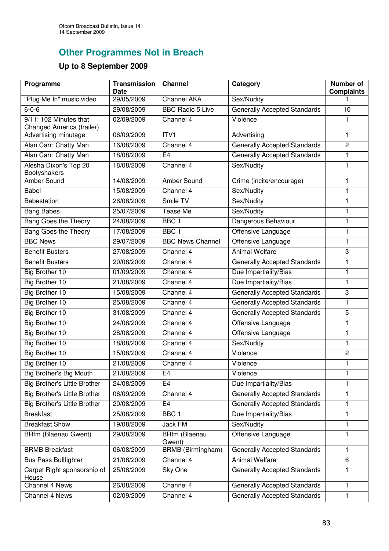## **Other Programmes Not in Breach**

# **Up to 8 September 2009**

| Programme                                           | <b>Transmission</b><br>Date | <b>Channel</b>           | Category                            | Number of<br><b>Complaints</b> |
|-----------------------------------------------------|-----------------------------|--------------------------|-------------------------------------|--------------------------------|
| "Plug Me In" music video                            | 29/05/2009                  | <b>Channel AKA</b>       | Sex/Nudity                          |                                |
| $6 - 0 - 6$                                         | 29/08/2009                  | <b>BBC Radio 5 Live</b>  | <b>Generally Accepted Standards</b> | 10                             |
| 9/11: 102 Minutes that<br>Changed America (trailer) | 02/09/2009                  | Channel 4                | Violence                            | 1                              |
| Advertising minutage                                | 06/09/2009                  | ITV1                     | Advertising                         | $\mathbf{1}$                   |
| Alan Carr: Chatty Man                               | 16/08/2009                  | Channel 4                | <b>Generally Accepted Standards</b> | $\overline{2}$                 |
| Alan Carr: Chatty Man                               | 18/08/2009                  | E <sub>4</sub>           | <b>Generally Accepted Standards</b> | 1                              |
| Alesha Dixon's Top 20<br>Bootyshakers               | 18/08/2009                  | Channel 4                | Sex/Nudity                          | 1                              |
| Amber Sound                                         | 14/08/2009                  | <b>Amber Sound</b>       | Crime (incite/encourage)            | 1                              |
| Babel                                               | 15/08/2009                  | Channel 4                | Sex/Nudity                          | 1                              |
| Babestation                                         | 26/08/2009                  | Smile TV                 | Sex/Nudity                          | 1                              |
| <b>Bang Babes</b>                                   | 25/07/2009                  | <b>Tease Me</b>          | Sex/Nudity                          | 1                              |
| Bang Goes the Theory                                | 24/08/2009                  | BBC <sub>1</sub>         | Dangerous Behaviour                 | $\mathbf{1}$                   |
| <b>Bang Goes the Theory</b>                         | 17/08/2009                  | BBC <sub>1</sub>         | Offensive Language                  | 1                              |
| <b>BBC News</b>                                     | 29/07/2009                  | <b>BBC News Channel</b>  | Offensive Language                  | 1                              |
| <b>Benefit Busters</b>                              | 27/08/2009                  | Channel 4                | <b>Animal Welfare</b>               | 3                              |
| <b>Benefit Busters</b>                              | 20/08/2009                  | Channel 4                | <b>Generally Accepted Standards</b> | 1                              |
| Big Brother 10                                      | 01/09/2009                  | Channel 4                | Due Impartiality/Bias               | $\mathbf{1}$                   |
| Big Brother 10                                      | 21/08/2009                  | Channel 4                | Due Impartiality/Bias               | $\mathbf{1}$                   |
| Big Brother 10                                      | 15/08/2009                  | Channel 4                | <b>Generally Accepted Standards</b> | 3                              |
| Big Brother 10                                      | 25/08/2009                  | Channel 4                | <b>Generally Accepted Standards</b> | 1                              |
| Big Brother 10                                      | 31/08/2009                  | Channel 4                | <b>Generally Accepted Standards</b> | 5                              |
| Big Brother 10                                      | 24/08/2009                  | Channel 4                | Offensive Language                  | 1                              |
| <b>Big Brother 10</b>                               | 28/08/2009                  | Channel 4                | Offensive Language                  | $\mathbf{1}$                   |
| Big Brother 10                                      | 18/08/2009                  | Channel 4                | Sex/Nudity                          | $\mathbf{1}$                   |
| <b>Big Brother 10</b>                               | 15/08/2009                  | Channel 4                | Violence                            | $\overline{2}$                 |
| <b>Big Brother 10</b>                               | 21/08/2009                  | Channel 4                | Violence                            | 1                              |
| <b>Big Brother's Big Mouth</b>                      | 21/08/2009                  | E4                       | Violence                            | ı                              |
| <b>Big Brother's Little Brother</b>                 | 24/08/2009                  | E <sub>4</sub>           | Due Impartiality/Bias               | 1                              |
| Big Brother's Little Brother                        | 06/09/2009                  | Channel 4                | <b>Generally Accepted Standards</b> | 1                              |
| <b>Big Brother's Little Brother</b>                 | 20/08/2009                  | E4                       | <b>Generally Accepted Standards</b> | 1                              |
| <b>Breakfast</b>                                    | 25/08/2009                  | BBC <sub>1</sub>         | Due Impartiality/Bias               | 1                              |
| <b>Breakfast Show</b>                               | 19/08/2009                  | Jack FM                  | Sex/Nudity                          | 1                              |
| <b>BRfm (Blaenau Gwent)</b>                         | 29/08/2009                  | BRfm (Blaenau<br>Gwent)  | Offensive Language                  | $\mathbf{1}$                   |
| <b>BRMB Breakfast</b>                               | 06/08/2009                  | <b>BRMB</b> (Birmingham) | <b>Generally Accepted Standards</b> | $\mathbf{1}$                   |
| <b>Bus Pass Bullfighter</b>                         | 21/08/2009                  | Channel 4                | <b>Animal Welfare</b>               | 6                              |
| Carpet Right sponsorship of<br>House                | 25/08/2009                  | Sky One                  | <b>Generally Accepted Standards</b> | 1                              |
| <b>Channel 4 News</b>                               | 26/08/2009                  | Channel 4                | <b>Generally Accepted Standards</b> | 1                              |
| Channel 4 News                                      | 02/09/2009                  | Channel 4                | <b>Generally Accepted Standards</b> | $\mathbf{1}$                   |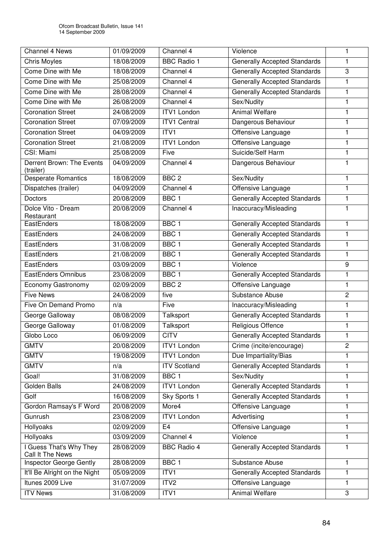| <b>Channel 4 News</b>                       | 01/09/2009 | Channel 4           | Violence                            | 1              |
|---------------------------------------------|------------|---------------------|-------------------------------------|----------------|
| Chris Moyles                                | 18/08/2009 | <b>BBC Radio 1</b>  | <b>Generally Accepted Standards</b> | 1              |
| Come Dine with Me                           | 18/08/2009 | Channel 4           | <b>Generally Accepted Standards</b> | 3              |
| Come Dine with Me                           | 25/08/2009 | Channel 4           | <b>Generally Accepted Standards</b> | 1              |
| Come Dine with Me                           | 28/08/2009 | Channel 4           | <b>Generally Accepted Standards</b> | $\mathbf{1}$   |
| Come Dine with Me                           | 26/08/2009 | Channel 4           | Sex/Nudity                          | 1              |
| <b>Coronation Street</b>                    | 24/08/2009 | <b>ITV1 London</b>  | <b>Animal Welfare</b>               | 1              |
| <b>Coronation Street</b>                    | 07/09/2009 | <b>ITV1 Central</b> | Dangerous Behaviour                 | $\mathbf{1}$   |
| <b>Coronation Street</b>                    | 04/09/2009 | ITV1                | Offensive Language                  | 1              |
| <b>Coronation Street</b>                    | 21/08/2009 | <b>ITV1 London</b>  | Offensive Language                  | 1              |
| CSI: Miami                                  | 25/08/2009 | Five                | Suicide/Self Harm                   | $\mathbf{1}$   |
| Derrent Brown: The Events<br>(trailer)      | 04/09/2009 | Channel 4           | Dangerous Behaviour                 | 1              |
| <b>Desperate Romantics</b>                  | 18/08/2009 | BBC <sub>2</sub>    | Sex/Nudity                          | 1              |
| Dispatches (trailer)                        | 04/09/2009 | Channel 4           | Offensive Language                  | 1              |
| <b>Doctors</b>                              | 20/08/2009 | BBC <sub>1</sub>    | <b>Generally Accepted Standards</b> | 1              |
| Dolce Vito - Dream<br>Restaurant            | 20/08/2009 | Channel 4           | Inaccuracy/Misleading               | 1              |
| EastEnders                                  | 18/08/2009 | BBC <sub>1</sub>    | <b>Generally Accepted Standards</b> | 1              |
| EastEnders                                  | 24/08/2009 | BBC <sub>1</sub>    | <b>Generally Accepted Standards</b> | 1              |
| EastEnders                                  | 31/08/2009 | BBC <sub>1</sub>    | <b>Generally Accepted Standards</b> | 1              |
| EastEnders                                  | 21/08/2009 | BBC <sub>1</sub>    | <b>Generally Accepted Standards</b> | 1              |
| EastEnders                                  | 03/09/2009 | BBC <sub>1</sub>    | Violence                            | 9              |
| <b>EastEnders Omnibus</b>                   | 23/08/2009 | BBC <sub>1</sub>    | <b>Generally Accepted Standards</b> | 1              |
| Economy Gastronomy                          | 02/09/2009 | BBC <sub>2</sub>    | Offensive Language                  | 1              |
| <b>Five News</b>                            | 24/08/2009 | five                | Substance Abuse                     | $\overline{c}$ |
| Five On Demand Promo                        | n/a        | Five                | Inaccuracy/Misleading               | 1              |
| George Galloway                             | 08/08/2009 | Talksport           | <b>Generally Accepted Standards</b> | 1              |
| George Galloway                             | 01/08/2009 | Talksport           | <b>Religious Offence</b>            | $\mathbf{1}$   |
| Globo Loco                                  | 06/09/2009 | <b>CITV</b>         | <b>Generally Accepted Standards</b> | 1              |
| <b>GMTV</b>                                 | 20/08/2009 | <b>ITV1 London</b>  | Crime (incite/encourage)            | $\overline{2}$ |
| <b>GMTV</b>                                 | 19/08/2009 | <b>ITV1 London</b>  | Due Impartiality/Bias               | 1              |
| <b>GMTV</b>                                 | n/a        | <b>ITV Scotland</b> | <b>Generally Accepted Standards</b> | $\mathbf{1}$   |
| Goal!                                       | 31/08/2009 | BBC <sub>1</sub>    | Sex/Nudity                          | 1              |
| Golden Balls                                | 24/08/2009 | <b>ITV1 London</b>  | <b>Generally Accepted Standards</b> | 1              |
| Golf                                        | 16/08/2009 | Sky Sports 1        | <b>Generally Accepted Standards</b> | 1              |
| Gordon Ramsay's F Word                      | 20/08/2009 | More4               | Offensive Language                  | $\mathbf{1}$   |
| Gunrush                                     | 23/08/2009 | <b>ITV1 London</b>  | Advertising                         | $\mathbf{1}$   |
| Hollyoaks                                   | 02/09/2009 | E <sub>4</sub>      | Offensive Language                  | $\mathbf{1}$   |
| Hollyoaks                                   | 03/09/2009 | Channel 4           | Violence                            | 1              |
| I Guess That's Why They<br>Call It The News | 28/08/2009 | <b>BBC Radio 4</b>  | <b>Generally Accepted Standards</b> | 1              |
| Inspector George Gently                     | 28/08/2009 | BBC <sub>1</sub>    | Substance Abuse                     | 1              |
| It'll Be Alright on the Night               | 05/09/2009 | ITV1                | <b>Generally Accepted Standards</b> | 1              |
| Itunes 2009 Live                            | 31/07/2009 | ITV <sub>2</sub>    | Offensive Language                  | 1              |
| <b>ITV News</b>                             | 31/08/2009 | ITV1                | Animal Welfare                      | 3              |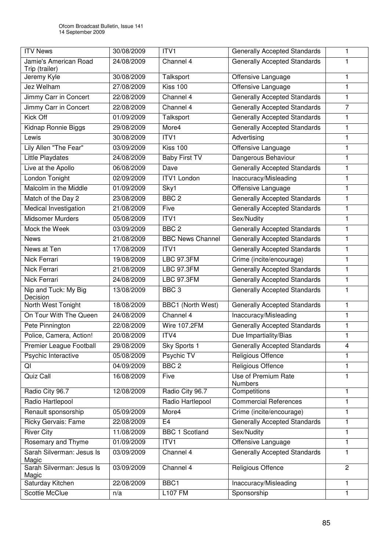| <b>ITV News</b>                         | 30/08/2009 | ITV1                     | <b>Generally Accepted Standards</b>   | 1              |
|-----------------------------------------|------------|--------------------------|---------------------------------------|----------------|
| Jamie's American Road<br>Trip (trailer) | 24/08/2009 | Channel 4                | <b>Generally Accepted Standards</b>   | 1              |
| Jeremy Kyle                             | 30/08/2009 | Talksport                | Offensive Language                    | 1              |
| Jez Welham                              | 27/08/2009 | <b>Kiss 100</b>          | Offensive Language                    | 1              |
| Jimmy Carr in Concert                   | 22/08/2009 | Channel 4                | <b>Generally Accepted Standards</b>   | 1              |
| Jimmy Carr in Concert                   | 22/08/2009 | Channel 4                | <b>Generally Accepted Standards</b>   | $\overline{7}$ |
| Kick Off                                | 01/09/2009 | Talksport                | <b>Generally Accepted Standards</b>   | 1              |
| Kidnap Ronnie Biggs                     | 29/08/2009 | More4                    | <b>Generally Accepted Standards</b>   | $\mathbf{1}$   |
| Lewis                                   | 30/08/2009 | ITV1                     | Advertising                           | 1              |
| Lily Allen "The Fear"                   | 03/09/2009 | Kiss 100                 | Offensive Language                    | 1              |
| Little Playdates                        | 24/08/2009 | <b>Baby First TV</b>     | Dangerous Behaviour                   | $\mathbf{1}$   |
| Live at the Apollo                      | 06/08/2009 | Dave                     | <b>Generally Accepted Standards</b>   | 1              |
| London Tonight                          | 02/09/2009 | <b>ITV1 London</b>       | Inaccuracy/Misleading                 | 1              |
| Malcolm in the Middle                   | 01/09/2009 | Sky1                     | Offensive Language                    | 1              |
| Match of the Day 2                      | 23/08/2009 | BBC <sub>2</sub>         | <b>Generally Accepted Standards</b>   | $\mathbf{1}$   |
| Medical Investigation                   | 21/08/2009 | Five                     | <b>Generally Accepted Standards</b>   | 1              |
| <b>Midsomer Murders</b>                 | 05/08/2009 | ITV1                     | Sex/Nudity                            | 1              |
| Mock the Week                           | 03/09/2009 | BBC <sub>2</sub>         | <b>Generally Accepted Standards</b>   | $\mathbf{1}$   |
| <b>News</b>                             | 21/08/2009 | <b>BBC News Channel</b>  | <b>Generally Accepted Standards</b>   | 1              |
| News at Ten                             | 17/08/2009 | ITVI                     | <b>Generally Accepted Standards</b>   | $\mathbf{1}$   |
| Nick Ferrari                            | 19/08/2009 | LBC 97.3FM               | Crime (incite/encourage)              | $\mathbf{1}$   |
| Nick Ferrari                            | 21/08/2009 | <b>LBC 97.3FM</b>        | <b>Generally Accepted Standards</b>   | 1              |
| Nick Ferrari                            | 24/08/2009 | <b>LBC 97.3FM</b>        | <b>Generally Accepted Standards</b>   | 1              |
| Nip and Tuck: My Big<br>Decision        | 13/08/2009 | BBC <sub>3</sub>         | <b>Generally Accepted Standards</b>   | 1              |
| North West Tonight                      | 18/08/2009 | <b>BBC1 (North West)</b> | <b>Generally Accepted Standards</b>   | 1              |
| On Tour With The Queen                  | 24/08/2009 | Channel 4                | Inaccuracy/Misleading                 | $\mathbf{1}$   |
| Pete Pinnington                         | 22/08/2009 | <b>Wire 107.2FM</b>      | <b>Generally Accepted Standards</b>   | 1              |
| Police, Camera, Action!                 | 20/08/2009 | ITV4                     | Due Impartiality/Bias                 | 1              |
| Premier League Football                 | 29/08/2009 | Sky Sports 1             | <b>Generally Accepted Standards</b>   | 4              |
| Psychic Interactive                     | 05/08/2009 | Psychic TV               | Religious Offence                     | 1              |
| QI                                      | 04/09/2009 | BBC <sub>2</sub>         | Religious Offence                     | $\mathbf{1}$   |
| Quiz Call                               | 16/08/2009 | Five                     | Use of Premium Rate<br><b>Numbers</b> | $\mathbf{1}$   |
| Radio City 96.7                         | 12/08/2009 | Radio City 96.7          | Competitions                          | $\mathbf{1}$   |
| Radio Hartlepool                        |            | Radio Hartlepool         | <b>Commercial References</b>          | 1              |
| Renault sponsorship                     | 05/09/2009 | More4                    | Crime (incite/encourage)              | 1              |
| <b>Ricky Gervais: Fame</b>              | 22/08/2009 | E4                       | <b>Generally Accepted Standards</b>   | 1              |
| <b>River City</b>                       | 11/08/2009 | <b>BBC 1 Scotland</b>    | Sex/Nudity                            | 1              |
| Rosemary and Thyme                      | 01/09/2009 | ITV1                     | Offensive Language                    | 1              |
| Sarah Silverman: Jesus Is<br>Magic      | 03/09/2009 | Channel 4                | <b>Generally Accepted Standards</b>   | 1              |
| Sarah Silverman: Jesus Is<br>Magic      | 03/09/2009 | Channel 4                | Religious Offence                     | $\overline{c}$ |
| Saturday Kitchen                        | 22/08/2009 | BBC1                     | Inaccuracy/Misleading                 | 1              |
| <b>Scottie McClue</b>                   | n/a        | <b>L107 FM</b>           | Sponsorship                           | $\mathbf{1}$   |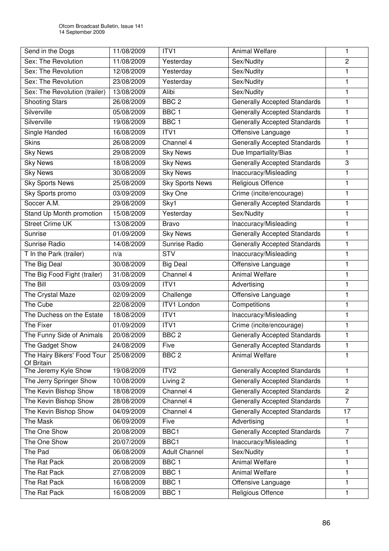| Send in the Dogs                          | 11/08/2009 | ITV <sub>1</sub>        | <b>Animal Welfare</b>               | 1              |
|-------------------------------------------|------------|-------------------------|-------------------------------------|----------------|
| Sex: The Revolution                       | 11/08/2009 | Yesterday               | Sex/Nudity                          | $\overline{2}$ |
| Sex: The Revolution                       | 12/08/2009 | Yesterday               | Sex/Nudity                          | 1              |
| Sex: The Revolution                       | 23/08/2009 | Yesterday               | Sex/Nudity                          | 1              |
| Sex: The Revolution (trailer)             | 13/08/2009 | Alibi                   | Sex/Nudity                          | 1              |
| <b>Shooting Stars</b>                     | 26/08/2009 | BBC <sub>2</sub>        | <b>Generally Accepted Standards</b> | 1              |
| Silverville                               | 05/08/2009 | BBC <sub>1</sub>        | <b>Generally Accepted Standards</b> | 1              |
| Silverville                               | 19/08/2009 | BBC <sub>1</sub>        | <b>Generally Accepted Standards</b> | 1              |
| Single Handed                             | 16/08/2009 | ITV1                    | Offensive Language                  | 1              |
| <b>Skins</b>                              | 26/08/2009 | Channel 4               | <b>Generally Accepted Standards</b> | 1              |
| <b>Sky News</b>                           | 29/08/2009 | <b>Sky News</b>         | Due Impartiality/Bias               | 1              |
| <b>Sky News</b>                           | 18/08/2009 | <b>Sky News</b>         | <b>Generally Accepted Standards</b> | 3              |
| <b>Sky News</b>                           | 30/08/2009 | <b>Sky News</b>         | Inaccuracy/Misleading               | 1              |
| <b>Sky Sports News</b>                    | 25/08/2009 | <b>Sky Sports News</b>  | <b>Religious Offence</b>            | 1              |
| Sky Sports promo                          | 03/09/2009 | Sky One                 | Crime (incite/encourage)            | 1              |
| Soccer A.M.                               | 29/08/2009 | Sky1                    | <b>Generally Accepted Standards</b> | 1              |
| Stand Up Month promotion                  | 15/08/2009 | Yesterday               | Sex/Nudity                          | 1              |
| <b>Street Crime UK</b>                    | 13/08/2009 | <b>Bravo</b>            | Inaccuracy/Misleading               | 1              |
| Sunrise                                   | 01/09/2009 | <b>Sky News</b>         | <b>Generally Accepted Standards</b> | 1              |
| Sunrise Radio                             | 14/08/2009 | Sunrise Radio           | <b>Generally Accepted Standards</b> | 1              |
| T In the Park (trailer)                   | n/a        | $\overline{\text{STV}}$ | Inaccuracy/Misleading               | $\mathbf{1}$   |
| The Big Deal                              | 30/08/2009 | <b>Big Deal</b>         | Offensive Language                  | 1              |
| The Big Food Fight (trailer)              | 31/08/2009 | Channel 4               | <b>Animal Welfare</b>               | 1              |
| The Bill                                  | 03/09/2009 | ITVI                    | Advertising                         | 1              |
| The Crystal Maze                          | 02/09/2009 | Challenge               | Offensive Language                  | 1              |
| The Cube                                  | 22/08/2009 | <b>ITV1 London</b>      | Competitions                        | 1              |
| The Duchess on the Estate                 | 18/08/2009 | ITV1                    | Inaccuracy/Misleading               | $\mathbf{1}$   |
| The Fixer                                 | 01/09/2009 | ITV1                    | Crime (incite/encourage)            | 1              |
| The Funny Side of Animals                 | 20/08/2009 | BBC <sub>2</sub>        | <b>Generally Accepted Standards</b> | 1              |
| The Gadget Show                           | 24/08/2009 | Five                    | <b>Generally Accepted Standards</b> | 1              |
| The Hairy Bikers' Food Tour<br>Of Britain | 25/08/2009 | BBC <sub>2</sub>        | <b>Animal Welfare</b>               | 1              |
| The Jeremy Kyle Show                      | 19/08/2009 | ITV2                    | <b>Generally Accepted Standards</b> | 1              |
| The Jerry Springer Show                   | 10/08/2009 | Living 2                | <b>Generally Accepted Standards</b> | 1              |
| The Kevin Bishop Show                     | 18/08/2009 | Channel 4               | <b>Generally Accepted Standards</b> | $\overline{2}$ |
| The Kevin Bishop Show                     | 28/08/2009 | Channel 4               | <b>Generally Accepted Standards</b> | $\overline{7}$ |
| The Kevin Bishop Show                     | 04/09/2009 | Channel 4               | <b>Generally Accepted Standards</b> | 17             |
| <b>The Mask</b>                           | 06/09/2009 | Five                    | Advertising                         | $\mathbf{1}$   |
| The One Show                              | 20/08/2009 | BBC1                    | <b>Generally Accepted Standards</b> | $\overline{7}$ |
| The One Show                              | 20/07/2009 | BBC1                    | Inaccuracy/Misleading               | 1              |
| The Pad                                   | 06/08/2009 | <b>Adult Channel</b>    | Sex/Nudity                          | 1              |
| The Rat Pack                              | 20/08/2009 | BBC <sub>1</sub>        | <b>Animal Welfare</b>               | 1              |
| The Rat Pack                              | 27/08/2009 | BBC <sub>1</sub>        | Animal Welfare                      | 1              |
| The Rat Pack                              | 16/08/2009 | BBC <sub>1</sub>        | Offensive Language                  | 1              |
| The Rat Pack                              | 16/08/2009 | BBC <sub>1</sub>        | Religious Offence                   | 1              |